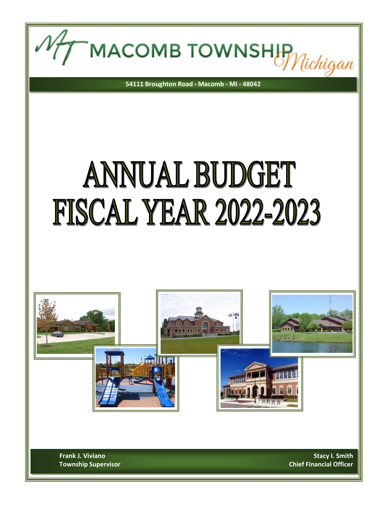MACOMB TOWNSHIP Michigan

**54111 Broughton Road - Macomb - MI - 48042**

## ANNUAL BUDGET **FISCAL YEAR 2022-2023**



**Frank J. Viviano Stacy I. Smith** Stacy I. Smith **Township Supervisor Chief Financial Officer**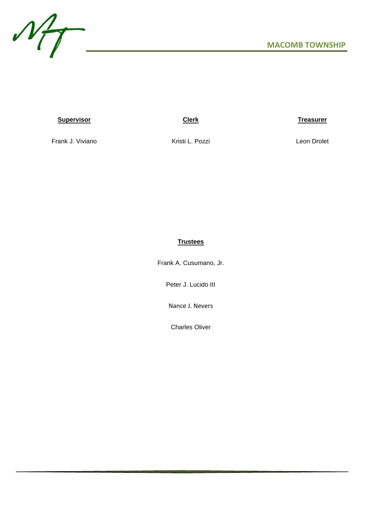

## **Supervisor Clerk Treasurer**

Frank J. Viviano **Kristi L. Pozzi** Charles And Leon Drolet

## **Trustees**

Frank A. Cusumano, Jr.

Peter J. Lucido III

Nance J. Nevers

Charles Oliver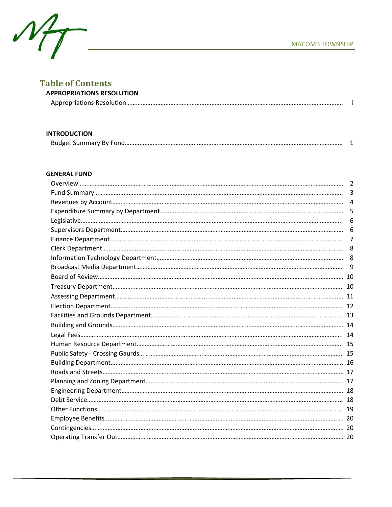

## **Table of Contents**

| able of contents.                |  |
|----------------------------------|--|
| <b>APPROPRIATIONS RESOLUTION</b> |  |
|                                  |  |

## **INTRODUCTION**

| <b>Budget Summary By Fund</b> |  |
|-------------------------------|--|
|                               |  |

## **GENERAL FUND**

| $\overline{3}$ |
|----------------|
| $\overline{4}$ |
| 5              |
| 6              |
| 6              |
| 7              |
|                |
|                |
|                |
|                |
|                |
|                |
|                |
|                |
|                |
|                |
|                |
|                |
|                |
|                |
|                |
|                |
|                |
|                |
|                |
|                |
|                |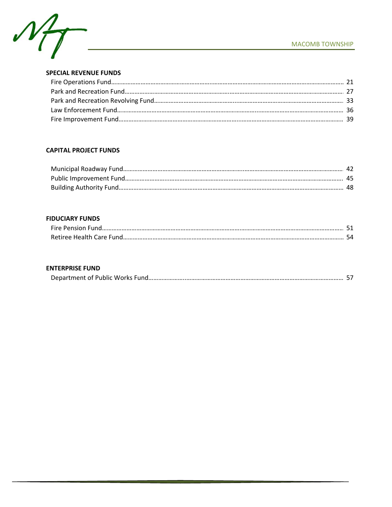



## **SPECIAL REVENUE FUNDS**

## **CAPITAL PROJECT FUNDS**

| Municipal Roadway Fund  |    |
|-------------------------|----|
| Public Improvement Fund |    |
| Building Authority Fund | 40 |

## **FIDUCIARY FUNDS**

| Fire  | $ -$ |
|-------|------|
| Retir |      |

## **ENTERPRISE FUND**

|--|--|--|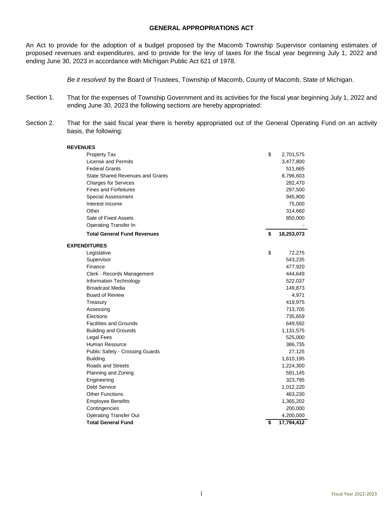## **GENERAL APPROPRIATIONS ACT**

An Act to provide for the adoption of a budget proposed by the Macomb Township Supervisor containing estimates of proposed revenues and expenditures, and to provide for the levy of taxes for the fiscal year beginning July 1, 2022 and ending June 30, 2023 in accordance with Michigan Public Act 621 of 1978.

*Be it resolved* by the Board of Trustees, Township of Macomb, County of Macomb, State of Michigan.

- Section 1. That for the expenses of Township Government and its activities for the fiscal year beginning July 1, 2022 and ending June 30, 2023 the following sections are hereby appropriated:
- Section 2. That for the said fiscal year there is hereby appropriated out of the General Operating Fund on an activity basis, the following:

| <b>REVENUES</b>                         |                  |
|-----------------------------------------|------------------|
| <b>Property Tax</b>                     | \$<br>2,701,575  |
| License and Permits                     | 3,477,800        |
| <b>Federal Grants</b>                   | 511,665          |
| <b>State Shared Revenues and Grants</b> | 8,796,603        |
| <b>Charges for Services</b>             | 282,470          |
| <b>Fines and Forfeitures</b>            | 297,500          |
| <b>Special Assessment</b>               | 945,800          |
| Interest Income                         | 75,000           |
| Other                                   | 314,660          |
| Sale of Fixed Assets                    | 850,000          |
| <b>Operating Transfer In</b>            |                  |
| <b>Total General Fund Revenues</b>      | \$<br>18,253,073 |
| <b>EXPENDITURES</b>                     |                  |
| Legislative                             | \$<br>72,275     |
| Supervisor                              | 543,235          |
| Finance                                 | 477,920          |
| Clerk - Records Management              | 444,649          |
| Information Technology                  | 522,037          |
| <b>Broadcast Media</b>                  | 149,873          |
| <b>Board of Review</b>                  | 4,971            |
| Treasury                                | 419,975          |
| Assessing                               | 713,705          |
| Elections                               | 735,659          |
| <b>Facilities and Grounds</b>           | 649,592          |
| <b>Building and Grounds</b>             | 1,131,575        |
| Legal Fees                              | 525,000          |
| Human Resource                          | 386,735          |
| Public Safety - Crossing Guards         | 27,125           |
| <b>Building</b>                         | 1,610,195        |
| <b>Roads and Streets</b>                | 1,224,300        |
| Planning and Zoning                     | 591,145          |
| Engineering                             | 323,795          |
| <b>Debt Service</b>                     | 1,012,220        |
| <b>Other Functions</b>                  | 463,230          |
| <b>Employee Benefits</b>                | 1,365,202        |
| Contingencies                           | 200,000          |
| <b>Operating Transfer Out</b>           | 4,200,000        |
| <b>Total General Fund</b>               | \$<br>17,794,412 |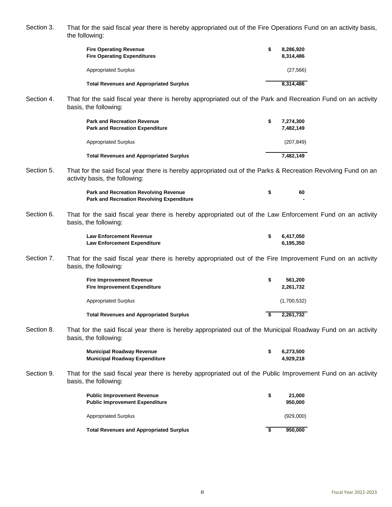Section 3. That for the said fiscal year there is hereby appropriated out of the Fire Operations Fund on an activity basis, the following:

| <b>Fire Operating Revenue</b><br><b>Fire Operating Expenditures</b> | S | 8,286,920<br>8.314.486 |
|---------------------------------------------------------------------|---|------------------------|
| <b>Appropriated Surplus</b>                                         |   | (27, 566)              |
| <b>Total Revenues and Appropriated Surplus</b>                      |   | 8,314,486              |

Section 4. That for the said fiscal year there is hereby appropriated out of the Park and Recreation Fund on an activity basis, the following:

| <b>Park and Recreation Revenue</b><br><b>Park and Recreation Expenditure</b> | S | 7.274.300<br>7.482.149 |
|------------------------------------------------------------------------------|---|------------------------|
| <b>Appropriated Surplus</b>                                                  |   | (207, 849)             |
| <b>Total Revenues and Appropriated Surplus</b>                               |   | 7.482.149              |

Section 5. That for the said fiscal year there is hereby appropriated out of the Parks & Recreation Revolving Fund on an activity basis, the following:

| <b>Park and Recreation Revolving Revenue</b>     | 60 |
|--------------------------------------------------|----|
| <b>Park and Recreation Revolving Expenditure</b> |    |

Section 6. That for the said fiscal year there is hereby appropriated out of the Law Enforcement Fund on an activity basis, the following:

| <b>Law Enforcement Revenue</b>     | 6,417,050 |
|------------------------------------|-----------|
| <b>Law Enforcement Expenditure</b> | 6,195,350 |

Section 7. That for the said fiscal year there is hereby appropriated out of the Fire Improvement Fund on an activity basis, the following:

| <b>Fire Improvement Revenue</b><br><b>Fire Improvement Expenditure</b> | S | 561.200<br>2.261.732 |
|------------------------------------------------------------------------|---|----------------------|
| <b>Appropriated Surplus</b>                                            |   | (1,700,532)          |
| <b>Total Revenues and Appropriated Surplus</b>                         |   | 2.261.732            |

Section 8. That for the said fiscal year there is hereby appropriated out of the Municipal Roadway Fund on an activity basis, the following:

| Municipal Roadway Revenue     | 6.273.500 |
|-------------------------------|-----------|
| Municipal Roadway Expenditure | 4.929.218 |

Section 9. That for the said fiscal year there is hereby appropriated out of the Public Improvement Fund on an activity basis, the following:

| <b>Public Improvement Revenue</b><br><b>Public Improvement Expenditure</b> | S | 21.000<br>950,000 |
|----------------------------------------------------------------------------|---|-------------------|
| Appropriated Surplus                                                       |   | (929.000)         |
| <b>Total Revenues and Appropriated Surplus</b>                             |   | 950.000           |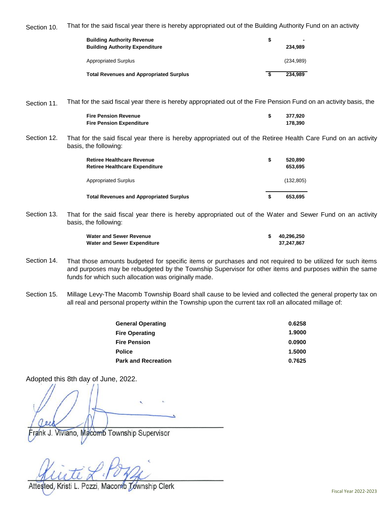Section 10. That for the said fiscal year there is hereby appropriated out of the Building Authority Fund on an activity

| <b>Building Authority Revenue</b><br><b>Building Authority Expenditure</b> | S | 234.989    |
|----------------------------------------------------------------------------|---|------------|
| <b>Appropriated Surplus</b>                                                |   | (234, 989) |
| <b>Total Revenues and Appropriated Surplus</b>                             |   | 234.989    |

Section 11. That for the said fiscal year there is hereby appropriated out of the Fire Pension Fund on an activity basis, the

| Fire Pension Revenue            | 377.920 |
|---------------------------------|---------|
| <b>Fire Pension Expenditure</b> | 178.390 |

Section 12. That for the said fiscal year there is hereby appropriated out of the Retiree Health Care Fund on an activity basis, the following:

| <b>Retiree Healthcare Revenue</b><br><b>Retiree Healthcare Expenditure</b> | S | 520.890<br>653.695 |
|----------------------------------------------------------------------------|---|--------------------|
| <b>Appropriated Surplus</b>                                                |   | (132, 805)         |
| <b>Total Revenues and Appropriated Surplus</b>                             | S | 653.695            |

Section 13. That for the said fiscal year there is hereby appropriated out of the Water and Sewer Fund on an activity basis, the following:

| <b>Water and Sewer Revenue</b>     | 40,296,250 |
|------------------------------------|------------|
| <b>Water and Sewer Expenditure</b> | 37.247.867 |

- Section 14. That those amounts budgeted for specific items or purchases and not required to be utilized for such items and purposes may be rebudgeted by the Township Supervisor for other items and purposes within the same funds for which such allocation was originally made.
- Section 15. Millage Levy-The Macomb Township Board shall cause to be levied and collected the general property tax on all real and personal property within the Township upon the current tax roll an allocated millage of:

| <b>General Operating</b>   | 0.6258 |
|----------------------------|--------|
| <b>Fire Operating</b>      | 1.9000 |
| <b>Fire Pension</b>        | 0.0900 |
| <b>Police</b>              | 1.5000 |
| <b>Park and Recreation</b> | 0.7625 |

Adopted this 8th day of June, 2022.

 $f(\omega)$ 

 $\mathcal{A}_1$ ,  $\mathcal{A}_2$   $\mathcal{A}_3$   $\mathcal{A}_4$   $\mathcal{A}_5$ 

Township Clerk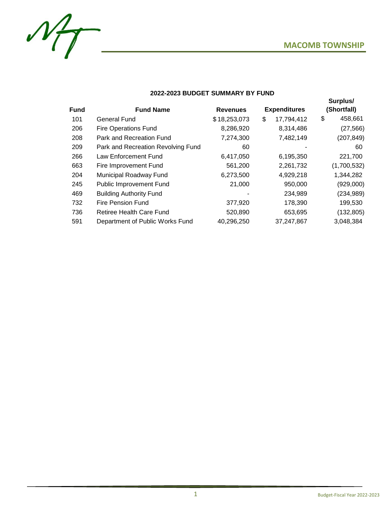

**Surplus/** 



## **2022-2023 BUDGET SUMMARY BY FUND**

|             |                                    |                                        |                  | .             |
|-------------|------------------------------------|----------------------------------------|------------------|---------------|
| <b>Fund</b> | <b>Fund Name</b>                   | <b>Expenditures</b><br><b>Revenues</b> |                  | (Shortfall)   |
| 101         | <b>General Fund</b>                | \$18,253,073                           | \$<br>17,794,412 | \$<br>458,661 |
| 206         | <b>Fire Operations Fund</b>        | 8,286,920                              | 8,314,486        | (27, 566)     |
| 208         | Park and Recreation Fund           | 7,274,300                              | 7,482,149        | (207, 849)    |
| 209         | Park and Recreation Revolving Fund | 60                                     |                  | 60            |
| 266         | Law Enforcement Fund               | 6,417,050                              | 6,195,350        | 221,700       |
| 663         | Fire Improvement Fund              | 561,200                                | 2,261,732        | (1,700,532)   |
| 204         | Municipal Roadway Fund             | 6,273,500                              | 4,929,218        | 1,344,282     |
| 245         | <b>Public Improvement Fund</b>     | 21,000                                 | 950,000          | (929,000)     |
| 469         | <b>Building Authority Fund</b>     |                                        | 234,989          | (234, 989)    |
| 732         | <b>Fire Pension Fund</b>           | 377,920                                | 178,390          | 199,530       |
| 736         | Retiree Health Care Fund           | 520,890                                | 653,695          | (132, 805)    |
| 591         | Department of Public Works Fund    | 40,296,250                             | 37,247,867       | 3,048,384     |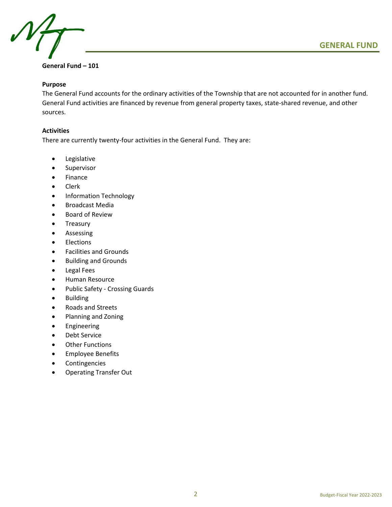

## **General Fund – 101**

## **Purpose**

The General Fund accounts for the ordinary activities of the Township that are not accounted for in another fund. General Fund activities are financed by revenue from general property taxes, state-shared revenue, and other sources.

## **Activities**

There are currently twenty-four activities in the General Fund. They are:

- Legislative
- Supervisor
- Finance
- Clerk
- Information Technology
- Broadcast Media
- Board of Review
- Treasury
- Assessing
- Elections
- Facilities and Grounds
- Building and Grounds
- Legal Fees
- Human Resource
- Public Safety Crossing Guards
- Building
- Roads and Streets
- Planning and Zoning
- Engineering
- Debt Service
- Other Functions
- Employee Benefits
- **Contingencies**
- Operating Transfer Out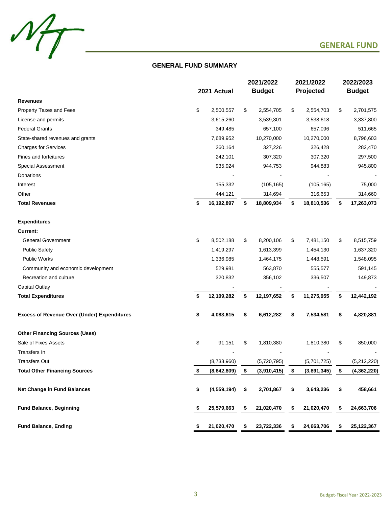

## **GENERAL FUND SUMMARY**

|                                                    |     |               | 2021/2022     |             | 2021/2022 |             | 2022/2023 |               |
|----------------------------------------------------|-----|---------------|---------------|-------------|-----------|-------------|-----------|---------------|
|                                                    |     | 2021 Actual   | <b>Budget</b> |             |           | Projected   |           | <b>Budget</b> |
| <b>Revenues</b>                                    |     |               |               |             |           |             |           |               |
| Property Taxes and Fees                            | \$  | 2,500,557     | \$            | 2,554,705   | \$        | 2,554,703   | \$        | 2,701,575     |
| License and permits                                |     | 3,615,260     |               | 3,539,301   |           | 3,538,618   |           | 3,337,800     |
| <b>Federal Grants</b>                              |     | 349,485       |               | 657,100     |           | 657,096     |           | 511,665       |
| State-shared revenues and grants                   |     | 7,689,952     |               | 10,270,000  |           | 10,270,000  |           | 8,796,603     |
| <b>Charges for Services</b>                        |     | 260,164       |               | 327,226     |           | 326,428     |           | 282,470       |
| Fines and forfeitures                              |     | 242,101       |               | 307,320     |           | 307,320     |           | 297,500       |
| Special Assessment                                 |     | 935,924       |               | 944,753     |           | 944,883     |           | 945,800       |
| Donations                                          |     |               |               |             |           |             |           |               |
| Interest                                           |     | 155,332       |               | (105, 165)  |           | (105, 165)  |           | 75,000        |
| Other                                              |     | 444,121       |               | 314,694     |           | 316,653     |           | 314,660       |
| <b>Total Revenues</b>                              | \$  | 16,192,897    | \$            | 18,809,934  | \$        | 18,810,536  | \$        | 17,263,073    |
| <b>Expenditures</b>                                |     |               |               |             |           |             |           |               |
| <b>Current:</b>                                    |     |               |               |             |           |             |           |               |
| <b>General Government</b>                          | \$  | 8,502,188     | \$            | 8,200,106   | \$        | 7,481,150   | \$        | 8,515,759     |
| <b>Public Safety</b>                               |     | 1,419,297     |               | 1,613,399   |           | 1,454,130   |           | 1,637,320     |
| <b>Public Works</b>                                |     | 1,336,985     |               | 1,464,175   |           | 1,448,591   |           | 1,548,095     |
| Community and economic development                 |     | 529,981       |               | 563,870     |           | 555,577     |           | 591,145       |
| Recreation and culture                             |     | 320,832       |               | 356,102     |           | 336,507     |           | 149,873       |
| Capital Outlay                                     |     |               |               |             |           |             |           |               |
| <b>Total Expenditures</b>                          | \$  | 12,109,282    | \$            | 12,197,652  | \$        | 11,275,955  | \$        | 12,442,192    |
| <b>Excess of Revenue Over (Under) Expenditures</b> | \$  | 4,083,615     | \$            | 6,612,282   | \$        | 7,534,581   | \$        | 4,820,881     |
|                                                    |     |               |               |             |           |             |           |               |
| <b>Other Financing Sources (Uses)</b>              |     |               |               |             |           |             |           |               |
| Sale of Fixes Assets                               | \$  | 91,151        | \$            | 1,810,380   |           | 1,810,380   | \$        | 850,000       |
| Transfers In                                       |     |               |               |             |           |             |           |               |
| <b>Transfers Out</b>                               |     | (8,733,960)   |               | (5,720,795) |           | (5,701,725) |           | (5,212,220)   |
| <b>Total Other Financing Sources</b>               | \$  | (8,642,809)   | \$            | (3,910,415) | \$        | (3,891,345) | \$        | (4, 362, 220) |
| <b>Net Change in Fund Balances</b>                 | \$  | (4, 559, 194) | \$            | 2,701,867   | \$        | 3,643,236   | \$        | 458,661       |
| <b>Fund Balance, Beginning</b>                     | \$  | 25,579,663    | \$            | 21,020,470  | \$        | 21,020,470  | \$        | 24,663,706    |
| <b>Fund Balance, Ending</b>                        | \$. | 21,020,470    | \$            | 23,722,336  | \$        | 24,663,706  | \$        | 25,122,367    |
|                                                    |     |               |               |             |           |             |           |               |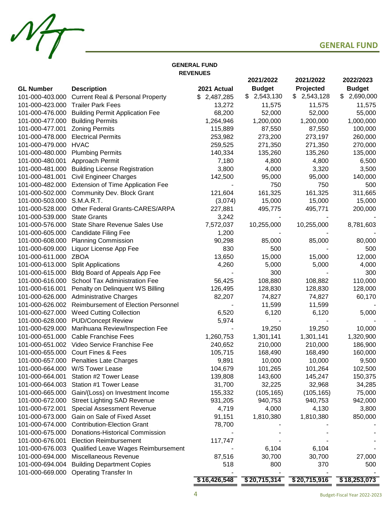

## **GENERAL FUND REVENUES**

|                  |                                             |              | 2021/2022     | 2021/2022       | 2022/2023     |
|------------------|---------------------------------------------|--------------|---------------|-----------------|---------------|
| <b>GL Number</b> | <b>Description</b>                          | 2021 Actual  | <b>Budget</b> | Projected       | <b>Budget</b> |
| 101-000-403.000  | <b>Current Real &amp; Personal Property</b> | \$2,487,285  | 2,543,130     | 2,543,128<br>S. | \$2,690,000   |
| 101-000-423.000  | <b>Trailer Park Fees</b>                    | 13,272       | 11,575        | 11,575          | 11,575        |
| 101-000-476.000  | <b>Building Permit Application Fee</b>      | 68,200       | 52,000        | 52,000          | 55,000        |
| 101-000-477.000  | <b>Building Permits</b>                     | 1,264,946    | 1,200,000     | 1,200,000       | 1,000,000     |
| 101-000-477.001  | <b>Zoning Permits</b>                       | 115,889      | 87,550        | 87,550          | 100,000       |
| 101-000-478.000  | <b>Electrical Permits</b>                   | 253,982      | 273,200       | 273,197         | 260,000       |
| 101-000-479.000  | <b>HVAC</b>                                 | 259,525      | 271,350       | 271,350         | 270,000       |
| 101-000-480.000  | <b>Plumbing Permits</b>                     | 140,334      | 135,260       | 135,260         | 135,000       |
| 101-000-480.001  | Approach Permit                             | 7,180        | 4,800         | 4,800           | 6,500         |
| 101-000-481.000  | <b>Building License Registration</b>        | 3,800        | 4,000         | 3,320           | 3,500         |
| 101-000-481.001  | <b>Civil Engineer Charges</b>               | 142,500      | 95,000        | 95,000          | 140,000       |
| 101-000-482.000  | Extension of Time Application Fee           |              | 750           | 750             | 500           |
| 101-000-502.000  | Community Dev. Block Grant                  | 121,604      | 161,325       | 161,325         | 311,665       |
| 101-000-503.000  | S.M.A.R.T.                                  | (3,074)      | 15,000        | 15,000          | 15,000        |
| 101-000-528.000  | Other Federal Grants-CARES/ARPA             | 227,881      | 495,775       | 495,771         | 200,000       |
| 101-000-539.000  | <b>State Grants</b>                         | 3,242        |               |                 |               |
| 101-000-576.000  | <b>State Share Revenue Sales Use</b>        | 7,572,037    | 10,255,000    | 10,255,000      | 8,781,603     |
| 101-000-605.000  | <b>Candidate Filing Fee</b>                 | 1,200        |               |                 |               |
| 101-000-608.000  | <b>Planning Commission</b>                  | 90,298       | 85,000        | 85,000          | 80,000        |
| 101-000-609.000  | Liquor License App Fee                      | 830          | 500           |                 | 500           |
| 101-000-611.000  | <b>ZBOA</b>                                 | 13,650       | 15,000        | 15,000          | 12,000        |
| 101-000-613.000  | <b>Split Applications</b>                   | 4,260        | 5,000         | 5,000           | 4,000         |
| 101-000-615.000  | Bldg Board of Appeals App Fee               |              | 300           |                 | 300           |
| 101-000-616.000  | <b>School Tax Administration Fee</b>        | 56,425       | 108,880       | 108,882         | 110,000       |
| 101-000-616.001  | Penalty on Delinquent WS Billing            | 126,495      | 128,830       | 128,830         | 128,000       |
| 101-000-626.000  | <b>Administrative Charges</b>               | 82,207       | 74,827        | 74,827          | 60,170        |
| 101-000-626.002  | <b>Reimbursement of Election Personnel</b>  |              | 11,599        | 11,599          |               |
| 101-000-627.000  | <b>Weed Cutting Collection</b>              | 6,520        | 6,120         | 6,120           | 5,000         |
|                  | 101-000-628.000 PUD/Concept Review          | 5,974        |               |                 |               |
| 101-000-629.000  | Marihuana Review/Inspection Fee             |              | 19,250        | 19,250          | 10,000        |
| 101-000-651.000  | <b>Cable Franchise Fees</b>                 | 1,260,753    | 1,301,141     | 1,301,141       | 1,320,900     |
| 101-000-651.002  | Video Service Franchise Fee                 | 240,652      | 210,000       | 210,000         | 186,900       |
| 101-000-655.000  | <b>Court Fines &amp; Fees</b>               | 105,715      | 168,490       | 168,490         | 160,000       |
|                  | 101-000-657.000 Penalties Late Charges      | 9,891        | 10,000        | 10,000          | 9,500         |
|                  | 101-000-664.000 W/S Tower Lease             | 104,679      | 101,265       | 101,264         | 102,500       |
| 101-000-664.001  | Station #2 Tower Lease                      | 139,808      | 143,600       | 145,247         | 150,375       |
| 101-000-664.003  | Station #1 Tower Lease                      | 31,700       | 32,225        | 32,968          | 34,285        |
| 101-000-665.000  | Gain/(Loss) on Investment Income            | 155,332      | (105, 165)    | (105, 165)      | 75,000        |
| 101-000-672.000  | <b>Street Lighting SAD Revenue</b>          | 931,205      | 940,753       | 940,753         | 942,000       |
| 101-000-672.001  | Special Assessment Revenue                  | 4,719        | 4,000         | 4,130           | 3,800         |
| 101-000-673.000  | Gain on Sale of Fixed Asset                 | 91,151       | 1,810,380     | 1,810,380       | 850,000       |
| 101-000-674.000  | <b>Contribution-Election Grant</b>          | 78,700       |               |                 |               |
| 101-000-675.000  | Donations-Historical Commission             |              |               |                 |               |
| 101-000-676.001  | <b>Election Reimbursement</b>               | 117,747      |               |                 |               |
| 101-000-676.003  | Qualified Leave Wages Reimbursement         |              | 6,104         | 6,104           |               |
| 101-000-694.000  | Miscellaneous Revenue                       | 87,516       | 30,700        | 30,700          | 27,000        |
| 101-000-694.004  | <b>Building Department Copies</b>           | 518          | 800           | 370             | 500           |
| 101-000-669.000  | <b>Operating Transfer In</b>                |              |               |                 |               |
|                  |                                             | \$16,426,548 | \$20,715,314  | \$20,715,916    | \$18,253,073  |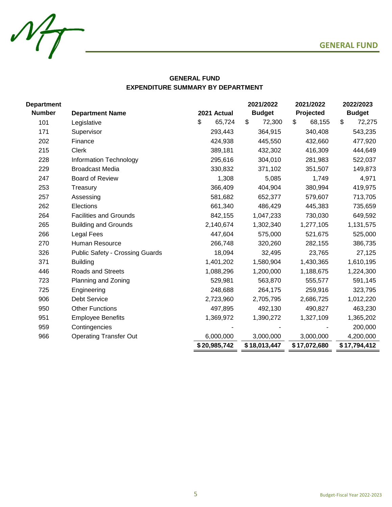

## **GENERAL FUND EXPENDITURE SUMMARY BY DEPARTMENT**

| <b>Department</b> |                                        |              | 2021/2022                  | 2021/2022    | 2022/2023     |
|-------------------|----------------------------------------|--------------|----------------------------|--------------|---------------|
| <b>Number</b>     | <b>Department Name</b>                 | 2021 Actual  | <b>Budget</b><br>Projected |              | <b>Budget</b> |
| 101               | Legislative                            | \$<br>65,724 | \$<br>72,300               | \$<br>68,155 | \$<br>72,275  |
| 171               | Supervisor                             | 293,443      | 364,915                    | 340,408      | 543,235       |
| 202               | Finance                                | 424,938      | 445,550                    | 432,660      | 477,920       |
| 215               | <b>Clerk</b>                           | 389,181      | 432,302                    | 416,309      | 444,649       |
| 228               | <b>Information Technology</b>          | 295,616      | 304,010                    | 281,983      | 522,037       |
| 229               | <b>Broadcast Media</b>                 | 330,832      | 371,102                    | 351,507      | 149,873       |
| 247               | <b>Board of Review</b>                 | 1,308        | 5,085                      | 1,749        | 4,971         |
| 253               | Treasury                               | 366,409      | 404,904                    | 380,994      | 419,975       |
| 257               | Assessing                              | 581,682      | 652,377                    | 579,607      | 713,705       |
| 262               | Elections                              | 661,340      | 486,429                    | 445,383      | 735,659       |
| 264               | <b>Facilities and Grounds</b>          | 842,155      | 1,047,233                  | 730,030      | 649,592       |
| 265               | <b>Building and Grounds</b>            | 2,140,674    | 1,302,340                  | 1,277,105    | 1,131,575     |
| 266               | Legal Fees                             | 447,604      | 575,000                    | 521,675      | 525,000       |
| 270               | Human Resource                         | 266,748      | 320,260                    | 282,155      | 386,735       |
| 326               | <b>Public Safety - Crossing Guards</b> | 18,094       | 32,495                     | 23,765       | 27,125        |
| 371               | <b>Building</b>                        | 1,401,202    | 1,580,904                  | 1,430,365    | 1,610,195     |
| 446               | Roads and Streets                      | 1,088,296    | 1,200,000                  | 1,188,675    | 1,224,300     |
| 723               | Planning and Zoning                    | 529,981      | 563,870                    | 555,577      | 591,145       |
| 725               | Engineering                            | 248,688      | 264,175                    | 259,916      | 323,795       |
| 906               | <b>Debt Service</b>                    | 2,723,960    | 2,705,795                  | 2,686,725    | 1,012,220     |
| 950               | <b>Other Functions</b>                 | 497,895      | 492,130                    | 490,827      | 463,230       |
| 951               | <b>Employee Benefits</b>               | 1,369,972    | 1,390,272                  | 1,327,109    | 1,365,202     |
| 959               | Contingencies                          |              |                            |              | 200,000       |
| 966               | <b>Operating Transfer Out</b>          | 6,000,000    | 3,000,000                  | 3,000,000    | 4,200,000     |
|                   |                                        | \$20,985,742 | \$18,013,447               | \$17,072,680 | \$17,794,412  |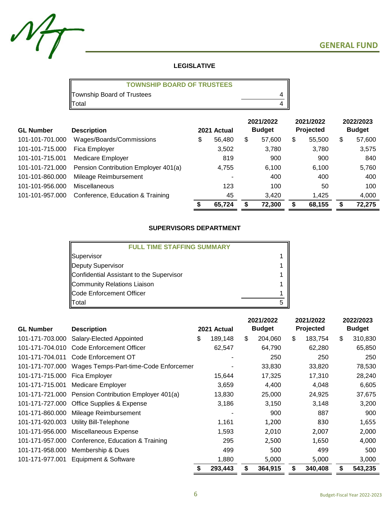

## **LEGISLATIVE**

| <b>TOWNSHIP BOARD OF TRUSTEES</b> |  |
|-----------------------------------|--|
| Township Board of Trustees        |  |
| Total                             |  |

| <b>GL Number</b> | <b>Description</b>                   | 2021 Actual |        |   |        | 2021/2022<br><b>Budget</b> |        | 2021/2022<br>Projected |        | 2022/2023<br><b>Budget</b> |  |
|------------------|--------------------------------------|-------------|--------|---|--------|----------------------------|--------|------------------------|--------|----------------------------|--|
| 101-101-701.000  | Wages/Boards/Commissions             | \$          | 56,480 | S | 57,600 | \$.                        | 55,500 | S                      | 57,600 |                            |  |
| 101-101-715.000  | Fica Employer                        |             | 3,502  |   | 3,780  |                            | 3,780  |                        | 3,575  |                            |  |
| 101-101-715.001  | Medicare Employer                    |             | 819    |   | 900    |                            | 900    |                        | 840    |                            |  |
| 101-101-721.000  | Pension Contribution Employer 401(a) |             | 4,755  |   | 6,100  |                            | 6.100  |                        | 5,760  |                            |  |
| 101-101-860.000  | Mileage Reimbursement                |             |        |   | 400    |                            | 400    |                        | 400    |                            |  |
| 101-101-956.000  | Miscellaneous                        |             | 123    |   | 100    |                            | 50     |                        | 100    |                            |  |
| 101-101-957.000  | Conference, Education & Training     |             | 45     |   | 3,420  |                            | 1,425  |                        | 4,000  |                            |  |
|                  |                                      |             | 65,724 |   | 72,300 |                            | 68,155 |                        | 72,275 |                            |  |

## **SUPERVISORS DEPARTMENT**

| <b>FULL TIME STAFFING SUMMARY</b>        |  |
|------------------------------------------|--|
| Supervisor                               |  |
| Deputy Supervisor                        |  |
| Confidential Assistant to the Supervisor |  |
| Community Relations Liaison              |  |
| Code Enforcement Officer                 |  |
| <b>T</b> otal                            |  |

|                               |                                                       |    |             |    | 2021/2022     | 2021/2022 |           | 2022/2023     |
|-------------------------------|-------------------------------------------------------|----|-------------|----|---------------|-----------|-----------|---------------|
| <b>GL Number</b>              | <b>Description</b>                                    |    | 2021 Actual |    | <b>Budget</b> |           | Projected | <b>Budget</b> |
| 101-171-703.000               | Salary-Elected Appointed                              | \$ | 189,148     | \$ | 204,060       | \$        | 183,754   | \$<br>310,830 |
| 101-171-704.010               | Code Enforcement Officer                              |    | 62,547      |    | 64,790        |           | 62,280    | 65,850        |
| 101-171-704.011               | Code Enforcement OT                                   |    |             |    | 250           |           | 250       | 250           |
|                               | 101-171-707.000 Wages Temps-Part-time-Code Enforcemer |    |             |    | 33,830        |           | 33,820    | 78,530        |
| 101-171-715.000 Fica Employer |                                                       |    | 15,644      |    | 17,325        |           | 17,310    | 28,240        |
|                               | 101-171-715.001 Medicare Employer                     |    | 3,659       |    | 4,400         |           | 4,048     | 6,605         |
|                               | 101-171-721.000 Pension Contribution Employer 401(a)  |    | 13,830      |    | 25,000        |           | 24,925    | 37,675        |
|                               | 101-171-727.000 Office Supplies & Expense             |    | 3,186       |    | 3,150         |           | 3,148     | 3,200         |
|                               | 101-171-860.000 Mileage Reimbursement                 |    |             |    | 900           |           | 887       | 900           |
| 101-171-920.003               | Utility Bill-Telephone                                |    | 1,161       |    | 1,200         |           | 830       | 1,655         |
|                               | 101-171-956.000 Miscellaneous Expense                 |    | 1,593       |    | 2,010         |           | 2,007     | 2,000         |
|                               | 101-171-957.000 Conference, Education & Training      |    | 295         |    | 2,500         |           | 1,650     | 4,000         |
| 101-171-958.000               | Membership & Dues                                     |    | 499         |    | 500           |           | 499       | 500           |
|                               | 101-171-977.001 Equipment & Software                  |    | 1,880       |    | 5,000         |           | 5,000     | 3,000         |
|                               |                                                       | S  | 293,443     | \$ | 364,915       | \$        | 340,408   | \$<br>543,235 |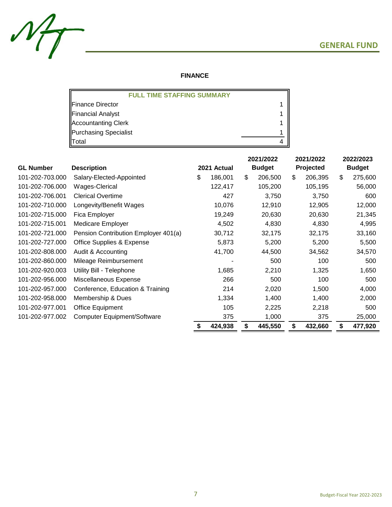

## **FINANCE**

| <b>FULL TIME STAFFING SUMMARY</b> |  |
|-----------------------------------|--|
| Finance Director                  |  |
| Financial Analyst                 |  |
| Accountanting Clerk               |  |
| Purchasing Specialist             |  |
| Total                             |  |

|                  |                                      |             |         | 2021/2022     |         |           | 2021/2022 | 2022/2023     |         |  |
|------------------|--------------------------------------|-------------|---------|---------------|---------|-----------|-----------|---------------|---------|--|
| <b>GL Number</b> | <b>Description</b>                   | 2021 Actual |         | <b>Budget</b> |         | Projected |           | <b>Budget</b> |         |  |
| 101-202-703.000  | Salary-Elected-Appointed             | \$          | 186,001 | \$            | 206,500 | \$        | 206,395   | \$            | 275,600 |  |
| 101-202-706.000  | Wages-Clerical                       |             | 122,417 |               | 105,200 |           | 105,195   |               | 56,000  |  |
| 101-202-706.001  | <b>Clerical Overtime</b>             |             | 427     |               | 3,750   |           | 3,750     |               | 600     |  |
| 101-202-710.000  | Longevity/Benefit Wages              |             | 10,076  |               | 12,910  |           | 12,905    |               | 12,000  |  |
| 101-202-715.000  | Fica Employer                        |             | 19,249  |               | 20,630  |           | 20,630    |               | 21,345  |  |
| 101-202-715.001  | Medicare Employer                    |             | 4,502   |               | 4,830   |           | 4,830     |               | 4,995   |  |
| 101-202-721.000  | Pension Contribution Employer 401(a) |             | 30,712  |               | 32,175  |           | 32,175    |               | 33,160  |  |
| 101-202-727.000  | Office Supplies & Expense            |             | 5,873   |               | 5,200   |           | 5,200     |               | 5,500   |  |
| 101-202-808.000  | Audit & Accounting                   |             | 41,700  |               | 44,500  |           | 34,562    |               | 34,570  |  |
| 101-202-860.000  | Mileage Reimbursement                |             |         |               | 500     |           | 100       |               | 500     |  |
| 101-202-920.003  | Utility Bill - Telephone             |             | 1,685   |               | 2,210   |           | 1,325     |               | 1,650   |  |
| 101-202-956.000  | Miscellaneous Expense                |             | 266     |               | 500     |           | 100       |               | 500     |  |
| 101-202-957.000  | Conference, Education & Training     |             | 214     |               | 2,020   |           | 1,500     |               | 4,000   |  |
| 101-202-958.000  | Membership & Dues                    |             | 1,334   |               | 1,400   |           | 1,400     |               | 2,000   |  |
| 101-202-977.001  | <b>Office Equipment</b>              |             | 105     |               | 2,225   |           | 2,218     |               | 500     |  |
| 101-202-977.002  | <b>Computer Equipment/Software</b>   |             | 375     |               | 1,000   |           | 375       |               | 25,000  |  |
|                  |                                      | S           | 424,938 | \$            | 445,550 | \$        | 432,660   | \$            | 477,920 |  |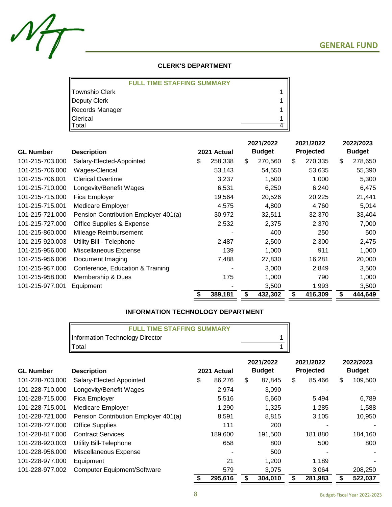

## **CLERK'S DEPARTMENT**

|                 | <b>FULL TIME STAFFING SUMMARY</b> |  |
|-----------------|-----------------------------------|--|
| Township Clerk  |                                   |  |
| Deputy Clerk    |                                   |  |
| Records Manager |                                   |  |
| Clerical        |                                   |  |
| Total           |                                   |  |

|                  |                                      |                              | 2021/2022 |         | 2021/2022 |         | 2022/2023 |               |  |
|------------------|--------------------------------------|------------------------------|-----------|---------|-----------|---------|-----------|---------------|--|
| <b>GL Number</b> | <b>Description</b>                   | <b>Budget</b><br>2021 Actual |           |         | Projected |         |           | <b>Budget</b> |  |
| 101-215-703.000  | Salary-Elected-Appointed             | \$<br>258,338                | \$        | 270,560 | \$        | 270,335 | \$        | 278,650       |  |
| 101-215-706.000  | Wages-Clerical                       | 53,143                       |           | 54,550  |           | 53,635  |           | 55,390        |  |
| 101-215-706.001  | <b>Clerical Overtime</b>             | 3,237                        |           | 1,500   |           | 1,000   |           | 5,300         |  |
| 101-215-710.000  | Longevity/Benefit Wages              | 6,531                        |           | 6,250   |           | 6,240   |           | 6,475         |  |
| 101-215-715.000  | Fica Employer                        | 19,564                       |           | 20,526  |           | 20,225  |           | 21,441        |  |
| 101-215-715.001  | <b>Medicare Employer</b>             | 4,575                        |           | 4,800   |           | 4,760   |           | 5,014         |  |
| 101-215-721.000  | Pension Contribution Employer 401(a) | 30,972                       |           | 32,511  |           | 32,370  |           | 33,404        |  |
| 101-215-727.000  | Office Supplies & Expense            | 2,532                        |           | 2,375   |           | 2,370   |           | 7,000         |  |
| 101-215-860.000  | Mileage Reimbursement                |                              |           | 400     |           | 250     |           | 500           |  |
| 101-215-920.003  | Utility Bill - Telephone             | 2,487                        |           | 2,500   |           | 2,300   |           | 2,475         |  |
| 101-215-956.000  | Miscellaneous Expense                | 139                          |           | 1,000   |           | 911     |           | 1,000         |  |
| 101-215-956.006  | Document Imaging                     | 7,488                        |           | 27,830  |           | 16,281  |           | 20,000        |  |
| 101-215-957.000  | Conference, Education & Training     |                              |           | 3,000   |           | 2,849   |           | 3,500         |  |
| 101-215-958.000  | Membership & Dues                    | 175                          |           | 1,000   |           | 790     |           | 1,000         |  |
| 101-215-977.001  | Equipment                            |                              |           | 3,500   |           | 1,993   |           | 3,500         |  |
|                  |                                      | 389,181                      | \$        | 432,302 | \$        | 416,309 | S         | 444,649       |  |

## **INFORMATION TECHNOLOGY DEPARTMENT**

| <b>FULL TIME STAFFING SUMMARY</b> |  |
|-----------------------------------|--|
| Information Technology Director   |  |
| Total                             |  |

| <b>GL Number</b> | <b>Description</b>                   | 2021 Actual |         | 2021/2022<br><b>Budget</b> |         | 2021/2022<br>Projected |         | 2022/2023<br><b>Budget</b> |         |
|------------------|--------------------------------------|-------------|---------|----------------------------|---------|------------------------|---------|----------------------------|---------|
|                  |                                      |             |         |                            |         |                        |         |                            |         |
| 101-228-703.000  | Salary-Elected Appointed             | \$          | 86,276  | \$                         | 87,845  | \$                     | 85,466  | \$                         | 109,500 |
| 101-228-710.000  | Longevity/Benefit Wages              |             | 2,974   |                            | 3,090   |                        |         |                            |         |
| 101-228-715.000  | Fica Employer                        |             | 5,516   |                            | 5,660   |                        | 5,494   |                            | 6,789   |
| 101-228-715.001  | <b>Medicare Employer</b>             |             | 1,290   |                            | 1,325   |                        | 1,285   |                            | 1,588   |
| 101-228-721.000  | Pension Contribution Employer 401(a) |             | 8,591   |                            | 8,815   |                        | 3,105   |                            | 10,950  |
| 101-228-727.000  | <b>Office Supplies</b>               |             | 111     |                            | 200     |                        |         |                            |         |
| 101-228-817.000  | <b>Contract Services</b>             |             | 189,600 |                            | 191,500 |                        | 181,880 |                            | 184,160 |
| 101-228-920.003  | Utility Bill-Telephone               |             | 658     |                            | 800     |                        | 500     |                            | 800     |
| 101-228-956.000  | Miscellaneous Expense                |             |         |                            | 500     |                        |         |                            | -       |
| 101-228-977.000  | Equipment                            |             | 21      |                            | 1,200   |                        | 1.189   |                            |         |
| 101-228-977.002  | <b>Computer Equipment/Software</b>   |             | 579     |                            | 3,075   |                        | 3,064   |                            | 208,250 |
|                  |                                      |             | 295,616 |                            | 304,010 |                        | 281,983 | S                          | 522,037 |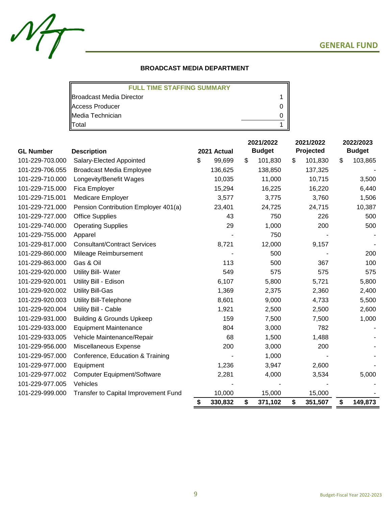

## **BROADCAST MEDIA DEPARTMENT**

| <b>FULL TIME STAFFING SUMMARY</b> |  |
|-----------------------------------|--|
| IBroadcast Media Director         |  |
| <b>Access Producer</b>            |  |
| Media Technician                  |  |
| <b>T</b> otal                     |  |

| <b>GL Number</b> | <b>Description</b>                   | 2021 Actual |         | 2021/2022<br><b>Budget</b> |         | 2021/2022<br>Projected | 2022/2023<br><b>Budget</b> |         |
|------------------|--------------------------------------|-------------|---------|----------------------------|---------|------------------------|----------------------------|---------|
| 101-229-703.000  | Salary-Elected Appointed             | \$          | 99,699  | \$                         | 101,830 | \$<br>101,830          | \$                         | 103,865 |
| 101-229-706.055  | <b>Broadcast Media Employee</b>      |             | 136,625 |                            | 138,850 | 137,325                |                            |         |
| 101-229-710.000  | Longevity/Benefit Wages              |             | 10,035  |                            | 11,000  | 10,715                 |                            | 3,500   |
| 101-229-715.000  | Fica Employer                        |             | 15,294  |                            | 16,225  | 16,220                 |                            | 6,440   |
| 101-229-715.001  | Medicare Employer                    |             | 3,577   |                            | 3,775   | 3,760                  |                            | 1,506   |
| 101-229-721.000  | Pension Contribution Employer 401(a) |             | 23,401  |                            | 24,725  | 24,715                 |                            | 10,387  |
| 101-229-727.000  | <b>Office Supplies</b>               |             | 43      |                            | 750     | 226                    |                            | 500     |
| 101-229-740.000  | <b>Operating Supplies</b>            |             | 29      |                            | 1,000   | 200                    |                            | 500     |
| 101-229-755.000  | Apparel                              |             |         |                            | 750     |                        |                            |         |
| 101-229-817.000  | <b>Consultant/Contract Services</b>  |             | 8,721   |                            | 12,000  | 9,157                  |                            |         |
| 101-229-860.000  | Mileage Reimbursement                |             |         |                            | 500     |                        |                            | 200     |
| 101-229-863.000  | Gas & Oil                            |             | 113     |                            | 500     | 367                    |                            | 100     |
| 101-229-920.000  | Utility Bill- Water                  |             | 549     |                            | 575     | 575                    |                            | 575     |
| 101-229-920.001  | Utility Bill - Edison                |             | 6,107   |                            | 5,800   | 5,721                  |                            | 5,800   |
| 101-229-920.002  | <b>Utility Bill-Gas</b>              |             | 1,369   |                            | 2,375   | 2,360                  |                            | 2,400   |
| 101-229-920.003  | <b>Utility Bill-Telephone</b>        |             | 8,601   |                            | 9,000   | 4,733                  |                            | 5,500   |
| 101-229-920.004  | Utility Bill - Cable                 |             | 1,921   |                            | 2,500   | 2,500                  |                            | 2,600   |
| 101-229-931.000  | <b>Building &amp; Grounds Upkeep</b> |             | 159     |                            | 7,500   | 7,500                  |                            | 1,000   |
| 101-229-933.000  | <b>Equipment Maintenance</b>         |             | 804     |                            | 3,000   | 782                    |                            |         |
| 101-229-933.005  | Vehicle Maintenance/Repair           |             | 68      |                            | 1,500   | 1,488                  |                            |         |
| 101-229-956.000  | Miscellaneous Expense                |             | 200     |                            | 3,000   | 200                    |                            |         |
| 101-229-957.000  | Conference, Education & Training     |             |         |                            | 1,000   |                        |                            |         |
| 101-229-977.000  | Equipment                            |             | 1,236   |                            | 3,947   | 2,600                  |                            |         |
| 101-229-977.002  | <b>Computer Equipment/Software</b>   |             | 2,281   |                            | 4,000   | 3,534                  |                            | 5,000   |
| 101-229-977.005  | Vehicles                             |             |         |                            |         |                        |                            |         |
| 101-229-999.000  | Transfer to Capital Improvement Fund |             | 10,000  |                            | 15,000  | 15,000                 |                            |         |
|                  |                                      | \$          | 330,832 | \$                         | 371,102 | \$<br>351,507          | \$                         | 149,873 |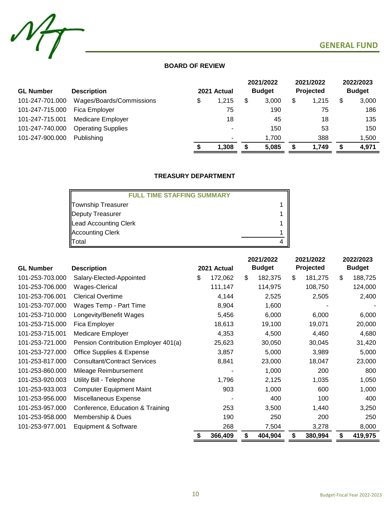

## **BOARD OF REVIEW**

|                  |                           |             |   | 2021/2022     |   | 2021/2022 | 2022/2023     |
|------------------|---------------------------|-------------|---|---------------|---|-----------|---------------|
| <b>GL Number</b> | <b>Description</b>        | 2021 Actual |   | <b>Budget</b> |   | Projected | <b>Budget</b> |
| 101-247-701.000  | Wages/Boards/Commissions  | \$<br>1,215 | S | 3.000         | S | 1,215     | \$<br>3,000   |
| 101-247-715.000  | Fica Employer             | 75          |   | 190           |   | 75        | 186           |
| 101-247-715.001  | <b>Medicare Employer</b>  | 18          |   | 45            |   | 18        | 135           |
| 101-247-740.000  | <b>Operating Supplies</b> | ٠           |   | 150           |   | 53        | 150           |
| 101-247-900.000  | Publishing                | ٠           |   | 1.700         |   | 388       | 1,500         |
|                  |                           | 1.308       |   | 5,085         |   | 1,749     | 4,971         |

## **TREASURY DEPARTMENT**

| <b>FULL TIME STAFFING SUMMARY</b> |  |
|-----------------------------------|--|
| Township Treasurer                |  |
| Deputy Treasurer                  |  |
| Lead Accounting Clerk             |  |
| Accounting Clerk                  |  |
| Total                             |  |

|                  |                                      |    |             | 2021/2022 |               | 2021/2022 |           | 2022/2023 |               |
|------------------|--------------------------------------|----|-------------|-----------|---------------|-----------|-----------|-----------|---------------|
| <b>GL Number</b> | <b>Description</b>                   |    | 2021 Actual |           | <b>Budget</b> |           | Projected |           | <b>Budget</b> |
| 101-253-703.000  | Salary-Elected-Appointed             | \$ | 172,062     | \$        | 182,375       | \$        | 181,275   | \$        | 188,725       |
| 101-253-706.000  | Wages-Clerical                       |    | 111,147     |           | 114,975       |           | 108,750   |           | 124,000       |
| 101-253-706.001  | <b>Clerical Overtime</b>             |    | 4,144       |           | 2,525         |           | 2,505     |           | 2,400         |
| 101-253-707.000  | Wages Temp - Part Time               |    | 8,904       |           | 1,600         |           |           |           |               |
| 101-253-710.000  | Longevity/Benefit Wages              |    | 5,456       |           | 6,000         |           | 6,000     |           | 6,000         |
| 101-253-715.000  | Fica Employer                        |    | 18,613      |           | 19,100        |           | 19,071    |           | 20,000        |
| 101-253-715.001  | Medicare Employer                    |    | 4,353       |           | 4,500         |           | 4,460     |           | 4,680         |
| 101-253-721.000  | Pension Contribution Employer 401(a) |    | 25,623      |           | 30,050        |           | 30,045    |           | 31,420        |
| 101-253-727.000  | Office Supplies & Expense            |    | 3,857       |           | 5,000         |           | 3,989     |           | 5,000         |
| 101-253-817.000  | <b>Consultant/Contract Services</b>  |    | 8,841       |           | 23,000        |           | 18,047    |           | 23,000        |
| 101-253-860.000  | Mileage Reimbursement                |    |             |           | 1,000         |           | 200       |           | 800           |
| 101-253-920.003  | Utility Bill - Telephone             |    | 1,796       |           | 2,125         |           | 1,035     |           | 1,050         |
| 101-253-933.003  | <b>Computer Equipment Maint</b>      |    | 903         |           | 1,000         |           | 600       |           | 1,000         |
| 101-253-956.000  | Miscellaneous Expense                |    |             |           | 400           |           | 100       |           | 400           |
| 101-253-957.000  | Conference, Education & Training     |    | 253         |           | 3,500         |           | 1,440     |           | 3,250         |
| 101-253-958.000  | Membership & Dues                    |    | 190         |           | 250           |           | 200       |           | 250           |
| 101-253-977.001  | Equipment & Software                 |    | 268         |           | 7,504         |           | 3,278     |           | 8,000         |
|                  |                                      | S  | 366,409     | \$        | 404,904       | \$        | 380,994   | \$        | 419,975       |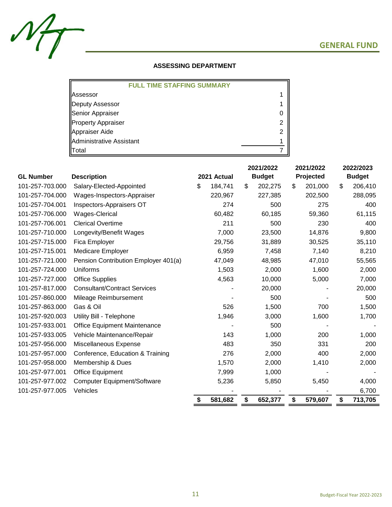

## **ASSESSING DEPARTMENT**

| <b>FULL TIME STAFFING SUMMARY</b> |  |
|-----------------------------------|--|
| <b>Assessor</b>                   |  |
| Deputy Assessor                   |  |
| Senior Appraiser                  |  |
| Property Appraiser                |  |
| Appraiser Aide                    |  |
| Administrative Assistant          |  |
| Total                             |  |

|                  |                                      |               | 2021/2022     |    | 2021/2022 |    | 2022/2023     |  |
|------------------|--------------------------------------|---------------|---------------|----|-----------|----|---------------|--|
| <b>GL Number</b> | <b>Description</b>                   | 2021 Actual   | <b>Budget</b> |    | Projected |    | <b>Budget</b> |  |
| 101-257-703.000  | Salary-Elected-Appointed             | \$<br>184,741 | \$<br>202,275 | \$ | 201,000   | \$ | 206,410       |  |
| 101-257-704.000  | Wages-Inspectors-Appraiser           | 220,967       | 227,385       |    | 202,500   |    | 288,095       |  |
| 101-257-704.001  | Inspectors-Appraisers OT             | 274           | 500           |    | 275       |    | 400           |  |
| 101-257-706.000  | Wages-Clerical                       | 60,482        | 60,185        |    | 59,360    |    | 61,115        |  |
| 101-257-706.001  | <b>Clerical Overtime</b>             | 211           | 500           |    | 230       |    | 400           |  |
| 101-257-710.000  | Longevity/Benefit Wages              | 7,000         | 23,500        |    | 14,876    |    | 9,800         |  |
| 101-257-715.000  | Fica Employer                        | 29,756        | 31,889        |    | 30,525    |    | 35,110        |  |
| 101-257-715.001  | Medicare Employer                    | 6,959         | 7,458         |    | 7,140     |    | 8,210         |  |
| 101-257-721.000  | Pension Contribution Employer 401(a) | 47,049        | 48,985        |    | 47,010    |    | 55,565        |  |
| 101-257-724.000  | Uniforms                             | 1,503         | 2,000         |    | 1,600     |    | 2,000         |  |
| 101-257-727.000  | <b>Office Supplies</b>               | 4,563         | 10,000        |    | 5,000     |    | 7,000         |  |
| 101-257-817.000  | <b>Consultant/Contract Services</b>  |               | 20,000        |    |           |    | 20,000        |  |
| 101-257-860.000  | Mileage Reimbursement                |               | 500           |    |           |    | 500           |  |
| 101-257-863.000  | Gas & Oil                            | 526           | 1,500         |    | 700       |    | 1,500         |  |
| 101-257-920.003  | Utility Bill - Telephone             | 1,946         | 3,000         |    | 1,600     |    | 1,700         |  |
| 101-257-933.001  | <b>Office Equipment Maintenance</b>  |               | 500           |    |           |    |               |  |
| 101-257-933.005  | Vehicle Maintenance/Repair           | 143           | 1,000         |    | 200       |    | 1,000         |  |
| 101-257-956.000  | Miscellaneous Expense                | 483           | 350           |    | 331       |    | 200           |  |
| 101-257-957.000  | Conference, Education & Training     | 276           | 2,000         |    | 400       |    | 2,000         |  |
| 101-257-958.000  | Membership & Dues                    | 1,570         | 2,000         |    | 1,410     |    | 2,000         |  |
| 101-257-977.001  | Office Equipment                     | 7,999         | 1,000         |    |           |    |               |  |
| 101-257-977.002  | <b>Computer Equipment/Software</b>   | 5,236         | 5,850         |    | 5,450     |    | 4,000         |  |
| 101-257-977.005  | Vehicles                             |               |               |    |           |    | 6,700         |  |
|                  |                                      | \$<br>581,682 | \$<br>652,377 | \$ | 579,607   | \$ | 713,705       |  |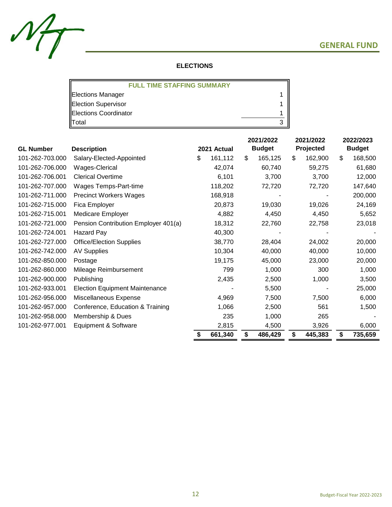

## **ELECTIONS**

| <b>FULL TIME STAFFING SUMMARY</b> |   |
|-----------------------------------|---|
| <b>Elections Manager</b>          |   |
| <b>Election Supervisor</b>        |   |
| <b>Elections Coordinator</b>      |   |
| lTotal                            | າ |

|                  |                                       |    |             | 2021/2022 |               | 2021/2022 |           | 2022/2023      |               |
|------------------|---------------------------------------|----|-------------|-----------|---------------|-----------|-----------|----------------|---------------|
| <b>GL Number</b> | <b>Description</b>                    |    | 2021 Actual |           | <b>Budget</b> |           | Projected |                | <b>Budget</b> |
| 101-262-703.000  | Salary-Elected-Appointed              | \$ | 161,112     | \$        | 165,125       | \$        | 162,900   | $\mathfrak{S}$ | 168,500       |
| 101-262-706.000  | Wages-Clerical                        |    | 42,074      |           | 60,740        |           | 59,275    |                | 61,680        |
| 101-262-706.001  | <b>Clerical Overtime</b>              |    | 6,101       |           | 3,700         |           | 3,700     |                | 12,000        |
| 101-262-707.000  | Wages Temps-Part-time                 |    | 118,202     |           | 72,720        |           | 72,720    |                | 147,640       |
| 101-262-711.000  | <b>Precinct Workers Wages</b>         |    | 168,918     |           |               |           |           |                | 200,000       |
| 101-262-715.000  | Fica Employer                         |    | 20,873      |           | 19,030        |           | 19,026    |                | 24,169        |
| 101-262-715.001  | <b>Medicare Employer</b>              |    | 4,882       |           | 4,450         |           | 4,450     |                | 5,652         |
| 101-262-721.000  | Pension Contribution Employer 401(a)  |    | 18,312      |           | 22,760        |           | 22,758    |                | 23,018        |
| 101-262-724.001  | Hazard Pay                            |    | 40,300      |           |               |           |           |                |               |
| 101-262-727.000  | <b>Office/Election Supplies</b>       |    | 38,770      |           | 28,404        |           | 24,002    |                | 20,000        |
| 101-262-742.000  | <b>AV Supplies</b>                    |    | 10,304      |           | 40,000        |           | 40,000    |                | 10,000        |
| 101-262-850.000  | Postage                               |    | 19,175      |           | 45,000        |           | 23,000    |                | 20,000        |
| 101-262-860.000  | Mileage Reimbursement                 |    | 799         |           | 1,000         |           | 300       |                | 1,000         |
| 101-262-900.000  | Publishing                            |    | 2,435       |           | 2,500         |           | 1,000     |                | 3,500         |
| 101-262-933.001  | <b>Election Equipment Maintenance</b> |    |             |           | 5,500         |           |           |                | 25,000        |
| 101-262-956.000  | Miscellaneous Expense                 |    | 4,969       |           | 7,500         |           | 7,500     |                | 6,000         |
| 101-262-957.000  | Conference, Education & Training      |    | 1,066       |           | 2,500         |           | 561       |                | 1,500         |
| 101-262-958.000  | Membership & Dues                     |    | 235         |           | 1,000         |           | 265       |                |               |
| 101-262-977.001  | Equipment & Software                  |    | 2,815       |           | 4,500         |           | 3,926     |                | 6,000         |
|                  |                                       | S  | 661,340     | \$        | 486,429       | \$        | 445,383   | \$             | 735,659       |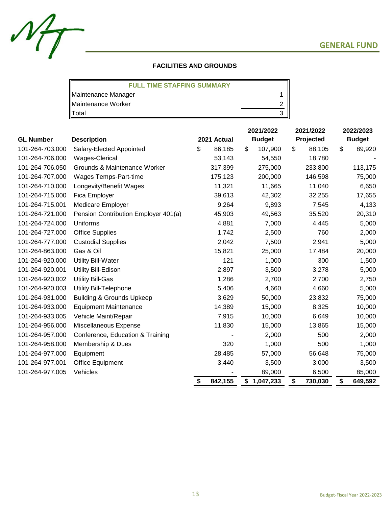

| <b>FULL TIME STAFFING SUMMARY</b> |  |
|-----------------------------------|--|
| Maintenance Manager               |  |
| Maintenance Worker                |  |
| Total                             |  |

 $M_{\mathcal{T}}$ 

|                  |                                      |               | 2021/2022 |               | 2021/2022 |           | 2022/2023 |               |
|------------------|--------------------------------------|---------------|-----------|---------------|-----------|-----------|-----------|---------------|
| <b>GL Number</b> | <b>Description</b>                   | 2021 Actual   |           | <b>Budget</b> |           | Projected |           | <b>Budget</b> |
| 101-264-703.000  | Salary-Elected Appointed             | \$<br>86,185  | \$        | 107,900       | S         | 88,105    | \$        | 89,920        |
| 101-264-706.000  | Wages-Clerical                       | 53,143        |           | 54,550        |           | 18,780    |           |               |
| 101-264-706.050  | Grounds & Maintenance Worker         | 317,399       |           | 275,000       |           | 233,800   |           | 113,175       |
| 101-264-707.000  | Wages Temps-Part-time                | 175,123       |           | 200,000       |           | 146,598   |           | 75,000        |
| 101-264-710.000  | Longevity/Benefit Wages              | 11,321        |           | 11,665        |           | 11,040    |           | 6,650         |
| 101-264-715.000  | Fica Employer                        | 39,613        |           | 42,302        |           | 32,255    |           | 17,655        |
| 101-264-715.001  | Medicare Employer                    | 9,264         |           | 9,893         |           | 7,545     |           | 4,133         |
| 101-264-721.000  | Pension Contribution Employer 401(a) | 45,903        |           | 49,563        |           | 35,520    |           | 20,310        |
| 101-264-724.000  | Uniforms                             | 4,881         |           | 7,000         |           | 4,445     |           | 5,000         |
| 101-264-727.000  | <b>Office Supplies</b>               | 1,742         |           | 2,500         |           | 760       |           | 2,000         |
| 101-264-777.000  | <b>Custodial Supplies</b>            | 2,042         |           | 7,500         |           | 2,941     |           | 5,000         |
| 101-264-863.000  | Gas & Oil                            | 15,821        |           | 25,000        |           | 17,484    |           | 20,000        |
| 101-264-920.000  | <b>Utility Bill-Water</b>            | 121           |           | 1,000         |           | 300       |           | 1,500         |
| 101-264-920.001  | Utility Bill-Edison                  | 2,897         |           | 3,500         |           | 3,278     |           | 5,000         |
| 101-264-920.002  | Utility Bill-Gas                     | 1,286         |           | 2,700         |           | 2,700     |           | 2,750         |
| 101-264-920.003  | <b>Utility Bill-Telephone</b>        | 5,406         |           | 4,660         |           | 4,660     |           | 5,000         |
| 101-264-931.000  | <b>Building &amp; Grounds Upkeep</b> | 3,629         |           | 50,000        |           | 23,832    |           | 75,000        |
| 101-264-933.000  | <b>Equipment Maintenance</b>         | 14,389        |           | 15,000        |           | 8,325     |           | 10,000        |
| 101-264-933.005  | Vehicle Maint/Repair                 | 7,915         |           | 10,000        |           | 6,649     |           | 10,000        |
| 101-264-956.000  | Miscellaneous Expense                | 11,830        |           | 15,000        |           | 13,865    |           | 15,000        |
| 101-264-957.000  | Conference, Education & Training     |               |           | 2,000         |           | 500       |           | 2,000         |
| 101-264-958.000  | Membership & Dues                    | 320           |           | 1,000         |           | 500       |           | 1,000         |
| 101-264-977.000  | Equipment                            | 28,485        |           | 57,000        |           | 56,648    |           | 75,000        |
| 101-264-977.001  | <b>Office Equipment</b>              | 3,440         |           | 3,500         |           | 3,000     |           | 3,500         |
| 101-264-977.005  | Vehicles                             |               |           | 89,000        |           | 6,500     |           | 85,000        |
|                  |                                      | \$<br>842,155 | \$        | 1,047,233     | \$        | 730,030   | \$        | 649,592       |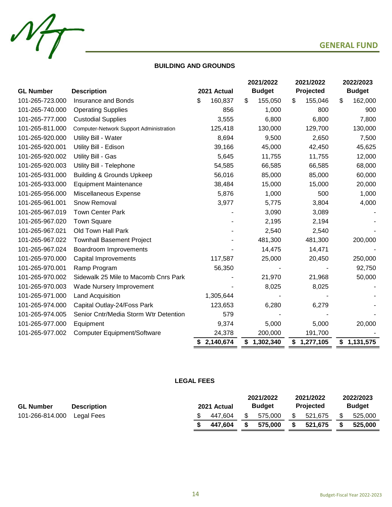

## **BUILDING AND GROUNDS**

 $M_{\!T}$ 

|                  |                                         |                 | 2021/2022 |               | 2021/2022 |           | 2022/2023     |             |
|------------------|-----------------------------------------|-----------------|-----------|---------------|-----------|-----------|---------------|-------------|
| <b>GL Number</b> | <b>Description</b>                      | 2021 Actual     |           | <b>Budget</b> |           | Projected | <b>Budget</b> |             |
| 101-265-723.000  | <b>Insurance and Bonds</b>              | \$<br>160,837   | \$        | 155,050       | \$        | 155,046   | \$            | 162,000     |
| 101-265-740.000  | <b>Operating Supplies</b>               | 856             |           | 1,000         |           | 800       |               | 900         |
| 101-265-777.000  | <b>Custodial Supplies</b>               | 3,555           |           | 6,800         |           | 6,800     |               | 7,800       |
| 101-265-811.000  | Computer-Network Support Administration | 125,418         |           | 130,000       |           | 129,700   |               | 130,000     |
| 101-265-920.000  | Utility Bill - Water                    | 8,694           |           | 9,500         |           | 2,650     |               | 7,500       |
| 101-265-920.001  | Utility Bill - Edison                   | 39,166          |           | 45,000        |           | 42,450    |               | 45,625      |
| 101-265-920.002  | Utility Bill - Gas                      | 5,645           |           | 11,755        |           | 11,755    |               | 12,000      |
| 101-265-920.003  | Utility Bill - Telephone                | 54,585          |           | 66,585        |           | 66,585    |               | 68,000      |
| 101-265-931.000  | <b>Building &amp; Grounds Upkeep</b>    | 56,016          |           | 85,000        |           | 85,000    |               | 60,000      |
| 101-265-933.000  | <b>Equipment Maintenance</b>            | 38,484          |           | 15,000        |           | 15,000    |               | 20,000      |
| 101-265-956.000  | Miscellaneous Expense                   | 5,876           |           | 1,000         |           | 500       |               | 1,000       |
| 101-265-961.001  | Snow Removal                            | 3,977           |           | 5,775         |           | 3,804     |               | 4,000       |
| 101-265-967.019  | <b>Town Center Park</b>                 |                 |           | 3,090         |           | 3,089     |               |             |
| 101-265-967.020  | <b>Town Square</b>                      |                 |           | 2,195         |           | 2,194     |               |             |
| 101-265-967.021  | Old Town Hall Park                      |                 |           | 2,540         |           | 2,540     |               |             |
| 101-265-967.022  | <b>Townhall Basement Project</b>        |                 |           | 481,300       |           | 481,300   |               | 200,000     |
| 101-265-967.024  | Boardroom Improvements                  |                 |           | 14,475        |           | 14,471    |               |             |
| 101-265-970.000  | Capital Improvements                    | 117,587         |           | 25,000        |           | 20,450    |               | 250,000     |
| 101-265-970.001  | Ramp Program                            | 56,350          |           |               |           |           |               | 92,750      |
| 101-265-970.002  | Sidewalk 25 Mile to Macomb Cnrs Park    |                 |           | 21,970        |           | 21,968    |               | 50,000      |
| 101-265-970.003  | Wade Nursery Improvement                |                 |           | 8,025         |           | 8,025     |               |             |
| 101-265-971.000  | Land Acquisition                        | 1,305,644       |           |               |           |           |               |             |
| 101-265-974.000  | Capital Outlay-24/Foss Park             | 123,653         |           | 6,280         |           | 6,279     |               |             |
| 101-265-974.005  | Senior Cntr/Media Storm Wtr Detention   | 579             |           |               |           |           |               |             |
| 101-265-977.000  | Equipment                               | 9,374           |           | 5,000         |           | 5,000     |               | 20,000      |
| 101-265-977.002  | <b>Computer Equipment/Software</b>      | 24,378          |           | 200,000       |           | 191,700   |               |             |
|                  |                                         | \$<br>2,140,674 | \$        | 1,302,340     | \$        | 1,277,105 |               | \$1,131,575 |

## **LEGAL FEES**

|                  |                    |                              |  | 2021/2022        |  | 2021/2022     |  | 2022/2023 |
|------------------|--------------------|------------------------------|--|------------------|--|---------------|--|-----------|
| <b>GL Number</b> | <b>Description</b> | <b>Budget</b><br>2021 Actual |  | <b>Projected</b> |  | <b>Budget</b> |  |           |
| 101-266-814.000  | Legal Fees         | 447.604                      |  | 575.000          |  | 521.675       |  | 525,000   |
|                  |                    | 447.604                      |  | 575.000          |  | 521.675       |  | 525.000   |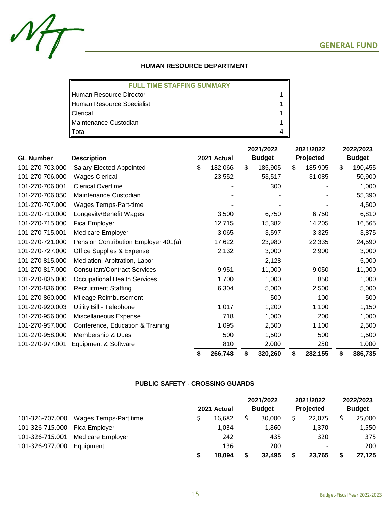

## **HUMAN RESOURCE DEPARTMENT**

| <b>FULL TIME STAFFING SUMMARY</b> |  |
|-----------------------------------|--|
| Human Resource Director           |  |
| Human Resource Specialist         |  |
| <b>Clerical</b>                   |  |
| Maintenance Custodian             |  |
| Total                             |  |

|                  |                                      |             |         | 2021/2022     |         | 2021/2022 |         | 2022/2023     |         |
|------------------|--------------------------------------|-------------|---------|---------------|---------|-----------|---------|---------------|---------|
| <b>GL Number</b> | <b>Description</b>                   | 2021 Actual |         | <b>Budget</b> |         | Projected |         | <b>Budget</b> |         |
| 101-270-703.000  | Salary-Elected-Appointed             | \$          | 182,066 | \$            | 185,905 | \$        | 185,905 | \$            | 190,455 |
| 101-270-706.000  | <b>Wages Clerical</b>                |             | 23,552  |               | 53,517  |           | 31,085  |               | 50,900  |
| 101-270-706.001  | <b>Clerical Overtime</b>             |             |         |               | 300     |           |         |               | 1,000   |
| 101-270-706.050  | Maintenance Custodian                |             |         |               |         |           |         |               | 55,390  |
| 101-270-707.000  | Wages Temps-Part-time                |             |         |               |         |           |         |               | 4,500   |
| 101-270-710.000  | Longevity/Benefit Wages              |             | 3,500   |               | 6,750   |           | 6,750   |               | 6,810   |
| 101-270-715.000  | Fica Employer                        |             | 12,715  |               | 15,382  |           | 14,205  |               | 16,565  |
| 101-270-715.001  | <b>Medicare Employer</b>             |             | 3,065   |               | 3,597   |           | 3,325   |               | 3,875   |
| 101-270-721.000  | Pension Contribution Employer 401(a) |             | 17,622  |               | 23,980  |           | 22,335  |               | 24,590  |
| 101-270-727.000  | Office Supplies & Expense            |             | 2,132   |               | 3,000   |           | 2,900   |               | 3,000   |
| 101-270-815.000  | Mediation, Arbitration, Labor        |             |         |               | 2,128   |           |         |               | 5,000   |
| 101-270-817.000  | <b>Consultant/Contract Services</b>  |             | 9,951   |               | 11,000  |           | 9,050   |               | 11,000  |
| 101-270-835.000  | <b>Occupational Health Services</b>  |             | 1,700   |               | 1,000   |           | 850     |               | 1,000   |
| 101-270-836.000  | <b>Recruitment Staffing</b>          |             | 6,304   |               | 5,000   |           | 2,500   |               | 5,000   |
| 101-270-860.000  | Mileage Reimbursement                |             |         |               | 500     |           | 100     |               | 500     |
| 101-270-920.003  | Utility Bill - Telephone             |             | 1,017   |               | 1,200   |           | 1,100   |               | 1,150   |
| 101-270-956.000  | Miscellaneous Expense                |             | 718     |               | 1,000   |           | 200     |               | 1,000   |
| 101-270-957.000  | Conference, Education & Training     |             | 1,095   |               | 2,500   |           | 1,100   |               | 2,500   |
| 101-270-958.000  | Membership & Dues                    |             | 500     |               | 1,500   |           | 500     |               | 1,500   |
| 101-270-977.001  | Equipment & Software                 |             | 810     |               | 2,000   |           | 250     |               | 1,000   |
|                  |                                      | S           | 266,748 | \$            | 320,260 | \$        | 282,155 | \$            | 386,735 |

## **PUBLIC SAFETY - CROSSING GUARDS**

|                 |                       | 2021 Actual | 2021/2022<br><b>Budget</b> | 2021/2022<br><b>Projected</b> | 2022/2023<br><b>Budget</b> |
|-----------------|-----------------------|-------------|----------------------------|-------------------------------|----------------------------|
| 101-326-707.000 | Wages Temps-Part time | 16,682      | 30,000                     | 22,075                        | 25,000                     |
| 101-326-715.000 | Fica Employer         | 1,034       | 1,860                      | 1,370                         | 1,550                      |
| 101-326-715.001 | Medicare Employer     | 242         | 435                        | 320                           | 375                        |
| 101-326-977.000 | Equipment             | 136         | 200                        | $\overline{\phantom{a}}$      | 200                        |
|                 |                       | 18,094      | 32,495                     | 23.765                        | 27,125                     |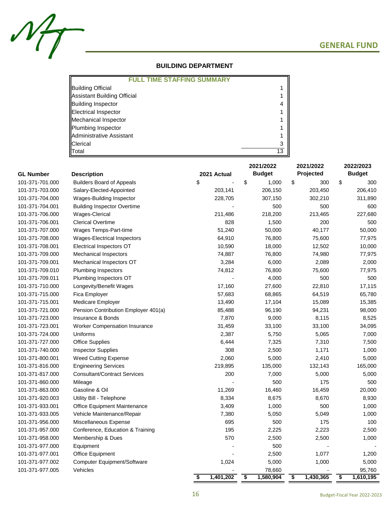

## **BUILDING DEPARTMENT**

| <b>JLL TIME STAFFING SUMMARY</b> |  |
|----------------------------------|--|
| <b>Building Official</b>         |  |
| Assistant Building Official      |  |
| <b>Building Inspector</b>        |  |
| Electrical Inspector             |  |
| Mechanical Inspector             |  |
| Plumbing Inspector               |  |
| Administrative Assistant         |  |
| <b>Clerical</b>                  |  |
| Total                            |  |

|                  |                                      |                 | 2021/2022       | 2021/2022       | 2022/2023                                         |  |
|------------------|--------------------------------------|-----------------|-----------------|-----------------|---------------------------------------------------|--|
| <b>GL Number</b> | <b>Description</b>                   | 2021 Actual     | <b>Budget</b>   | Projected       | <b>Budget</b>                                     |  |
| 101-371-701.000  | <b>Builders Board of Appeals</b>     | \$              | \$<br>1,000     | \$<br>300       | \$<br>300                                         |  |
| 101-371-703.000  | Salary-Elected-Appointed             | 203,141         | 206,150         | 203,450         | 206,410                                           |  |
| 101-371-704.000  | Wages-Building Inspector             | 228,705         | 307,150         | 302,210         | 311,890                                           |  |
| 101-371-704.001  | <b>Building Inspector Overtime</b>   |                 | 500             | 500             | 600                                               |  |
| 101-371-706.000  | Wages-Clerical                       | 211,486         | 218,200         | 213,465         | 227,680                                           |  |
| 101-371-706.001  | <b>Clerical Overtime</b>             | 828             | 1,500           | 200             | 500                                               |  |
| 101-371-707.000  | Wages Temps-Part-time                | 51,240          | 50,000          | 40,177          | 50,000                                            |  |
| 101-371-708.000  | Wages-Electrical Inspectors          | 64,910          | 76,800          | 75,600          | 77,975                                            |  |
| 101-371-708.001  | Electrical Inspectors OT             | 10,590          | 18,000          | 12,502          | 10,000                                            |  |
| 101-371-709.000  | <b>Mechanical Inspectors</b>         | 74,887          | 76,800          | 74,980          | 77,975                                            |  |
| 101-371-709.001  | Mechanical Inspectors OT             | 3,284           | 6,000           | 2,089           | 2,000                                             |  |
| 101-371-709.010  | Plumbing Inspectors                  | 74,812          | 76,800          | 75,600          | 77,975                                            |  |
| 101-371-709.011  | Plumbing Inspectors OT               |                 | 4,000           | 500             | 500                                               |  |
| 101-371-710.000  | Longevity/Benefit Wages              | 17,160          | 27,600          | 22,810          | 17,115                                            |  |
| 101-371-715.000  | Fica Employer                        | 57,683          | 68,865          | 64,519          | 65,780                                            |  |
| 101-371-715.001  | Medicare Employer                    | 13,490          | 17,104          | 15,089          | 15,385                                            |  |
| 101-371-721.000  | Pension Contribution Employer 401(a) | 85,488          | 96,190          | 94,231          | 98,000                                            |  |
| 101-371-723.000  | Insurance & Bonds                    | 7,870           | 9,000           | 8,115           | 8,525                                             |  |
| 101-371-723.001  | <b>Worker Compensation Insurance</b> | 31,459          | 33,100          | 33,100          | 34,095                                            |  |
| 101-371-724.000  | Uniforms                             | 2,387           | 5,750           | 5,065           | 7,000                                             |  |
| 101-371-727.000  | <b>Office Supplies</b>               | 6,444           | 7,325           | 7,310           | 7,500                                             |  |
| 101-371-740.000  | <b>Inspector Supplies</b>            | 308             | 2,500           | 1,171           | 1,000                                             |  |
| 101-371-800.001  | <b>Weed Cutting Expense</b>          | 2,060           | 5,000           | 2,410           | 5,000                                             |  |
| 101-371-816.000  | <b>Engineering Services</b>          | 219,895         | 135,000         | 132,143         | 165,000                                           |  |
| 101-371-817.000  | <b>Consultant/Contract Services</b>  | 200             | 7,000           | 5,000           | 5,000                                             |  |
| 101-371-860.000  | Mileage                              |                 | 500             | 175             | 500                                               |  |
| 101-371-863.000  | Gasoline & Oil                       | 11,269          | 16,460          | 16,459          | 20,000                                            |  |
| 101-371-920.003  | Utility Bill - Telephone             | 8,334           | 8,675           | 8,670           | 8,930                                             |  |
| 101-371-933.001  | <b>Office Equipment Maintenance</b>  | 3,409           | 1,000           | 500             | 1,000                                             |  |
| 101-371-933.005  | Vehicle Maintenance/Repair           | 7,380           | 5,050           | 5,049           | 1,000                                             |  |
| 101-371-956.000  | Miscellaneous Expense                | 695             | 500             | 175             | 100                                               |  |
| 101-371-957.000  | Conference, Education & Training     | 195             | 2,225           | 2,223           | 2,500                                             |  |
| 101-371-958.000  | Membership & Dues                    | 570             | 2,500           | 2,500           | 1,000                                             |  |
| 101-371-977.000  | Equipment                            |                 | 500             |                 |                                                   |  |
| 101-371-977.001  | <b>Office Equipment</b>              |                 | 2,500           | 1,077           | 1,200                                             |  |
| 101-371-977.002  | Computer Equipment/Software          | 1,024           | 5,000           | 1,000           | 5,000                                             |  |
| 101-371-977.005  | Vehicles                             |                 | 78,660          |                 | 95,760                                            |  |
|                  |                                      | \$<br>1,401,202 | \$<br>1,580,904 | 1,430,365<br>\$ | $\overline{\boldsymbol{\mathsf{s}}}$<br>1,610,195 |  |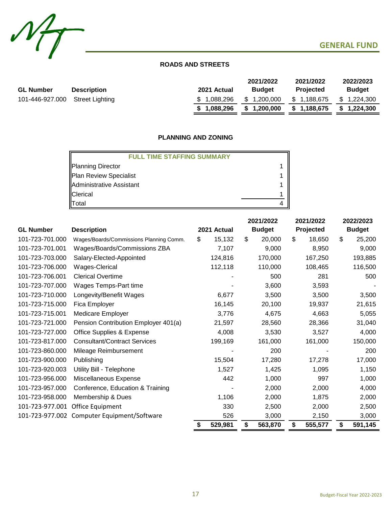



 $M_{\overline{1}}$ 

|                  |                    |             | 2021/2022     | 2021/2022        | 2022/2023   |
|------------------|--------------------|-------------|---------------|------------------|-------------|
| <b>GL Number</b> | <b>Description</b> | 2021 Actual | <b>Budget</b> | <b>Projected</b> | Budget      |
| 101-446-927.000  | Street Lighting    | \$1.088.296 | \$1,200,000   | \$1,188,675      | \$1,224,300 |
|                  |                    | \$1.088.296 | \$1,200,000   | \$1,188,675      | \$1.224.300 |

## **PLANNING AND ZONING**

| <b>FULL TIME STAFFING SUMMARY</b> |  |
|-----------------------------------|--|
| Planning Director                 |  |
| Plan Review Specialist            |  |
| Administrative Assistant          |  |
| Clerical                          |  |
| Total                             |  |

|                  |                                         |    |             | 2021/2022 |               | 2021/2022 |         | 2022/2023     |         |
|------------------|-----------------------------------------|----|-------------|-----------|---------------|-----------|---------|---------------|---------|
| <b>GL Number</b> | <b>Description</b>                      |    | 2021 Actual |           | <b>Budget</b> | Projected |         | <b>Budget</b> |         |
| 101-723-701.000  | Wages/Boards/Commissions Planning Comm. | \$ | 15,132      | \$        | 20,000        | \$        | 18,650  | \$            | 25,200  |
| 101-723-701.001  | Wages/Boards/Commissions ZBA            |    | 7,107       |           | 9,000         |           | 8,950   |               | 9,000   |
| 101-723-703.000  | Salary-Elected-Appointed                |    | 124,816     |           | 170,000       |           | 167,250 |               | 193,885 |
| 101-723-706.000  | Wages-Clerical                          |    | 112,118     |           | 110,000       |           | 108,465 |               | 116,500 |
| 101-723-706.001  | <b>Clerical Overtime</b>                |    |             |           | 500           |           | 281     |               | 500     |
| 101-723-707.000  | Wages Temps-Part time                   |    |             |           | 3,600         |           | 3,593   |               |         |
| 101-723-710.000  | Longevity/Benefit Wages                 |    | 6,677       |           | 3,500         |           | 3,500   |               | 3,500   |
| 101-723-715.000  | Fica Employer                           |    | 16,145      |           | 20,100        |           | 19,937  |               | 21,615  |
| 101-723-715.001  | Medicare Employer                       |    | 3,776       |           | 4,675         |           | 4,663   |               | 5,055   |
| 101-723-721.000  | Pension Contribution Employer 401(a)    |    | 21,597      |           | 28,560        |           | 28,366  |               | 31,040  |
| 101-723-727.000  | <b>Office Supplies &amp; Expense</b>    |    | 4,008       |           | 3,530         |           | 3,527   |               | 4,000   |
| 101-723-817.000  | <b>Consultant/Contract Services</b>     |    | 199,169     |           | 161,000       |           | 161,000 |               | 150,000 |
| 101-723-860.000  | Mileage Reimbursement                   |    |             |           | 200           |           |         |               | 200     |
| 101-723-900.000  | Publishing                              |    | 15,504      |           | 17,280        |           | 17,278  |               | 17,000  |
| 101-723-920.003  | Utility Bill - Telephone                |    | 1,527       |           | 1,425         |           | 1,095   |               | 1,150   |
| 101-723-956.000  | Miscellaneous Expense                   |    | 442         |           | 1,000         |           | 997     |               | 1,000   |
| 101-723-957.000  | Conference, Education & Training        |    |             |           | 2,000         |           | 2,000   |               | 4,000   |
| 101-723-958.000  | Membership & Dues                       |    | 1,106       |           | 2,000         |           | 1,875   |               | 2,000   |
| 101-723-977.001  | Office Equipment                        |    | 330         |           | 2,500         |           | 2,000   |               | 2,500   |
| 101-723-977.002  | Computer Equipment/Software             |    | 526         |           | 3,000         |           | 2,150   |               | 3,000   |
|                  |                                         | \$ | 529,981     | \$        | 563,870       | \$        | 555,577 | \$            | 591,145 |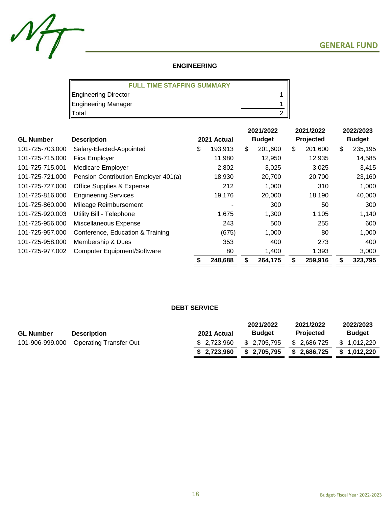

## **ENGINEERING**

| <b>FULL TIME STAFFING SUMMARY</b> |  |
|-----------------------------------|--|
| Engineering Director              |  |
| Engineering Manager               |  |
| Total                             |  |

|                  |                                      |             |         | 2021/2022     |         | 2021/2022 |         | 2022/2023     |         |
|------------------|--------------------------------------|-------------|---------|---------------|---------|-----------|---------|---------------|---------|
| <b>GL Number</b> | <b>Description</b>                   | 2021 Actual |         | <b>Budget</b> |         | Projected |         | <b>Budget</b> |         |
| 101-725-703.000  | Salary-Elected-Appointed             | \$          | 193,913 | \$            | 201,600 | \$        | 201,600 | \$            | 235,195 |
| 101-725-715.000  | Fica Employer                        |             | 11,980  |               | 12,950  |           | 12,935  |               | 14,585  |
| 101-725-715.001  | Medicare Employer                    |             | 2,802   |               | 3,025   |           | 3,025   |               | 3,415   |
| 101-725-721.000  | Pension Contribution Employer 401(a) |             | 18,930  |               | 20,700  |           | 20,700  |               | 23,160  |
| 101-725-727.000  | Office Supplies & Expense            |             | 212     |               | 1,000   |           | 310     |               | 1,000   |
| 101-725-816.000  | <b>Engineering Services</b>          |             | 19,176  |               | 20,000  |           | 18,190  |               | 40,000  |
| 101-725-860.000  | Mileage Reimbursement                |             |         |               | 300     |           | 50      |               | 300     |
| 101-725-920.003  | Utility Bill - Telephone             |             | 1,675   |               | 1,300   |           | 1,105   |               | 1,140   |
| 101-725-956.000  | Miscellaneous Expense                |             | 243     |               | 500     |           | 255     |               | 600     |
| 101-725-957.000  | Conference, Education & Training     |             | (675)   |               | 1,000   |           | 80      |               | 1,000   |
| 101-725-958.000  | Membership & Dues                    |             | 353     |               | 400     |           | 273     |               | 400     |
| 101-725-977.002  | <b>Computer Equipment/Software</b>   |             | 80      |               | 1,400   |           | 1,393   |               | 3,000   |
|                  |                                      | \$          | 248,688 | \$            | 264,175 | \$        | 259,916 |               | 323,795 |

## **DEBT SERVICE**

| <b>GL Number</b> | <b>Description</b>                     | 2021 Actual  | 2021/2022<br><b>Budget</b> | 2021/2022<br><b>Projected</b> | 2022/2023<br><b>Budget</b> |
|------------------|----------------------------------------|--------------|----------------------------|-------------------------------|----------------------------|
|                  | 101-906-999.000 Operating Transfer Out | \$ 2.723.960 | \$ 2,705,795               | \$ 2,686,725                  | \$1,012,220                |
|                  |                                        | \$2,723,960  | \$2,705,795                | \$2,686,725                   | \$1,012,220                |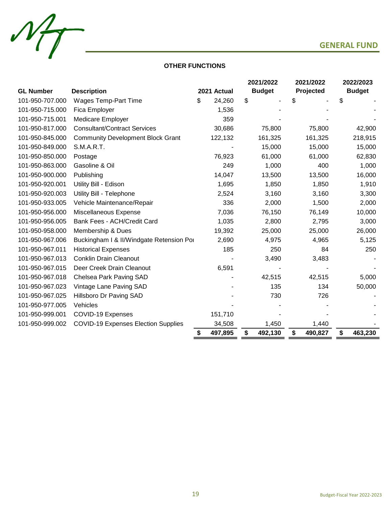



## **OTHER FUNCTIONS**

|                  |                                            |               | 2021/2022     |    | 2021/2022 | 2022/2023     |
|------------------|--------------------------------------------|---------------|---------------|----|-----------|---------------|
| <b>GL Number</b> | <b>Description</b>                         | 2021 Actual   | <b>Budget</b> |    | Projected | <b>Budget</b> |
| 101-950-707.000  | <b>Wages Temp-Part Time</b>                | \$<br>24,260  | \$            | S. |           | \$            |
| 101-950-715.000  | Fica Employer                              | 1,536         |               |    |           |               |
| 101-950-715.001  | <b>Medicare Employer</b>                   | 359           |               |    |           |               |
| 101-950-817.000  | <b>Consultant/Contract Services</b>        | 30,686        | 75,800        |    | 75,800    | 42,900        |
| 101-950-845.000  | <b>Community Development Block Grant</b>   | 122,132       | 161,325       |    | 161,325   | 218,915       |
| 101-950-849.000  | S.M.A.R.T.                                 |               | 15,000        |    | 15,000    | 15,000        |
| 101-950-850.000  | Postage                                    | 76,923        | 61,000        |    | 61,000    | 62,830        |
| 101-950-863.000  | Gasoline & Oil                             | 249           | 1,000         |    | 400       | 1,000         |
| 101-950-900.000  | Publishing                                 | 14,047        | 13,500        |    | 13,500    | 16,000        |
| 101-950-920.001  | Utility Bill - Edison                      | 1,695         | 1,850         |    | 1,850     | 1,910         |
| 101-950-920.003  | Utility Bill - Telephone                   | 2,524         | 3,160         |    | 3,160     | 3,300         |
| 101-950-933.005  | Vehicle Maintenance/Repair                 | 336           | 2,000         |    | 1,500     | 2,000         |
| 101-950-956.000  | Miscellaneous Expense                      | 7,036         | 76,150        |    | 76,149    | 10,000        |
| 101-950-956.005  | Bank Fees - ACH/Credit Card                | 1,035         | 2,800         |    | 2,795     | 3,000         |
| 101-950-958.000  | Membership & Dues                          | 19,392        | 25,000        |    | 25,000    | 26,000        |
| 101-950-967.006  | Buckingham I & II/Windgate Retension Por   | 2,690         | 4,975         |    | 4,965     | 5,125         |
| 101-950-967.011  | <b>Historical Expenses</b>                 | 185           | 250           |    | 84        | 250           |
| 101-950-967.013  | <b>Conklin Drain Cleanout</b>              |               | 3,490         |    | 3,483     |               |
| 101-950-967.015  | Deer Creek Drain Cleanout                  | 6,591         |               |    |           |               |
| 101-950-967.018  | Chelsea Park Paving SAD                    |               | 42,515        |    | 42,515    | 5,000         |
| 101-950-967.023  | Vintage Lane Paving SAD                    |               | 135           |    | 134       | 50,000        |
| 101-950-967.025  | Hillsboro Dr Paving SAD                    |               | 730           |    | 726       |               |
| 101-950-977.005  | Vehicles                                   |               |               |    |           |               |
| 101-950-999.001  | COVID-19 Expenses                          | 151,710       |               |    |           |               |
| 101-950-999.002  | <b>COVID-19 Expenses Election Supplies</b> | 34,508        | 1,450         |    | 1,440     |               |
|                  |                                            | \$<br>497,895 | \$<br>492,130 | \$ | 490,827   | \$<br>463,230 |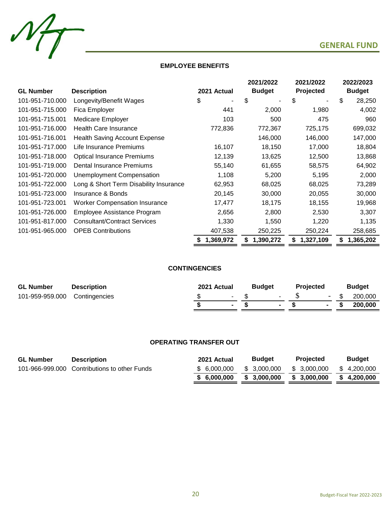



 $M_{T}$ 

|                  |                                        |                | 2021/2022       | 2021/2022       | 2022/2023       |  |
|------------------|----------------------------------------|----------------|-----------------|-----------------|-----------------|--|
| <b>GL Number</b> | <b>Description</b>                     | 2021 Actual    | <b>Budget</b>   | Projected       | <b>Budget</b>   |  |
| 101-951-710.000  | Longevity/Benefit Wages                | \$             | \$              | \$              | \$<br>28,250    |  |
| 101-951-715.000  | Fica Employer                          | 441            | 2,000           | 1,980           | 4,002           |  |
| 101-951-715.001  | <b>Medicare Employer</b>               | 103            | 500             | 475             | 960             |  |
| 101-951-716.000  | <b>Health Care Insurance</b>           | 772,836        | 772,367         | 725,175         | 699,032         |  |
| 101-951-716.001  | <b>Health Saving Account Expense</b>   |                | 146,000         | 146,000         | 147,000         |  |
| 101-951-717.000  | Life Insurance Premiums                | 16,107         | 18,150          | 17,000          | 18,804          |  |
| 101-951-718.000  | <b>Optical Insurance Premiums</b>      | 12,139         | 13,625          | 12,500          | 13,868          |  |
| 101-951-719.000  | Dental Insurance Premiums              | 55,140         | 61,655          | 58,575          | 64,902          |  |
| 101-951-720.000  | <b>Unemployment Compensation</b>       | 1,108          | 5,200           | 5,195           | 2,000           |  |
| 101-951-722.000  | Long & Short Term Disability Insurance | 62,953         | 68,025          | 68,025          | 73,289          |  |
| 101-951-723.000  | Insurance & Bonds                      | 20,145         | 30,000          | 20,055          | 30,000          |  |
| 101-951-723.001  | <b>Worker Compensation Insurance</b>   | 17,477         | 18,175          | 18,155          | 19,968          |  |
| 101-951-726.000  | Employee Assistance Program            | 2,656          | 2,800           | 2,530           | 3,307           |  |
| 101-951-817.000  | <b>Consultant/Contract Services</b>    | 1,330          | 1,550           | 1,220           | 1,135           |  |
| 101-951-965.000  | <b>OPEB Contributions</b>              | 407,538        | 250,225         | 250,224         | 258,685         |  |
|                  |                                        | 1,369,972<br>S | \$<br>1,390,272 | 1,327,109<br>\$ | 1,365,202<br>\$ |  |

## **CONTINGENCIES**

| <b>GL Number</b>              | <b>Description</b> | 2021 Actual |                | <b>Budget</b> |                | <b>Projected</b> |  | <b>Budget</b>  |
|-------------------------------|--------------------|-------------|----------------|---------------|----------------|------------------|--|----------------|
| 101-959-959.000 Contingencies |                    |             | $\sim$         |               |                | $-5$             |  | $-$ \$ 200,000 |
|                               |                    |             | $\blacksquare$ |               | $\blacksquare$ |                  |  | 200.000        |

## **OPERATING TRANSFER OUT**

| <b>GL Number</b> | <b>Description</b>                           | 2021 Actual  | <b>Budget</b> | <b>Projected</b> | <b>Budget</b> |
|------------------|----------------------------------------------|--------------|---------------|------------------|---------------|
|                  | 101-966-999.000 Contributions to other Funds | \$ 6.000.000 | \$ 3.000.000  | \$ 3.000.000     | \$4.200.000   |
|                  |                                              | \$ 6.000.000 | \$3.000.000   | \$ 3.000.000     | \$4.200.000   |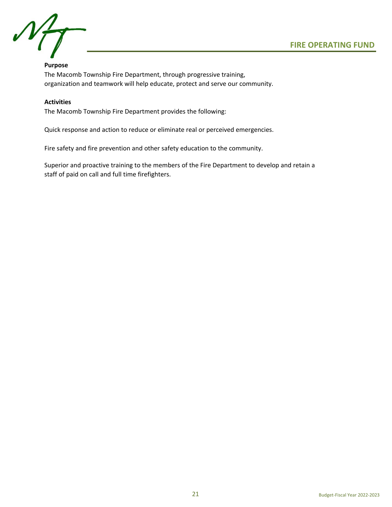## **Purpose**

The Macomb Township Fire Department, through progressive training, organization and teamwork will help educate, protect and serve our community.

## **Activities**

The Macomb Township Fire Department provides the following:

Quick response and action to reduce or eliminate real or perceived emergencies.

Fire safety and fire prevention and other safety education to the community.

Superior and proactive training to the members of the Fire Department to develop and retain a staff of paid on call and full time firefighters.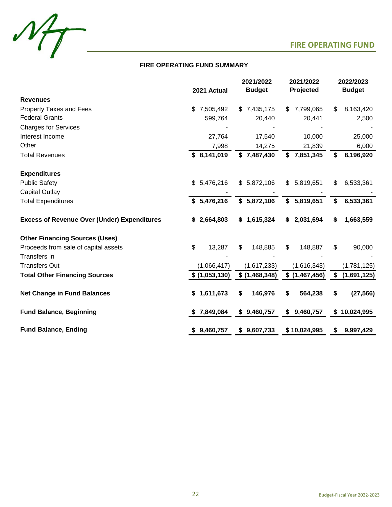



|                                                    | 2021 Actual     | 2021/2022<br>2021/2022<br><b>Budget</b><br>Projected |                  | 2022/2023<br><b>Budget</b> |
|----------------------------------------------------|-----------------|------------------------------------------------------|------------------|----------------------------|
| <b>Revenues</b>                                    |                 |                                                      |                  |                            |
| Property Taxes and Fees                            | \$<br>7,505,492 | \$7,435,175                                          | 7,799,065<br>\$. | 8,163,420<br>\$            |
| <b>Federal Grants</b>                              | 599,764         | 20,440                                               | 20,441           | 2,500                      |
| <b>Charges for Services</b>                        |                 |                                                      |                  |                            |
| Interest Income                                    | 27,764          | 17,540                                               | 10,000           | 25,000                     |
| Other                                              | 7,998           | 14,275                                               | 21,839           | 6,000                      |
| <b>Total Revenues</b>                              | \$8,141,019     | \$7,487,430                                          | 7,851,345<br>\$  | \$<br>8,196,920            |
| <b>Expenditures</b>                                |                 |                                                      |                  |                            |
| <b>Public Safety</b>                               | \$5,476,216     | \$5,872,106                                          | 5,819,651<br>\$  | 6,533,361<br>\$            |
| <b>Capital Outlay</b>                              |                 |                                                      |                  |                            |
| <b>Total Expenditures</b>                          | \$5,476,216     | \$5,872,106                                          | \$5,819,651      | \$<br>6,533,361            |
| <b>Excess of Revenue Over (Under) Expenditures</b> | \$2,664,803     | \$1,615,324                                          | 2,031,694<br>\$  | 1,663,559<br>\$            |
| <b>Other Financing Sources (Uses)</b>              |                 |                                                      |                  |                            |
| Proceeds from sale of capital assets               | \$<br>13,287    | \$<br>148,885                                        | \$<br>148,887    | \$<br>90,000               |
| <b>Transfers In</b>                                |                 |                                                      |                  |                            |
| <b>Transfers Out</b>                               | (1,066,417)     | (1,617,233)                                          | (1,616,343)      | (1,781,125)                |
| <b>Total Other Financing Sources</b>               | \$(1,053,130)   | \$(1,468,348)                                        | \$(1,467,456)    | \$<br>(1,691,125)          |
| <b>Net Change in Fund Balances</b>                 | \$1,611,673     | \$<br>146,976                                        | \$<br>564,238    | \$<br>(27, 566)            |
| <b>Fund Balance, Beginning</b>                     | \$7,849,084     | \$9,460,757                                          | 9,460,757<br>\$  | \$10,024,995               |
| <b>Fund Balance, Ending</b>                        | \$9,460,757     | \$9,607,733                                          | \$10,024,995     | 9,997,429<br>\$            |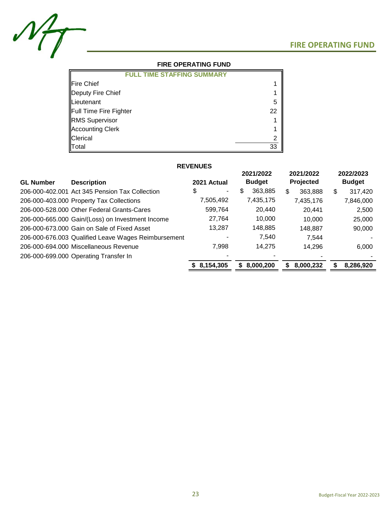

## **FIRE OPERATING FUND**

| <b>FULL TIME STAFFING SUMMARY</b> |    |
|-----------------------------------|----|
| Fire Chief                        |    |
| Deputy Fire Chief                 |    |
| Lieutenant                        | 5  |
| Full Time Fire Fighter            | 22 |
| <b>RMS</b> Supervisor             |    |
| <b>Accounting Clerk</b>           |    |
| <b>Clerical</b>                   |    |
| Total                             | 33 |

## **REVENUES**

| 2021 Actual                                         | 2021/2022<br><b>Budget</b> | 2021/2022<br>Projected | 2022/2023<br><b>Budget</b> |
|-----------------------------------------------------|----------------------------|------------------------|----------------------------|
| \$<br>۰.                                            | \$<br>363,885              | \$<br>363,888          | \$<br>317,420              |
| 7,505,492                                           | 7,435,175                  | 7,435,176              | 7,846,000                  |
| 599,764                                             | 20,440                     | 20,441                 | 2,500                      |
| 27,764                                              | 10,000                     | 10.000                 | 25,000                     |
| 13,287                                              | 148,885                    | 148,887                | 90,000                     |
| 206-000-676.003 Qualified Leave Wages Reimbursement | 7,540                      | 7.544                  |                            |
| 7,998                                               | 14,275                     | 14,296                 | 6,000                      |
|                                                     |                            |                        |                            |
| 8,154,305                                           | 8,000,200<br>S             | 8,000,232<br>S         | 8,286,920<br>S             |
|                                                     |                            |                        |                            |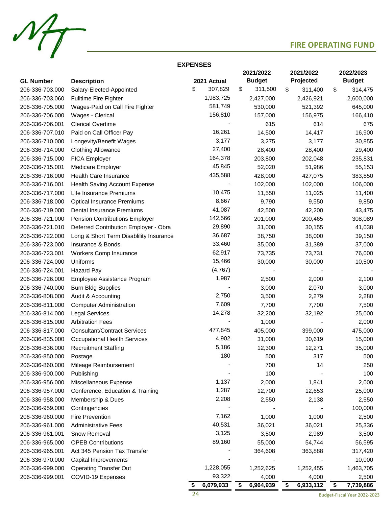

## **EXPENSES**

|                  |                                         |    |             |    | 2021/2022     | 2021/2022       | 2022/2023       |
|------------------|-----------------------------------------|----|-------------|----|---------------|-----------------|-----------------|
| <b>GL Number</b> | <b>Description</b>                      |    | 2021 Actual |    | <b>Budget</b> | Projected       | <b>Budget</b>   |
| 206-336-703.000  | Salary-Elected-Appointed                | \$ | 307,829     | \$ | 311,500       | \$<br>311,400   | \$<br>314,475   |
| 206-336-703.060  | <b>Fulltime Fire Fighter</b>            |    | 1,983,725   |    | 2,427,000     | 2,426,921       | 2,600,000       |
| 206-336-705.000  | Wages-Paid on Call Fire Fighter         |    | 581,749     |    | 530,000       | 521,392         | 645,000         |
| 206-336-706.000  | Wages - Clerical                        |    | 156,810     |    | 157,000       | 156,975         | 166,410         |
| 206-336-706.001  | <b>Clerical Overtime</b>                |    |             |    | 615           | 614             | 675             |
| 206-336-707.010  | Paid on Call Officer Pay                |    | 16,261      |    | 14,500        | 14,417          | 16,900          |
| 206-336-710.000  | Longevity/Benefit Wages                 |    | 3,177       |    | 3,275         | 3,177           | 30,855          |
| 206-336-714.000  | <b>Clothing Allowance</b>               |    | 27,400      |    | 28,400        | 28,400          | 29,400          |
| 206-336-715.000  | <b>FICA Employer</b>                    |    | 164,378     |    | 203,800       | 202,048         | 235,831         |
| 206-336-715.001  | Medicare Employer                       |    | 45,845      |    | 52,020        | 51,986          | 55,153          |
| 206-336-716.000  | <b>Health Care Insurance</b>            |    | 435,588     |    | 428,000       | 427,075         | 383,850         |
| 206-336-716.001  | Health Saving Account Expense           |    |             |    | 102,000       | 102,000         | 106,000         |
| 206-336-717.000  | Life Insurance Premiums                 |    | 10,475      |    | 11,550        | 11,025          | 11,400          |
| 206-336-718.000  | <b>Optical Insurance Premiums</b>       |    | 8,667       |    | 9,790         | 9,550           | 9,850           |
| 206-336-719.000  | Dental Insurance Premiums               |    | 41,087      |    | 42,500        | 42,200          | 43,475          |
| 206-336-721.000  | Pension Contributions Employer          |    | 142,566     |    | 201,000       | 200,465         | 308,089         |
| 206-336-721.010  | Deferred Contribution Employer - Obra   |    | 29,890      |    | 31,000        | 30,155          | 41,038          |
| 206-336-722.000  | Long & Short Term Disablility Insurance |    | 36,687      |    | 38,750        | 38,000          | 39,150          |
| 206-336-723.000  | Insurance & Bonds                       |    | 33,460      |    | 35,000        | 31,389          | 37,000          |
| 206-336-723.001  | Workers Comp Insurance                  |    | 62,917      |    | 73,735        | 73,731          | 76,000          |
| 206-336-724.000  | Uniforms                                |    | 15,466      |    | 30,000        | 30,000          | 10,500          |
| 206-336-724.001  | Hazard Pay                              |    | (4,767)     |    |               |                 |                 |
| 206-336-726.000  | Employee Assistance Program             |    | 1,987       |    | 2,500         | 2,000           | 2,100           |
| 206-336-740.000  | <b>Burn Bldg Supplies</b>               |    |             |    | 3,000         | 2,070           | 3,000           |
| 206-336-808.000  | Audit & Accounting                      |    | 2,750       |    | 3,500         | 2,279           | 2,280           |
| 206-336-811.000  | <b>Computer Administration</b>          |    | 7,609       |    | 7,700         | 7,700           | 7,500           |
| 206-336-814.000  | <b>Legal Services</b>                   |    | 14,278      |    | 32,200        | 32,192          | 25,000          |
| 206-336-815.000  | <b>Arbitration Fees</b>                 |    |             |    | 1,000         |                 | 2,000           |
| 206-336-817.000  | <b>Consultant/Contract Services</b>     |    | 477,845     |    | 405,000       | 399,000         | 475,000         |
| 206-336-835.000  | <b>Occupational Health Services</b>     |    | 4,902       |    | 31,000        | 30,619          | 15,000          |
| 206-336-836.000  | <b>Recruitment Staffing</b>             |    | 5,186       |    | 12,300        | 12,271          | 35,000          |
| 206-336-850.000  | Postage                                 |    | 180         |    | 500           | 317             | 500             |
| 206-336-860.000  | Mileage Reimbursement                   |    |             |    | 700           | 14              | 250             |
| 206-336-900.000  | Publishing                              |    |             |    | 100           |                 | 100             |
| 206-336-956.000  | Miscellaneous Expense                   |    | 1,137       |    | 2,000         | 1,841           | 2,000           |
| 206-336-957.000  | Conference, Education & Training        |    | 1,287       |    | 12,700        | 12,653          | 25,000          |
| 206-336-958.000  | Membership & Dues                       |    | 2,208       |    | 2,550         | 2,138           | 2,550           |
| 206-336-959.000  | Contingencies                           |    |             |    |               |                 | 100,000         |
| 206-336-960.000  | <b>Fire Prevention</b>                  |    | 7,162       |    | 1,000         | 1,000           | 2,500           |
| 206-336-961.000  | <b>Administrative Fees</b>              |    | 40,531      |    | 36,021        | 36,021          | 25,336          |
| 206-336-961.001  | Snow Removal                            |    | 3,125       |    | 3,500         | 2,989           | 3,500           |
| 206-336-965.000  | <b>OPEB Contributions</b>               |    | 89,160      |    | 55,000        | 54,744          | 56,595          |
| 206-336-965.001  | Act 345 Pension Tax Transfer            |    |             |    | 364,608       | 363,888         | 317,420         |
| 206-336-970.000  | Capital Improvements                    |    |             |    |               |                 | 10,000          |
| 206-336-999.000  | <b>Operating Transfer Out</b>           |    | 1,228,055   |    | 1,252,625     | 1,252,455       | 1,463,705       |
| 206-336-999.001  | COVID-19 Expenses                       |    | 93,322      |    | 4,000         | 4,000           | 2,500           |
|                  |                                         | S  | 6,079,933   | S. | 6,964,939     | \$<br>6,933,112 | \$<br>7,739,886 |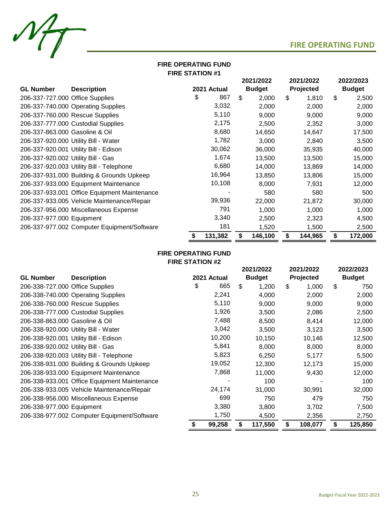

## **FIRE STATION #1 FIRE OPERATING FUND**

|                                    |                                              |               | 2021/2022 |               | 2021/2022 |         |               | 2022/2023 |
|------------------------------------|----------------------------------------------|---------------|-----------|---------------|-----------|---------|---------------|-----------|
| <b>GL Number</b>                   | <b>Description</b>                           | 2021 Actual   |           | <b>Budget</b> | Projected |         | <b>Budget</b> |           |
| 206-337-727.000 Office Supplies    |                                              | \$<br>867     | \$        | 2,000         | \$        | 1,810   | \$            | 2,500     |
|                                    | 206-337-740.000 Operating Supplies           | 3,032         |           | 2,000         |           | 2,000   |               | 2,000     |
|                                    | 206-337-760.000 Rescue Supplies              | 5,110         |           | 9,000         |           | 9,000   |               | 9,000     |
|                                    | 206-337-777.000 Custodial Supplies           | 2,175         |           | 2,500         |           | 2,352   |               | 3,000     |
| 206-337-863.000 Gasoline & Oil     |                                              | 8,680         |           | 14,650        |           | 14,647  |               | 17,500    |
|                                    | 206-337-920.000 Utility Bill - Water         | 1,782         |           | 3,000         |           | 2,840   |               | 3,500     |
|                                    | 206-337-920.001 Utility Bill - Edison        | 30,062        |           | 36,000        |           | 35,935  |               | 40,000    |
| 206-337-920.002 Utility Bill - Gas |                                              | 1,674         |           | 13,500        |           | 13,500  |               | 15,000    |
|                                    | 206-337-920.003 Utility Bill - Telephone     | 6,680         |           | 14,000        |           | 13,869  |               | 14,000    |
|                                    | 206-337-931.000 Building & Grounds Upkeep    | 16,964        |           | 13,850        |           | 13,806  |               | 15,000    |
|                                    | 206-337-933.000 Equipment Maintenance        | 10,108        |           | 8,000         |           | 7,931   |               | 12,000    |
|                                    | 206-337-933.001 Office Equipment Maintenance |               |           | 580           |           | 580     |               | 500       |
|                                    | 206-337-933.005 Vehicle Maintenance/Repair   | 39,936        |           | 22,000        |           | 21,872  |               | 30,000    |
|                                    | 206-337-956.000 Miscellaneous Expense        | 791           |           | 1,000         |           | 1,000   |               | 1,000     |
| 206-337-977.000 Equipment          |                                              | 3,340         |           | 2,500         |           | 2,323   |               | 4,500     |
|                                    | 206-337-977.002 Computer Equipment/Software  | 181           |           | 1,520         |           | 1,500   |               | 2,500     |
|                                    |                                              | \$<br>131,382 | \$        | 146,100       | \$        | 144,965 | \$            | 172,000   |

## **FIRE OPERATING FUND FIRE STATION #2**

|                                    |                                              |    |             | 2021/2022 |               | 2021/2022 |           | 2022/2023 |               |
|------------------------------------|----------------------------------------------|----|-------------|-----------|---------------|-----------|-----------|-----------|---------------|
| <b>GL Number</b>                   | <b>Description</b>                           |    | 2021 Actual |           | <b>Budget</b> |           | Projected |           | <b>Budget</b> |
| 206-338-727.000 Office Supplies    |                                              | \$ | 665         | \$        | 1,200         | \$        | 1,000     | \$        | 750           |
|                                    | 206-338-740.000 Operating Supplies           |    | 2,241       |           | 4,000         |           | 2,000     |           | 2,000         |
|                                    | 206-338-760.000 Rescue Supplies              |    | 5,110       |           | 9,000         |           | 9,000     |           | 9,000         |
|                                    | 206-338-777.000 Custodial Supplies           |    | 1,926       |           | 3,500         |           | 2,086     |           | 2,500         |
| 206-338-863.000 Gasoline & Oil     |                                              |    | 7,488       |           | 8,500         |           | 8,414     |           | 12,000        |
|                                    | 206-338-920.000 Utility Bill - Water         |    | 3,042       |           | 3,500         |           | 3,123     |           | 3,500         |
|                                    | 206-338-920.001 Utility Bill - Edison        |    | 10,200      |           | 10,150        |           | 10,146    |           | 12,500        |
| 206-338-920.002 Utility Bill - Gas |                                              |    | 5,841       |           | 8,000         |           | 8,000     |           | 8,000         |
|                                    | 206-338-920.003 Utility Bill - Telephone     |    | 5,823       |           | 6,250         |           | 5,177     |           | 5,500         |
|                                    | 206-338-931.000 Building & Grounds Upkeep    |    | 19,052      |           | 12,300        |           | 12,173    |           | 15,000        |
|                                    | 206-338-933.000 Equipment Maintenance        |    | 7,868       |           | 11,000        |           | 9,430     |           | 12,000        |
|                                    | 206-338-933.001 Office Equipment Maintenance |    |             |           | 100           |           |           |           | 100           |
|                                    | 206-338-933.005 Vehicle Maintenance/Repair   |    | 24,174      |           | 31,000        |           | 30,991    |           | 32,000        |
|                                    | 206-338-956.000 Miscellaneous Expense        |    | 699         |           | 750           |           | 479       |           | 750           |
| 206-338-977.000 Equipment          |                                              |    | 3,380       |           | 3,800         |           | 3,702     |           | 7,500         |
|                                    | 206-338-977.002 Computer Equipment/Software  |    | 1,750       |           | 4,500         |           | 2,356     |           | 2,750         |
|                                    |                                              | S  | 99,258      |           | 117,550       | \$        | 108,077   | \$        | 125,850       |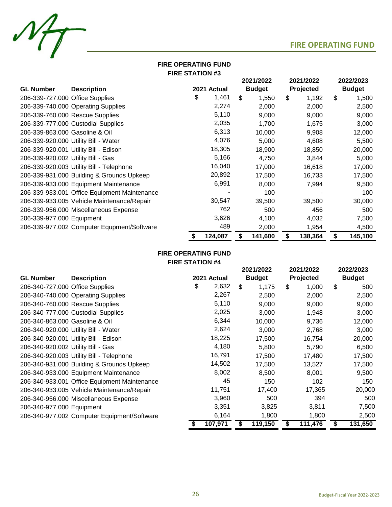

## **FIRE OPERATING FUND FIRE STATION #3**

|                                    |                                              |               | 2021/2022 |               | 2021/2022 |           | 2022/2023 |               |
|------------------------------------|----------------------------------------------|---------------|-----------|---------------|-----------|-----------|-----------|---------------|
| <b>GL Number</b>                   | <b>Description</b>                           | 2021 Actual   |           | <b>Budget</b> |           | Projected |           | <b>Budget</b> |
| 206-339-727.000 Office Supplies    |                                              | \$<br>1,461   | \$        | 1,550         | \$        | 1,192     | \$        | 1,500         |
|                                    | 206-339-740.000 Operating Supplies           | 2,274         |           | 2,000         |           | 2,000     |           | 2,500         |
|                                    | 206-339-760.000 Rescue Supplies              | 5,110         |           | 9,000         |           | 9,000     |           | 9,000         |
|                                    | 206-339-777.000 Custodial Supplies           | 2,035         |           | 1,700         |           | 1,675     |           | 3,000         |
| 206-339-863.000 Gasoline & Oil     |                                              | 6,313         |           | 10,000        |           | 9,908     |           | 12,000        |
|                                    | 206-339-920.000 Utility Bill - Water         | 4,076         |           | 5,000         |           | 4,608     |           | 5,500         |
|                                    | 206-339-920.001 Utility Bill - Edison        | 18,305        |           | 18,900        |           | 18,850    |           | 20,000        |
| 206-339-920.002 Utility Bill - Gas |                                              | 5,166         |           | 4,750         |           | 3,844     |           | 5,000         |
|                                    | 206-339-920.003 Utility Bill - Telephone     | 16,040        |           | 17,000        |           | 16,618    |           | 17,000        |
|                                    | 206-339-931.000 Building & Grounds Upkeep    | 20,892        |           | 17,500        |           | 16,733    |           | 17,500        |
|                                    | 206-339-933.000 Equipment Maintenance        | 6,991         |           | 8,000         |           | 7,994     |           | 9,500         |
|                                    | 206-339-933.001 Office Equipment Maintenance |               |           | 100           |           |           |           | 100           |
|                                    | 206-339-933.005 Vehicle Maintenance/Repair   | 30,547        |           | 39,500        |           | 39,500    |           | 30,000        |
|                                    | 206-339-956.000 Miscellaneous Expense        | 762           |           | 500           |           | 456       |           | 500           |
| 206-339-977.000 Equipment          |                                              | 3,626         |           | 4,100         |           | 4,032     |           | 7,500         |
|                                    | 206-339-977.002 Computer Equpment/Software   | 489           |           | 2,000         |           | 1,954     |           | 4,500         |
|                                    |                                              | \$<br>124,087 | \$        | 141,600       | \$        | 138,364   | \$        | 145,100       |

## **FIRE STATION #4 FIRE OPERATING FUND**

|                                    |                                              |               | 2021/2022 |               | 2021/2022 |           | 2022/2023     |
|------------------------------------|----------------------------------------------|---------------|-----------|---------------|-----------|-----------|---------------|
| <b>GL Number</b>                   | <b>Description</b>                           | 2021 Actual   |           | <b>Budget</b> |           | Projected | <b>Budget</b> |
| 206-340-727.000 Office Supplies    |                                              | \$<br>2,632   | \$        | 1,175         | \$        | 1,000     | \$<br>500     |
|                                    | 206-340-740.000 Operating Supplies           | 2,267         |           | 2,500         |           | 2,000     | 2,500         |
|                                    | 206-340-760.000 Rescue Supplies              | 5,110         |           | 9,000         |           | 9,000     | 9,000         |
|                                    | 206-340-777.000 Custodial Supplies           | 2,025         |           | 3,000         |           | 1,948     | 3,000         |
| 206-340-863.000 Gasoline & Oil     |                                              | 6,344         |           | 10,000        |           | 9,736     | 12,000        |
|                                    | 206-340-920.000 Utility Bill - Water         | 2,624         |           | 3,000         |           | 2,768     | 3,000         |
|                                    | 206-340-920.001 Utility Bill - Edison        | 18,225        |           | 17,500        |           | 16,754    | 20,000        |
| 206-340-920.002 Utility Bill - Gas |                                              | 4,180         |           | 5,800         |           | 5,790     | 6,500         |
|                                    | 206-340-920.003 Utility Bill - Telephone     | 16,791        |           | 17,500        |           | 17,480    | 17,500        |
|                                    | 206-340-931.000 Building & Grounds Upkeep    | 14,502        |           | 17,500        |           | 13,527    | 17,500        |
|                                    | 206-340-933.000 Equipment Maintenance        | 8,002         |           | 8,500         |           | 8,001     | 9,500         |
|                                    | 206-340-933.001 Office Equipment Maintenance | 45            |           | 150           |           | 102       | 150           |
|                                    | 206-340-933.005 Vehicle Maintenance/Repair   | 11,751        |           | 17,400        |           | 17,365    | 20,000        |
|                                    | 206-340-956.000 Miscellaneous Expense        | 3,960         |           | 500           |           | 394       | 500           |
| 206-340-977.000 Equipment          |                                              | 3,351         |           | 3,825         |           | 3,811     | 7,500         |
|                                    | 206-340-977.002 Computer Equipment/Software  | 6,164         |           | 1,800         |           | 1,800     | 2,500         |
|                                    |                                              | \$<br>107,971 | \$        | 119,150       | \$        | 111,476   | \$<br>131,650 |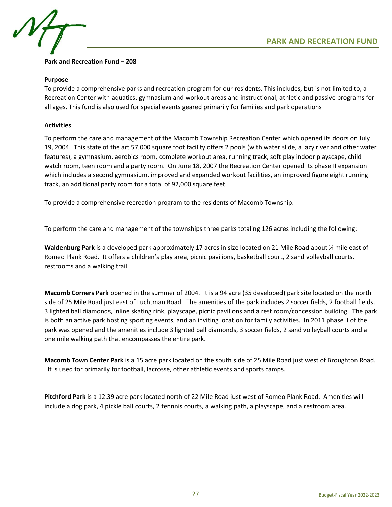



## **Park and Recreation Fund – 208**

## **Purpose**

To provide a comprehensive parks and recreation program for our residents. This includes, but is not limited to, a Recreation Center with aquatics, gymnasium and workout areas and instructional, athletic and passive programs for all ages. This fund is also used for special events geared primarily for families and park operations

## **Activities**

To perform the care and management of the Macomb Township Recreation Center which opened its doors on July 19, 2004. This state of the art 57,000 square foot facility offers 2 pools (with water slide, a lazy river and other water features), a gymnasium, aerobics room, complete workout area, running track, soft play indoor playscape, child watch room, teen room and a party room. On June 18, 2007 the Recreation Center opened its phase II expansion which includes a second gymnasium, improved and expanded workout facilities, an improved figure eight running track, an additional party room for a total of 92,000 square feet.

To provide a comprehensive recreation program to the residents of Macomb Township.

To perform the care and management of the townships three parks totaling 126 acres including the following:

**Waldenburg Park** is a developed park approximately 17 acres in size located on 21 Mile Road about ¼ mile east of Romeo Plank Road. It offers a children's play area, picnic pavilions, basketball court, 2 sand volleyball courts, restrooms and a walking trail.

**Macomb Corners Park** opened in the summer of 2004. It is a 94 acre (35 developed) park site located on the north side of 25 Mile Road just east of Luchtman Road. The amenities of the park includes 2 soccer fields, 2 football fields, 3 lighted ball diamonds, inline skating rink, playscape, picnic pavilions and a rest room/concession building. The park is both an active park hosting sporting events, and an inviting location for family activities. In 2011 phase II of the park was opened and the amenities include 3 lighted ball diamonds, 3 soccer fields, 2 sand volleyball courts and a one mile walking path that encompasses the entire park.

**Macomb Town Center Park** is a 15 acre park located on the south side of 25 Mile Road just west of Broughton Road. It is used for primarily for football, lacrosse, other athletic events and sports camps.

**Pitchford Park** is a 12.39 acre park located north of 22 Mile Road just west of Romeo Plank Road. Amenities will include a dog park, 4 pickle ball courts, 2 tennnis courts, a walking path, a playscape, and a restroom area.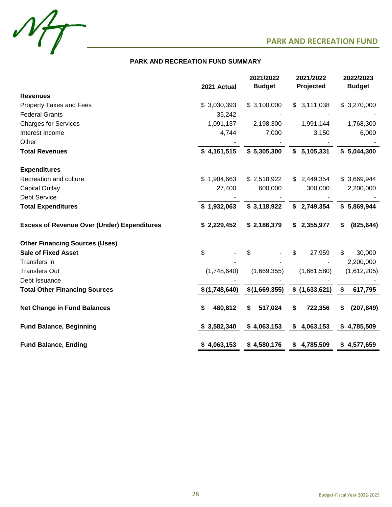



## **PARK AND RECREATION FUND SUMMARY**

|                                                    | 2021 Actual   | 2021/2022<br><b>Budget</b> | 2021/2022<br>Projected | 2022/2023<br><b>Budget</b> |
|----------------------------------------------------|---------------|----------------------------|------------------------|----------------------------|
| <b>Revenues</b>                                    |               |                            |                        |                            |
| <b>Property Taxes and Fees</b>                     | \$3,030,393   | \$3,100,000                | \$<br>3,111,038        | \$3,270,000                |
| <b>Federal Grants</b>                              | 35,242        |                            |                        |                            |
| <b>Charges for Services</b>                        | 1,091,137     | 2,198,300                  | 1,991,144              | 1,768,300                  |
| Interest Income                                    | 4,744         | 7,000                      | 3,150                  | 6,000                      |
| Other                                              |               |                            |                        |                            |
| <b>Total Revenues</b>                              | \$4,161,515   | \$5,305,300                | 5,105,331<br>\$        | \$5,044,300                |
| <b>Expenditures</b>                                |               |                            |                        |                            |
| Recreation and culture                             | \$1,904,663   | \$2,518,922                | 2,449,354<br>\$.       | \$3,669,944                |
| <b>Capital Outlay</b>                              | 27,400        | 600,000                    | 300,000                | 2,200,000                  |
| <b>Debt Service</b>                                |               |                            |                        |                            |
| <b>Total Expenditures</b>                          | \$1,932,063   | \$3,118,922                | \$2,749,354            | \$5,869,944                |
| <b>Excess of Revenue Over (Under) Expenditures</b> | \$2,229,452   | \$2,186,379                | 2,355,977<br>\$        | (825, 644)<br>S.           |
| <b>Other Financing Sources (Uses)</b>              |               |                            |                        |                            |
| <b>Sale of Fixed Asset</b>                         | \$            | \$                         | \$<br>27,959           | 30,000<br>\$               |
| <b>Transfers In</b>                                |               |                            |                        | 2,200,000                  |
| <b>Transfers Out</b>                               | (1,748,640)   | (1,669,355)                | (1,661,580)            | (1,612,205)                |
| Debt Issuance                                      |               |                            |                        |                            |
| <b>Total Other Financing Sources</b>               | \$(1,748,640) | \$(1,669,355)              | \$(1,633,621)          | \$<br>617,795              |
| <b>Net Change in Fund Balances</b>                 | \$<br>480,812 | 517,024<br>\$              | 722,356<br>\$          | (207, 849)<br>S.           |
| <b>Fund Balance, Beginning</b>                     | \$3,582,340   | \$4,063,153                | 4,063,153<br>\$        | \$4,785,509                |
| <b>Fund Balance, Ending</b>                        | \$4,063,153   | \$4,580,176                | \$4,785,509            | \$4,577,659                |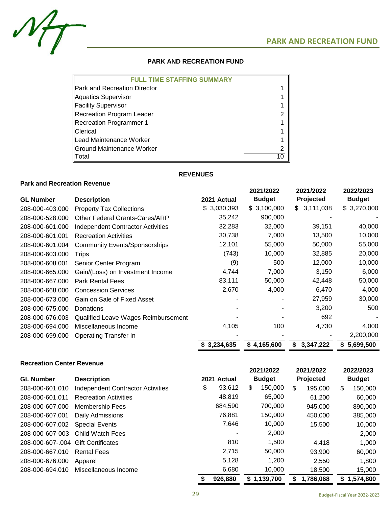$M_{\overline{I}}$ 

## **PARK AND RECREATION FUND**

| <b>FULL TIME STAFFING SUMMARY</b>      |  |
|----------------------------------------|--|
| <b>I</b> IPark and Recreation Director |  |
| Aquatics Supervisor                    |  |
| <b>Facility Supervisor</b>             |  |
| Recreation Program Leader              |  |
| Recreation Programmer 1                |  |
| <b>IClerical</b>                       |  |
| Lead Maintenance Worker                |  |
| <b>Ground Maintenance Worker</b>       |  |
| Total                                  |  |

## **REVENUES**

## **Park and Recreation Revenue**

|                  |                                          |             | 2021/2022     | 2021/2022       | 2022/2023     |
|------------------|------------------------------------------|-------------|---------------|-----------------|---------------|
| <b>GL Number</b> | <b>Description</b>                       | 2021 Actual | <b>Budget</b> | Projected       | <b>Budget</b> |
| 208-000-403.000  | <b>Property Tax Collections</b>          | \$3,030,393 | \$3,100,000   | \$3,111,038     | \$3,270,000   |
| 208-000-528.000  | <b>Other Federal Grants-Cares/ARP</b>    | 35,242      | 900,000       |                 |               |
| 208-000-601.000  | <b>Independent Contractor Activities</b> | 32,283      | 32,000        | 39,151          | 40,000        |
| 208-000-601.001  | <b>Recreation Activities</b>             | 30,738      | 7,000         | 13,500          | 10,000        |
| 208-000-601.004  | <b>Community Events/Sponsorships</b>     | 12,101      | 55,000        | 50,000          | 55,000        |
| 208-000-603.000  | Trips                                    | (743)       | 10,000        | 32,885          | 20,000        |
| 208-000-608.001  | Senior Center Program                    | (9)         | 500           | 12,000          | 10,000        |
| 208-000-665.000  | Gain/(Loss) on Investment Income         | 4,744       | 7,000         | 3,150           | 6,000         |
| 208-000-667.000  | <b>Park Rental Fees</b>                  | 83,111      | 50,000        | 42,448          | 50,000        |
| 208-000-668.000  | <b>Concession Services</b>               | 2,670       | 4,000         | 6,470           | 4,000         |
| 208-000-673.000  | Gain on Sale of Fixed Asset              |             |               | 27,959          | 30,000        |
| 208-000-675.000  | Donations                                |             |               | 3,200           | 500           |
| 208-000-676.003  | Qualified Leave Wages Reimbursement      |             |               | 692             |               |
| 208-000-694.000  | Miscellaneous Income                     | 4,105       | 100           | 4,730           | 4,000         |
| 208-000-699.000  | <b>Operating Transfer In</b>             |             |               |                 | 2,200,000     |
|                  |                                          | \$3,234,635 | \$4,165,600   | 3,347,222<br>\$ | 5,699,500     |

## **Recreation Center Revenue**

| <b>GL Number</b> | <b>Description</b>                       | 2021 Actual  | 2021/2022<br><b>Budget</b> | 2021/2022<br>Projected |   | 2022/2023<br><b>Budget</b> |
|------------------|------------------------------------------|--------------|----------------------------|------------------------|---|----------------------------|
| 208-000-601.010  | <b>Independent Contractor Activities</b> | \$<br>93,612 | \$<br>150,000              | \$<br>195,000          | S | 150,000                    |
| 208-000-601.011  | <b>Recreation Activities</b>             | 48,819       | 65,000                     | 61.200                 |   | 60,000                     |
| 208-000-607.000  | <b>Membership Fees</b>                   | 684,590      | 700,000                    | 945,000                |   | 890,000                    |
| 208-000-607.001  | Daily Admissions                         | 76.881       | 150,000                    | 450,000                |   | 385,000                    |
| 208-000-607.002  | <b>Special Events</b>                    | 7.646        | 10,000                     | 15,500                 |   | 10,000                     |
| 208-000-607-003  | Child Watch Fees                         | ٠            | 2,000                      |                        |   | 2,000                      |
| 208-000-607-.004 | <b>Gift Certificates</b>                 | 810          | 1,500                      | 4.418                  |   | 1,000                      |
| 208-000-667.010  | <b>Rental Fees</b>                       | 2,715        | 50,000                     | 93.900                 |   | 60,000                     |
| 208-000-676.000  | Apparel                                  | 5,128        | 1,200                      | 2.550                  |   | 1.800                      |
| 208-000-694.010  | Miscellaneous Income                     | 6,680        | 10,000                     | 18,500                 |   | 15,000                     |
|                  |                                          | 926,880      | \$1,139,700                | 1,786,068              | S | 1,574,800                  |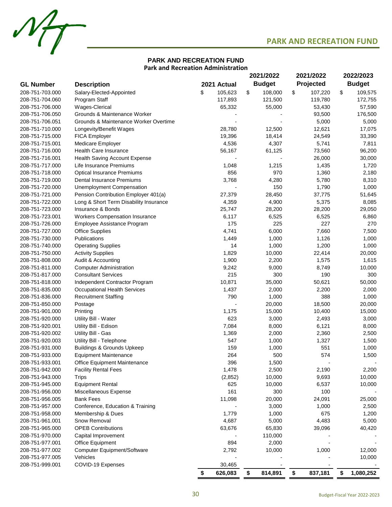

## **PARK AND RECREATION FUND Park and Recreation Administration**

 $M_{\overline{1}}$ 

|                  |                                                             |               | 2021/2022 |                 | 2021/2022 |                 | 2022/2023 |               |
|------------------|-------------------------------------------------------------|---------------|-----------|-----------------|-----------|-----------------|-----------|---------------|
| <b>GL Number</b> | <b>Description</b>                                          | 2021 Actual   |           | <b>Budget</b>   |           | Projected       |           | <b>Budget</b> |
| 208-751-703.000  | Salary-Elected-Appointed                                    | \$<br>105,623 | \$        | 108,000         | \$        | 107,220         | \$        | 109,575       |
| 208-751-704.060  | Program Staff                                               | 117,893       |           | 121,500         |           | 119,780         |           | 172,755       |
| 208-751-706.000  | Wages-Clerical                                              | 65,332        |           | 55,000          |           | 53,430          |           | 57,590        |
| 208-751-706.050  | Grounds & Maintenance Worker                                |               |           |                 |           | 93,500          |           | 176,500       |
| 208-751-706.051  | Grounds & Maintenance Worker Overtime                       |               |           |                 |           | 5,000           |           | 5,000         |
| 208-751-710.000  | Longevity/Benefit Wages                                     | 28,780        |           | 12,500          |           | 12,621          |           | 17,075        |
| 208-751-715.000  | <b>FICA Employer</b>                                        | 19,396        |           | 18,414          |           | 24,549          |           | 33,390        |
| 208-751-715.001  | Medicare Employer                                           | 4,536         |           | 4,307           |           | 5,741           |           | 7,811         |
| 208-751-716.000  | <b>Health Care Insurance</b>                                | 56,167        |           | 61,125          |           | 73,560          |           | 96,200        |
| 208-751-716.001  | <b>Health Saving Account Expense</b>                        |               |           |                 |           | 26,000          |           | 30,000        |
| 208-751-717.000  | Life Insurance Premiums                                     | 1,048         |           | 1,215           |           | 1,435           |           | 1,720         |
| 208-751-718.000  | <b>Optical Insurance Premiums</b>                           | 856           |           | 970             |           | 1,360           |           | 2,180         |
| 208-751-719.000  | Dental Insurance Premiums                                   | 3,768         |           | 4,280           |           | 5,780           |           | 8,310         |
| 208-751-720.000  | Unemployment Compensation                                   |               |           | 150             |           | 1,790           |           | 1,000         |
| 208-751-721.000  | Pension Contribution Employer 401(a)                        | 27,379        |           | 28,450          |           | 37,775          |           | 51,645        |
| 208-751-722.000  |                                                             | 4,359         |           |                 |           |                 |           | 8,085         |
| 208-751-723.000  | Long & Short Term Disability Insurance<br>Insurance & Bonds | 25,747        |           | 4,900<br>28,200 |           | 5,375<br>28,200 |           |               |
|                  |                                                             |               |           |                 |           |                 |           | 29,050        |
| 208-751-723.001  | <b>Workers Compensation Insurance</b>                       | 6,117         |           | 6,525           |           | 6,525           |           | 6,860         |
| 208-751-726.000  | Employee Assistance Program                                 | 175           |           | 225             |           | 227             |           | 270           |
| 208-751-727.000  | <b>Office Supplies</b>                                      | 4,741         |           | 6,000           |           | 7,660           |           | 7,500         |
| 208-751-730.000  | Publications                                                | 1,449         |           | 1,000           |           | 1,126           |           | 1,000         |
| 208-751-740.000  | <b>Operating Supplies</b>                                   | 14            |           | 1,000           |           | 1,200           |           | 1,000         |
| 208-751-750.000  | <b>Activity Supplies</b>                                    | 1,829         |           | 10,000          |           | 22,414          |           | 20,000        |
| 208-751-808.000  | Audit & Accounting                                          | 1,900         |           | 2,200           |           | 1,575           |           | 1,615         |
| 208-751-811.000  | <b>Computer Administration</b>                              | 9,242         |           | 9,000           |           | 8,749           |           | 10,000        |
| 208-751-817.000  | <b>Consultant Services</b>                                  | 215           |           | 300             |           | 190             |           | 300           |
| 208-751-818.000  | Independent Contractor Program                              | 10,871        |           | 35,000          |           | 50,621          |           | 50,000        |
| 208-751-835.000  | <b>Occupational Health Services</b>                         | 1,437         |           | 2,000           |           | 2,200           |           | 2,000         |
| 208-751-836.000  | <b>Recruitment Staffing</b>                                 | 790           |           | 1,000           |           | 388             |           | 1,000         |
| 208-751-850.000  | Postage                                                     |               |           | 20,000          |           | 18,500          |           | 20,000        |
| 208-751-901.000  | Printing                                                    | 1,175         |           | 15,000          |           | 10,400          |           | 15,000        |
| 208-751-920.000  | Utility Bill - Water                                        | 623           |           | 3,000           |           | 2,493           |           | 3,000         |
| 208-751-920.001  | Utility Bill - Edison                                       | 7,084         |           | 8,000           |           | 6,121           |           | 8,000         |
| 208-751-920.002  | Utility Bill - Gas                                          | 1,369         |           | 2,000           |           | 2,360           |           | 2,500         |
| 208-751-920.003  | Utility Bill - Telephone                                    | 547           |           | 1,000           |           | 1,327           |           | 1,500         |
| 208-751-931.000  | <b>Buildings &amp; Grounds Upkeep</b>                       | 159           |           | 1,000           |           | 551             |           | 1,000         |
| 208-751-933.000  | <b>Equipment Maintenance</b>                                | 264           |           | 500             |           | 574             |           | 1,500         |
| 208-751-933.001  | Office Equipment Maintenance                                | 396           |           | 1,500           |           |                 |           |               |
| 208-751-942.000  | <b>Facility Rental Fees</b>                                 | 1,478         |           | 2,500           |           | 2,190           |           | 2,200         |
| 208-751-943.000  | <b>Trips</b>                                                | (2, 852)      |           | 10,000          |           | 9,693           |           | 10,000        |
| 208-751-945.000  | <b>Equipment Rental</b>                                     | 625           |           | 10,000          |           | 6,537           |           | 10,000        |
| 208-751-956.000  | Miscellaneous Expense                                       | 161           |           | 300             |           | 100             |           |               |
| 208-751-956.005  | <b>Bank Fees</b>                                            | 11,098        |           | 20,000          |           | 24,091          |           | 25,000        |
| 208-751-957.000  | Conference, Education & Training                            |               |           | 3,000           |           | 1,000           |           | 2,500         |
| 208-751-958.000  | Membership & Dues                                           | 1,779         |           | 1,000           |           | 675             |           | 1,200         |
| 208-751-961.001  | Snow Removal                                                | 4,687         |           | 5,000           |           | 4,483           |           | 5,000         |
| 208-751-965.000  | <b>OPEB Contributions</b>                                   | 63,676        |           | 65,830          |           | 39,096          |           | 40,420        |
| 208-751-970.000  | Capital Improvement                                         |               |           | 110,000         |           |                 |           |               |
| 208-751-977.001  | Office Equipment                                            | 894           |           | 2,000           |           |                 |           |               |
| 208-751-977.002  | Computer Equipment/Software                                 | 2,792         |           | 10,000          |           | 1,000           |           | 12,000        |
| 208-751-977.005  | Vehicles                                                    |               |           |                 |           |                 |           | 10,000        |
| 208-751-999.001  | COVID-19 Expenses                                           | 30,465        |           |                 |           |                 |           |               |
|                  |                                                             | \$<br>626,083 | \$        | 814,891         | \$        | 837,181         | \$        | 1,080,252     |
|                  |                                                             |               |           |                 |           |                 |           |               |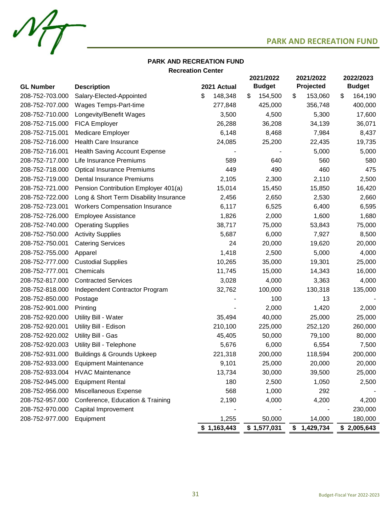

# $M_{\overline{1}}$

## **Recreation Center PARK AND RECREATION FUND**

|                  |                                        |               | 2021/2022     | 2021/2022     | 2022/2023     |  |
|------------------|----------------------------------------|---------------|---------------|---------------|---------------|--|
| <b>GL Number</b> | <b>Description</b>                     | 2021 Actual   | <b>Budget</b> | Projected     | <b>Budget</b> |  |
| 208-752-703.000  | Salary-Elected-Appointed               | \$<br>148,348 | \$<br>154,500 | 153,060<br>\$ | \$<br>164,190 |  |
| 208-752-707.000  | Wages Temps-Part-time                  | 277,848       | 425,000       | 356,748       | 400,000       |  |
| 208-752-710.000  | Longevity/Benefit Wages                | 3,500         | 4,500         | 5,300         | 17,600        |  |
| 208-752-715.000  | <b>FICA Employer</b>                   | 26,288        | 36,208        | 34,139        | 36,071        |  |
| 208-752-715.001  | Medicare Employer                      | 6,148         | 8,468         | 7,984         | 8,437         |  |
| 208-752-716.000  | <b>Health Care Insurance</b>           | 24,085        | 25,200        | 22,435        | 19,735        |  |
| 208-752-716.001  | <b>Health Saving Account Expense</b>   |               |               | 5,000         | 5,000         |  |
| 208-752-717.000  | Life Insurance Premiums                | 589           | 640           | 560           | 580           |  |
| 208-752-718.000  | <b>Optical Insurance Premiums</b>      | 449           | 490           | 460           | 475           |  |
| 208-752-719.000  | <b>Dental Insurance Premiums</b>       | 2,105         | 2,300         | 2,110         | 2,500         |  |
| 208-752-721.000  | Pension Contribution Employer 401(a)   | 15,014        | 15,450        | 15,850        | 16,420        |  |
| 208-752-722.000  | Long & Short Term Disability Insurance | 2,456         | 2,650         | 2,530         | 2,660         |  |
| 208-752-723.001  | <b>Workers Compensation Insurance</b>  | 6,117         | 6,525         | 6,400         | 6,595         |  |
| 208-752-726.000  | <b>Employee Assistance</b>             | 1,826         | 2,000         | 1,600         | 1,680         |  |
| 208-752-740.000  | <b>Operating Supplies</b>              | 38,717        | 75,000        | 53,843        | 75,000        |  |
| 208-752-750.000  | <b>Activity Supplies</b>               | 5,687         | 6,000         | 7,927         | 8,500         |  |
| 208-752-750.001  | <b>Catering Services</b>               | 24            | 20,000        | 19,620        | 20,000        |  |
| 208-752-755.000  | Apparel                                | 1,418         | 2,500         | 5,000         | 4,000         |  |
| 208-752-777.000  | <b>Custodial Supplies</b>              | 10,265        | 35,000        | 19,301        | 25,000        |  |
| 208-752-777.001  | Chemicals                              | 11,745        | 15,000        | 14,343        | 16,000        |  |
| 208-752-817.000  | <b>Contracted Services</b>             | 3,028         | 4,000         | 3,363         | 4,000         |  |
| 208-752-818.000  | Independent Contractor Program         | 32,762        | 100,000       | 130,318       | 135,000       |  |
| 208-752-850.000  | Postage                                |               | 100           | 13            |               |  |
| 208-752-901.000  | Printing                               |               | 2,000         | 1,420         | 2,000         |  |
| 208-752-920.000  | Utility Bill - Water                   | 35,494        | 40,000        | 25,000        | 25,000        |  |
| 208-752-920.001  | Utility Bill - Edison                  | 210,100       | 225,000       | 252,120       | 260,000       |  |
| 208-752-920.002  | Utility Bill - Gas                     | 45,405        | 50,000        | 79,100        | 80,000        |  |
| 208-752-920.003  | Utility Bill - Telephone               | 5,676         | 6,000         | 6,554         | 7,500         |  |
| 208-752-931.000  | <b>Buildings &amp; Grounds Upkeep</b>  | 221,318       | 200,000       | 118,594       | 200,000       |  |
| 208-752-933.000  | <b>Equipment Maintenance</b>           | 9,101         | 25,000        | 20,000        | 20,000        |  |
| 208-752-933.004  | <b>HVAC Maintenance</b>                | 13,734        | 30,000        | 39,500        | 25,000        |  |
| 208-752-945.000  | <b>Equipment Rental</b>                | 180           | 2,500         | 1,050         | 2,500         |  |
| 208-752-956.000  | Miscellaneous Expense                  | 568           | 1,000         | 292           |               |  |
| 208-752-957.000  | Conference, Education & Training       | 2,190         | 4,000         | 4,200         | 4,200         |  |
| 208-752-970.000  | Capital Improvement                    |               |               |               | 230,000       |  |
| 208-752-977.000  | Equipment                              | 1,255         | 50,000        | 14,000        | 180,000       |  |
|                  |                                        | \$1,163,443   | \$1,577,031   | \$1,429,734   | \$2,005,643   |  |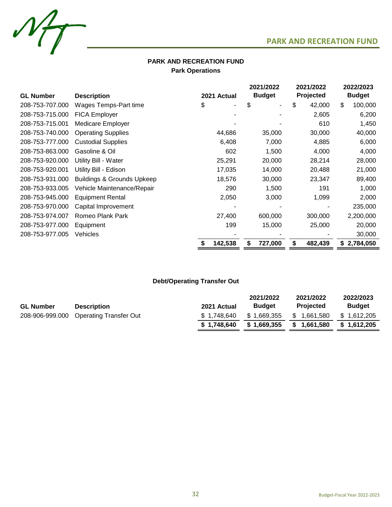

## **PARK AND RECREATION FUND Park Operations**

|                  |                                       |              | 2021/2022<br>2021/2022 |              | 2022/2023     |  |
|------------------|---------------------------------------|--------------|------------------------|--------------|---------------|--|
| <b>GL Number</b> | <b>Description</b>                    | 2021 Actual  | <b>Budget</b>          | Projected    | <b>Budget</b> |  |
| 208-753-707.000  | Wages Temps-Part time                 | \$<br>٠      | \$<br>-                | \$<br>42,000 | \$<br>100,000 |  |
| 208-753-715.000  | FICA Employer                         |              |                        | 2,605        | 6,200         |  |
| 208-753-715.001  | Medicare Employer                     |              |                        | 610          | 1,450         |  |
| 208-753-740.000  | <b>Operating Supplies</b>             | 44,686       | 35,000                 | 30,000       | 40,000        |  |
| 208-753-777.000  | <b>Custodial Supplies</b>             | 6,408        | 7,000                  | 4,885        | 6,000         |  |
| 208-753-863.000  | Gasoline & Oil                        | 602          | 1,500                  | 4,000        | 4,000         |  |
| 208-753-920.000  | Utility Bill - Water                  | 25,291       | 20,000                 | 28,214       | 28,000        |  |
| 208-753-920.001  | Utility Bill - Edison                 | 17,035       | 14,000                 | 20,488       | 21,000        |  |
| 208-753-931.000  | <b>Buildings &amp; Grounds Upkeep</b> | 18,576       | 30,000                 | 23,347       | 89,400        |  |
| 208-753-933.005  | Vehicle Maintenance/Repair            | 290          | 1,500                  | 191          | 1,000         |  |
| 208-753-945.000  | <b>Equipment Rental</b>               | 2,050        | 3,000                  | 1,099        | 2,000         |  |
| 208-753-970.000  | Capital Improvement                   |              |                        |              | 235,000       |  |
| 208-753-974.007  | Romeo Plank Park                      | 27,400       | 600,000                | 300,000      | 2,200,000     |  |
| 208-753-977.000  | Equipment                             | 199          | 15,000                 | 25,000       | 20,000        |  |
| 208-753-977.005  | Vehicles                              |              |                        |              | 30,000        |  |
|                  |                                       | 142,538<br>S | 727,000<br>\$          | 482,439      | \$2,784,050   |  |

## **Debt/Operating Transfer Out**

|                  |                                        |             | 2021/2022     | 2021/2022        | 2022/2023     |
|------------------|----------------------------------------|-------------|---------------|------------------|---------------|
| <b>GL Number</b> | <b>Description</b>                     | 2021 Actual | <b>Budget</b> | <b>Projected</b> | <b>Budget</b> |
|                  | 208-906-999.000 Operating Transfer Out | \$1.748.640 | \$1,669,355   | \$1,661,580      | \$1,612,205   |
|                  |                                        | \$1.748.640 | \$1,669,355   | \$1,661,580      | \$1.612.205   |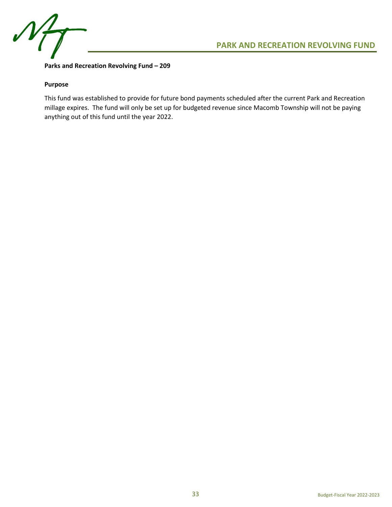

**Parks and Recreation Revolving Fund – 209**

## **Purpose**

This fund was established to provide for future bond payments scheduled after the current Park and Recreation millage expires. The fund will only be set up for budgeted revenue since Macomb Township will not be paying anything out of this fund until the year 2022.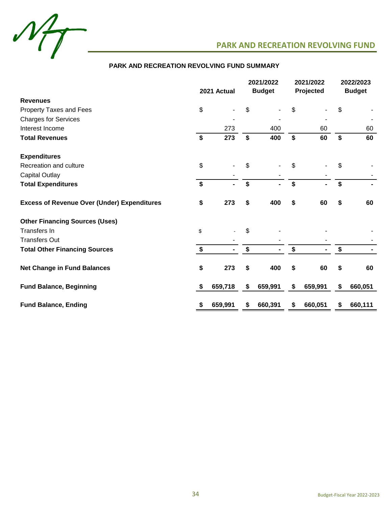

## **PARK AND RECREATION REVOLVING FUND SUMMARY**

|                                                    | 2021 Actual               |                | 2021/2022<br><b>Budget</b> |    | 2021/2022<br>Projected |    | 2022/2023<br><b>Budget</b> |
|----------------------------------------------------|---------------------------|----------------|----------------------------|----|------------------------|----|----------------------------|
| <b>Revenues</b>                                    |                           |                |                            |    |                        |    |                            |
| Property Taxes and Fees                            | \$                        |                | \$                         | \$ |                        | \$ |                            |
| <b>Charges for Services</b>                        |                           |                |                            |    |                        |    |                            |
| Interest Income                                    |                           | 273            | 400                        |    | 60                     |    | 60                         |
| <b>Total Revenues</b>                              | $\boldsymbol{\mathsf{s}}$ | 273            | \$<br>400                  | \$ | 60                     | \$ | 60                         |
| <b>Expenditures</b>                                |                           |                |                            |    |                        |    |                            |
| Recreation and culture                             | \$                        |                | \$                         | \$ |                        | \$ |                            |
| <b>Capital Outlay</b>                              |                           |                |                            |    |                        |    |                            |
| <b>Total Expenditures</b>                          | $\mathbf{\hat{s}}$        |                | \$<br>$\blacksquare$       | \$ |                        | \$ |                            |
| <b>Excess of Revenue Over (Under) Expenditures</b> | \$                        | 273            | \$<br>400                  | \$ | 60                     | \$ | 60                         |
| <b>Other Financing Sources (Uses)</b>              |                           |                |                            |    |                        |    |                            |
| Transfers In                                       | \$                        |                | \$                         |    |                        |    |                            |
| <b>Transfers Out</b>                               |                           |                |                            |    |                        |    |                            |
| <b>Total Other Financing Sources</b>               | \$                        | $\blacksquare$ | \$<br>$\blacksquare$       | \$ |                        | \$ |                            |
| <b>Net Change in Fund Balances</b>                 | \$                        | 273            | \$<br>400                  | \$ | 60                     | \$ | 60                         |
| <b>Fund Balance, Beginning</b>                     | \$                        | 659,718        | \$<br>659,991              | \$ | 659,991                | \$ | 660,051                    |
| <b>Fund Balance, Ending</b>                        | \$                        | 659,991        | \$<br>660,391              | \$ | 660,051                | \$ | 660,111                    |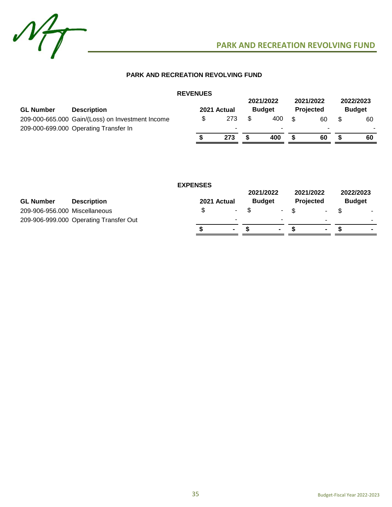

## **PARK AND RECREATION REVOLVING FUND**

|                  |                                                  | <b>REVENUES</b> |             |                            |                               |                            |
|------------------|--------------------------------------------------|-----------------|-------------|----------------------------|-------------------------------|----------------------------|
| <b>GL Number</b> | <b>Description</b>                               |                 | 2021 Actual | 2021/2022<br><b>Budget</b> | 2021/2022<br><b>Projected</b> | 2022/2023<br><b>Budget</b> |
|                  | 209-000-665.000 Gain/(Loss) on Investment Income | \$              | 273         | 400                        | \$<br>60                      | 60                         |
|                  | 209-000-699.000 Operating Transfer In            |                 |             |                            | ۰                             | -                          |
|                  |                                                  |                 | 273         | 400                        | 60                            | 60                         |

|                               |                                        | <b>EXPENSES</b> |             |        |                            |                               |    |                            |                          |
|-------------------------------|----------------------------------------|-----------------|-------------|--------|----------------------------|-------------------------------|----|----------------------------|--------------------------|
| <b>GL Number</b>              | <b>Description</b>                     |                 | 2021 Actual |        | 2021/2022<br><b>Budget</b> | 2021/2022<br><b>Projected</b> |    | 2022/2023<br><b>Budget</b> |                          |
| 209-906-956.000 Miscellaneous |                                        |                 | S           | $\sim$ |                            | $-$ \$                        | ۰. |                            |                          |
|                               | 209-906-999.000 Operating Transfer Out |                 |             |        |                            |                               |    |                            | $\overline{\phantom{a}}$ |
|                               |                                        |                 |             | $\sim$ |                            |                               |    |                            |                          |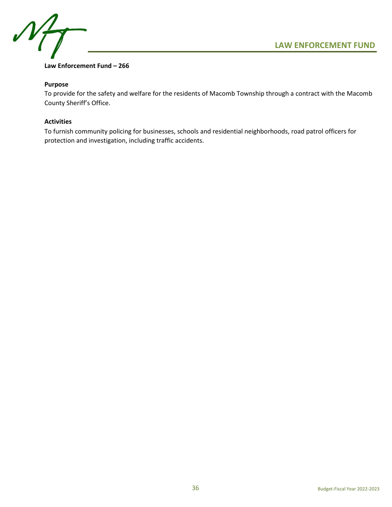



## **Law Enforcement Fund – 266**

## **Purpose**

To provide for the safety and welfare for the residents of Macomb Township through a contract with the Macomb County Sheriff's Office.

## **Activities**

To furnish community policing for businesses, schools and residential neighborhoods, road patrol officers for protection and investigation, including traffic accidents.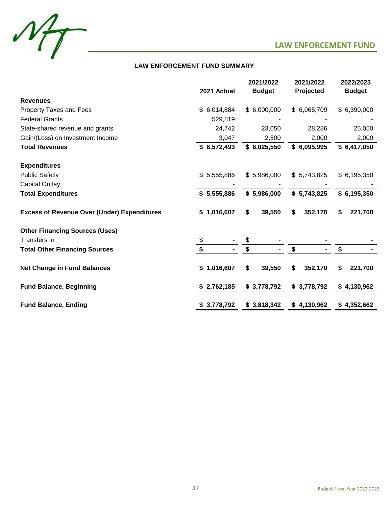



## **LAW ENFORCEMENT FUND SUMMARY**

|                                                    |             | 2021/2022      | 2021/2022    | 2022/2023     |
|----------------------------------------------------|-------------|----------------|--------------|---------------|
|                                                    | 2021 Actual | <b>Budget</b>  | Projected    | <b>Budget</b> |
| <b>Revenues</b>                                    |             |                |              |               |
| Property Taxes and Fees                            | \$6,014,884 | \$6,000,000    | \$6,065,709  | \$6,390,000   |
| <b>Federal Grants</b>                              | 529,819     |                |              |               |
| State-shared revenue and grants                    | 24,742      | 23,050         | 28,286       | 25,050        |
| Gain/(Loss) on Investment Income                   | 3,047       | 2,500          | 2,000        | 2,000         |
| <b>Total Revenues</b>                              | \$6,572,493 | \$6,025,550    | \$6,095,995  | \$6,417,050   |
| <b>Expenditures</b>                                |             |                |              |               |
| <b>Public Safetly</b>                              | \$5,555,886 | \$5,986,000    | \$5,743,825  | \$6,195,350   |
| <b>Capital Outlay</b>                              |             |                |              |               |
| <b>Total Expenditures</b>                          | \$5,555,886 | \$5,986,000    | \$5,743,825  | \$6,195,350   |
| <b>Excess of Revenue Over (Under) Expenditures</b> | \$1,016,607 | \$<br>39,550   | 352,170<br>S | 221,700<br>S. |
| <b>Other Financing Sources (Uses)</b>              |             |                |              |               |
| Transfers In                                       | \$          |                |              |               |
| <b>Total Other Financing Sources</b>               | \$          | $\blacksquare$ | \$           | \$            |
| <b>Net Change in Fund Balances</b>                 | \$1,016,607 | \$<br>39,550   | 352,170<br>S | 221,700<br>S  |
| <b>Fund Balance, Beginning</b>                     | \$2,762,185 | \$3,778,792    | \$3,778,792  | \$4,130,962   |
| <b>Fund Balance, Ending</b>                        | \$3,778,792 | \$3,818,342    | \$4,130,962  | \$4,352,662   |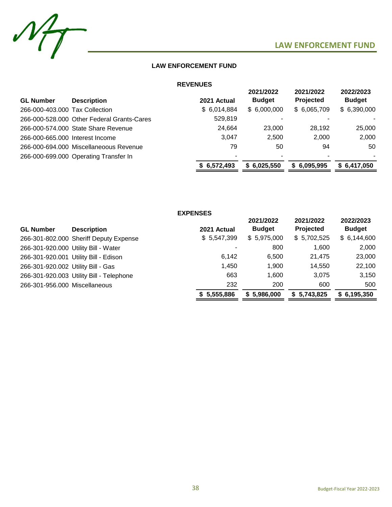

## **LAW ENFORCEMENT FUND**

## **REVENUES**

|                                 |                                            |             | 2021/2022     | 2021/2022                | 2022/2023     |
|---------------------------------|--------------------------------------------|-------------|---------------|--------------------------|---------------|
| <b>GL Number</b>                | <b>Description</b>                         | 2021 Actual | <b>Budget</b> | <b>Projected</b>         | <b>Budget</b> |
| 266-000-403.000 Tax Collection  |                                            | \$6,014,884 | \$6,000,000   | \$6,065,709              | \$6,390,000   |
|                                 | 266-000-528,000 Other Federal Grants-Cares | 529,819     |               |                          |               |
|                                 | 266-000-574.000 State Share Revenue        | 24,664      | 23,000        | 28,192                   | 25,000        |
| 266-000-665,000 Interest Income |                                            | 3.047       | 2.500         | 2,000                    | 2,000         |
|                                 | 266-000-694.000 Miscellaneoous Revenue     | 79          | 50            | 94                       | 50            |
|                                 | 266-000-699.000 Operating Transfer In      |             |               | $\overline{\phantom{0}}$ | ۰.            |
|                                 |                                            | \$6,572,493 | \$6,025,550   | \$6,095,995              | \$6,417,050   |

|                                    |                                          | <b>EXPENSES</b> |                            |                               |                            |
|------------------------------------|------------------------------------------|-----------------|----------------------------|-------------------------------|----------------------------|
| <b>GL Number</b>                   | <b>Description</b>                       | 2021 Actual     | 2021/2022<br><b>Budget</b> | 2021/2022<br><b>Projected</b> | 2022/2023<br><b>Budget</b> |
|                                    | 266-301-802.000 Sheriff Deputy Expense   | \$5,547,399     | \$5,975,000                | \$5,702,525                   | \$6,144,600                |
|                                    | 266-301-920.000 Utility Bill - Water     |                 | 800                        | 1,600                         | 2,000                      |
|                                    | 266-301-920.001 Utility Bill - Edison    | 6,142           | 6,500                      | 21,475                        | 23,000                     |
| 266-301-920.002 Utility Bill - Gas |                                          | 1,450           | 1,900                      | 14,550                        | 22,100                     |
|                                    | 266-301-920.003 Utility Bill - Telephone | 663             | 1,600                      | 3,075                         | 3,150                      |
| 266-301-956.000 Miscellaneous      |                                          | 232             | 200                        | 600                           | 500                        |
|                                    |                                          | \$5,555,886     | \$5,986,000                | \$5,743,825                   | \$6,195,350                |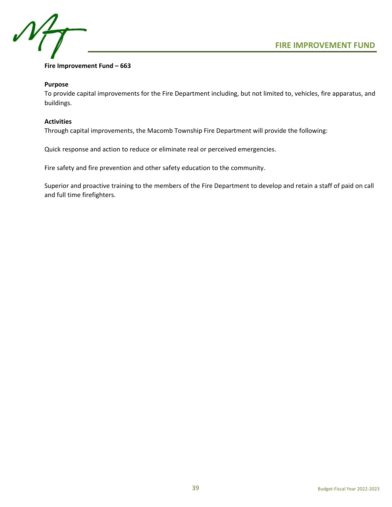



## **Fire Improvement Fund – 663**

## **Purpose**

To provide capital improvements for the Fire Department including, but not limited to, vehicles, fire apparatus, and buildings.

## **Activities**

Through capital improvements, the Macomb Township Fire Department will provide the following:

Quick response and action to reduce or eliminate real or perceived emergencies.

Fire safety and fire prevention and other safety education to the community.

Superior and proactive training to the members of the Fire Department to develop and retain a staff of paid on call and full time firefighters.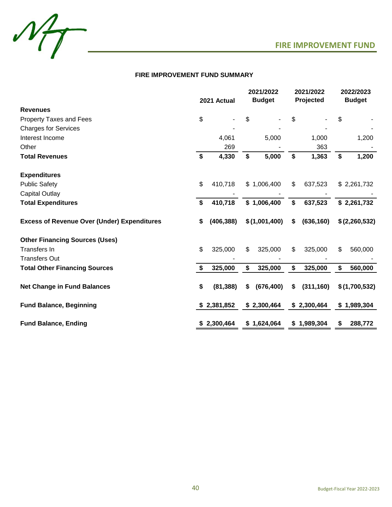

## **FIRE IMPROVEMENT FUND SUMMARY**

|                                                    | 2021 Actual      | 2021/2022<br><b>Budget</b> | 2021/2022<br>Projected | 2022/2023<br><b>Budget</b> |
|----------------------------------------------------|------------------|----------------------------|------------------------|----------------------------|
| <b>Revenues</b>                                    |                  |                            |                        |                            |
| <b>Property Taxes and Fees</b>                     | \$               | \$                         | \$                     | \$                         |
| <b>Charges for Services</b>                        |                  |                            |                        |                            |
| Interest Income                                    | 4,061            | 5,000                      | 1,000                  | 1,200                      |
| Other                                              | 269              |                            | 363                    |                            |
| <b>Total Revenues</b>                              | \$<br>4,330      | \$<br>5,000                | \$<br>1,363            | \$<br>1,200                |
| <b>Expenditures</b>                                |                  |                            |                        |                            |
| <b>Public Safety</b>                               | \$<br>410,718    | \$1,006,400                | \$<br>637,523          | \$2,261,732                |
| <b>Capital Outlay</b>                              |                  |                            |                        |                            |
| <b>Total Expenditures</b>                          | \$<br>410,718    | \$1,006,400                | \$<br>637,523          | \$2,261,732                |
| <b>Excess of Revenue Over (Under) Expenditures</b> | \$<br>(406, 388) | \$(1,001,400)              | \$<br>(636, 160)       | \$(2,260,532)              |
| <b>Other Financing Sources (Uses)</b>              |                  |                            |                        |                            |
| Transfers In                                       | \$<br>325,000    | \$<br>325,000              | \$<br>325,000          | \$<br>560,000              |
| <b>Transfers Out</b>                               |                  |                            |                        |                            |
| <b>Total Other Financing Sources</b>               | \$<br>325,000    | \$<br>325,000              | \$<br>325,000          | \$<br>560,000              |
| <b>Net Change in Fund Balances</b>                 | \$<br>(81, 388)  | \$<br>(676, 400)           | \$<br>(311, 160)       | \$(1,700,532)              |
| <b>Fund Balance, Beginning</b>                     | \$2,381,852      | \$2,300,464                | \$2,300,464            | \$1,989,304                |
| <b>Fund Balance, Ending</b>                        | \$2,300,464      | \$1,624,064                | \$1,989,304            | \$<br>288,772              |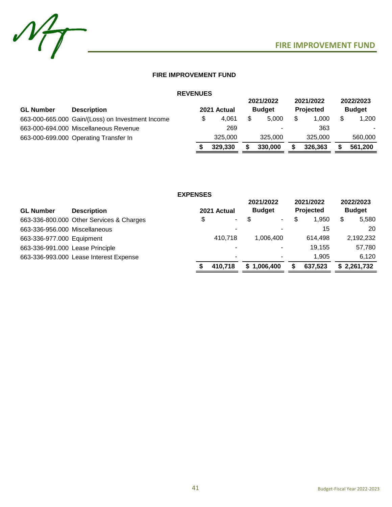

## **FIRE IMPROVEMENT FUND**

|                  |                                                  | <b>REVENUES</b> |             |                            |                               |                            |
|------------------|--------------------------------------------------|-----------------|-------------|----------------------------|-------------------------------|----------------------------|
| <b>GL Number</b> | <b>Description</b>                               |                 | 2021 Actual | 2021/2022<br><b>Budget</b> | 2021/2022<br><b>Projected</b> | 2022/2023<br><b>Budget</b> |
|                  | 663-000-665.000 Gain/(Loss) on Investment Income |                 | \$<br>4.061 | \$<br>5.000                | \$<br>1.000                   | 1,200                      |
|                  | 663-000-694.000 Miscellaneous Revenue            |                 | 269         |                            | 363                           |                            |
|                  | 663-000-699.000 Operating Transfer In            |                 | 325,000     | 325,000                    | 325,000                       | 560,000                    |
|                  |                                                  |                 | 329,330     | 330,000                    | 326,363                       | 561,200                    |

|                                 |                                          | <b>EXPENSES</b> |                          |                            |                |                        |                            |
|---------------------------------|------------------------------------------|-----------------|--------------------------|----------------------------|----------------|------------------------|----------------------------|
| <b>GL Number</b>                | <b>Description</b>                       |                 | 2021 Actual              | 2021/2022<br><b>Budget</b> |                | 2021/2022<br>Projected | 2022/2023<br><b>Budget</b> |
|                                 | 663-336-800.000 Other Services & Charges | \$              | ۰.                       |                            | $\blacksquare$ | \$<br>1,950            | \$<br>5,580                |
| 663-336-956.000 Miscellaneous   |                                          |                 | -                        |                            |                | 15                     | 20                         |
| 663-336-977.000 Equipment       |                                          |                 | 410.718                  |                            | 1.006.400      | 614.498                | 2,192,232                  |
| 663-336-991.000 Lease Principle |                                          |                 |                          |                            |                | 19.155                 | 57,780                     |
|                                 | 663-336-993.000 Lease Interest Expense   |                 | $\overline{\phantom{0}}$ |                            |                | 1.905                  | 6,120                      |
|                                 |                                          |                 | 410,718                  | S                          | 1,006,400      | 637,523                | \$2,261,732                |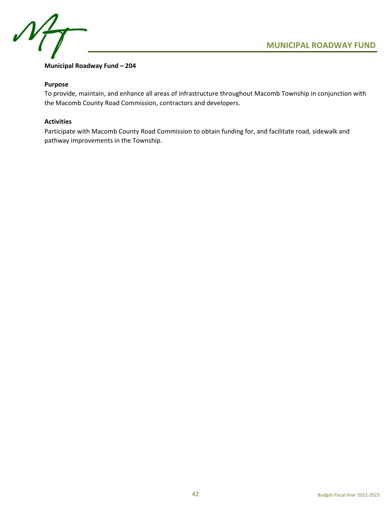



## **Municipal Roadway Fund – 204**

## **Purpose**

To provide, maintain, and enhance all areas of infrastructure throughout Macomb Township in conjunction with the Macomb County Road Commission, contractors and developers.

## **Activities**

Participate with Macomb County Road Commission to obtain funding for, and facilitate road, sidewalk and pathway improvements in the Township.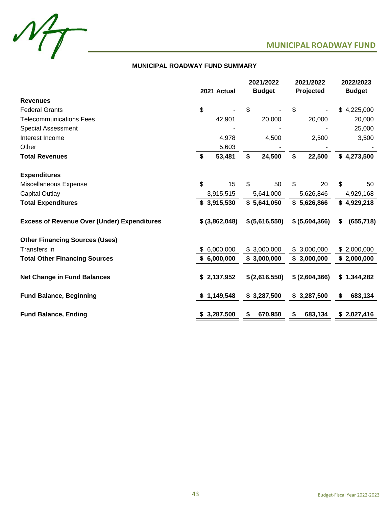



## **MUNICIPAL ROADWAY FUND SUMMARY**

|                                                    |                | 2021/2022      | 2021/2022      | 2022/2023        |
|----------------------------------------------------|----------------|----------------|----------------|------------------|
|                                                    | 2021 Actual    | <b>Budget</b>  | Projected      | <b>Budget</b>    |
| <b>Revenues</b>                                    |                |                |                |                  |
| <b>Federal Grants</b>                              | \$             | \$             | \$             | \$4,225,000      |
| <b>Telecommunications Fees</b>                     | 42,901         | 20,000         | 20,000         | 20,000           |
| <b>Special Assessment</b>                          |                |                |                | 25,000           |
| Interest Income                                    | 4,978          | 4,500          | 2,500          | 3,500            |
| Other                                              | 5,603          |                |                |                  |
| <b>Total Revenues</b>                              | \$<br>53,481   | \$<br>24,500   | \$<br>22,500   | \$4,273,500      |
|                                                    |                |                |                |                  |
| <b>Expenditures</b>                                |                |                |                |                  |
| Miscellaneous Expense                              | \$<br>15       | \$<br>50       | \$<br>20       | \$<br>50         |
| <b>Capital Outlay</b>                              | 3,915,515      | 5,641,000      | 5,626,846      | 4,929,168        |
| <b>Total Expenditures</b>                          | \$3,915,530    | \$5,641,050    | \$5,626,866    | \$4,929,218      |
|                                                    |                |                |                |                  |
| <b>Excess of Revenue Over (Under) Expenditures</b> | \$ (3,862,048) | \$ (5,616,550) | \$ (5,604,366) | \$<br>(655, 718) |
|                                                    |                |                |                |                  |
| <b>Other Financing Sources (Uses)</b>              |                |                |                |                  |
| Transfers In                                       | 6,000,000      | \$3,000,000    | \$3,000,000    | \$2,000,000      |
| <b>Total Other Financing Sources</b>               | \$6,000,000    | \$3,000,000    | \$3,000,000    | \$2,000,000      |
|                                                    |                |                |                |                  |
| <b>Net Change in Fund Balances</b>                 | \$2,137,952    | \$(2,616,550)  | \$ (2,604,366) | \$1,344,282      |
|                                                    |                |                |                |                  |
| <b>Fund Balance, Beginning</b>                     | \$1,149,548    | \$3,287,500    | \$3,287,500    | \$<br>683,134    |
|                                                    |                |                |                |                  |
| <b>Fund Balance, Ending</b>                        | \$3,287,500    | \$<br>670,950  | \$<br>683,134  | \$2,027,416      |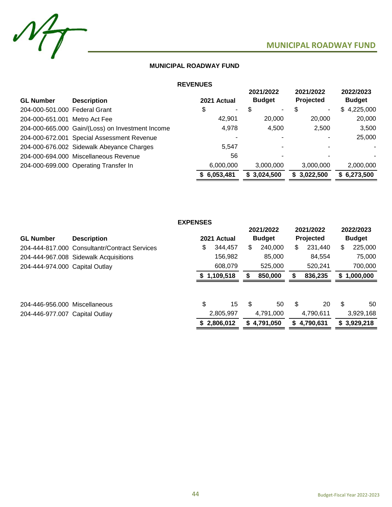

## **MUNICIPAL ROADWAY FUND**

## **REVENUES**

| <b>GL Number</b>              | <b>Description</b>                               | 2021 Actual | 2021/2022<br><b>Budget</b> | 2021/2022<br>Projected         | 2022/2023<br><b>Budget</b> |
|-------------------------------|--------------------------------------------------|-------------|----------------------------|--------------------------------|----------------------------|
| 204-000-501.000 Federal Grant |                                                  | \$<br>٠.    | \$<br>۰.                   | \$<br>$\overline{\phantom{a}}$ | 4,225,000<br>\$.           |
| 204-000-651.001 Metro Act Fee |                                                  | 42.901      | 20,000                     | 20,000                         | 20,000                     |
|                               | 204-000-665.000 Gain/(Loss) on Investment Income | 4,978       | 4,500                      | 2,500                          | 3,500                      |
|                               | 204-000-672.001 Special Assessment Revenue       |             |                            |                                | 25,000                     |
|                               | 204-000-676.002 Sidewalk Abeyance Charges        | 5,547       |                            |                                | $\sim$                     |
|                               | 204-000-694.000 Miscellaneous Revenue            | 56          |                            |                                |                            |
|                               | 204-000-699.000 Operating Transfer In            | 6,000,000   | 3,000,000                  | 3,000,000                      | 2,000,000                  |
|                               |                                                  | \$6,053,481 | \$3,024,500                | \$3,022,500                    | \$6,273,500                |

|                                |                                               | <b>EXPENSES</b> |             |    |               |    |                  |    |               |
|--------------------------------|-----------------------------------------------|-----------------|-------------|----|---------------|----|------------------|----|---------------|
|                                |                                               |                 |             |    | 2021/2022     |    | 2021/2022        |    | 2022/2023     |
| <b>GL Number</b>               | <b>Description</b>                            |                 | 2021 Actual |    | <b>Budget</b> |    | <b>Projected</b> |    | <b>Budget</b> |
|                                | 204-444-817.000 Consultantr/Contract Services | \$              | 344.457     | \$ | 240,000       | \$ | 231.440          | \$ | 225,000       |
|                                | 204-444-967.008 Sidewalk Acquisitions         |                 | 156,982     |    | 85,000        |    | 84.554           |    | 75,000        |
| 204-444-974.000 Capital Outlay |                                               |                 | 608.079     |    | 525,000       |    | 520,241          |    | 700,000       |
|                                |                                               | S.              | 1,109,518   |    | 850,000       | S  | 836,235          | S. | 1,000,000     |
|                                |                                               |                 |             |    |               |    |                  |    |               |
| 204-446-956.000 Miscellaneous  |                                               | \$              | 15          | \$ | 50            | \$ | 20               | \$ | 50            |
| 204-446-977.007 Capital Outlay |                                               |                 | 2,805,997   |    | 4.791.000     |    | 4,790,611        |    | 3,929,168     |
|                                |                                               |                 | 2,806,012   | S  | 4,791,050     | S  | 4,790,631        |    | \$3,929,218   |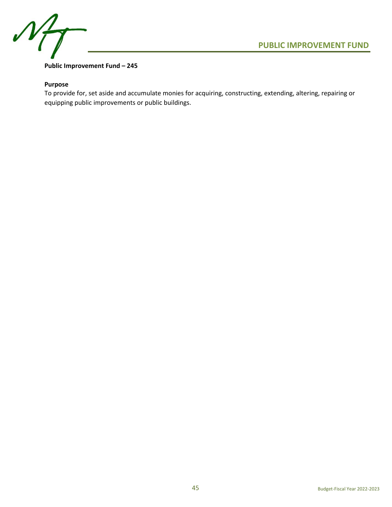

## **Public Improvement Fund – 245**

## **Purpose**

To provide for, set aside and accumulate monies for acquiring, constructing, extending, altering, repairing or equipping public improvements or public buildings.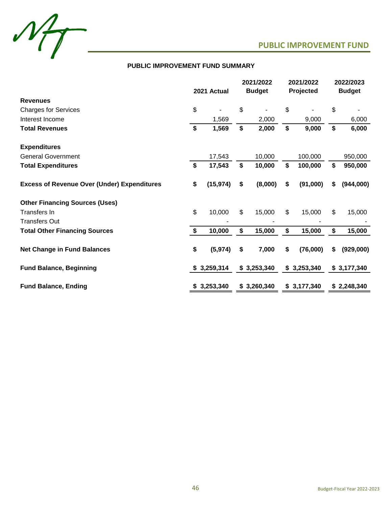

## **PUBLIC IMPROVEMENT FUND SUMMARY**

|                                                    | 2021 Actual |             | 2021/2022<br><b>Budget</b> |             | 2021/2022<br>Projected |             | 2022/2023<br><b>Budget</b> |             |
|----------------------------------------------------|-------------|-------------|----------------------------|-------------|------------------------|-------------|----------------------------|-------------|
| <b>Revenues</b>                                    |             |             |                            |             |                        |             |                            |             |
| <b>Charges for Services</b>                        | \$          |             | \$                         |             | \$                     |             | \$                         |             |
| Interest Income                                    |             | 1,569       |                            | 2,000       |                        | 9,000       |                            | 6,000       |
| <b>Total Revenues</b>                              | \$          | 1,569       | \$                         | 2,000       | \$                     | 9,000       | \$                         | 6,000       |
| <b>Expenditures</b>                                |             |             |                            |             |                        |             |                            |             |
| <b>General Government</b>                          |             | 17,543      |                            | 10,000      |                        | 100,000     |                            | 950,000     |
| <b>Total Expenditures</b>                          | \$          | 17,543      | \$                         | 10,000      | \$                     | 100,000     | \$                         | 950,000     |
| <b>Excess of Revenue Over (Under) Expenditures</b> | \$          | (15, 974)   | \$                         | (8,000)     | \$                     | (91,000)    | S.                         | (944,000)   |
| <b>Other Financing Sources (Uses)</b>              |             |             |                            |             |                        |             |                            |             |
| <b>Transfers In</b>                                | \$          | 10,000      | \$                         | 15,000      | \$                     | 15,000      | \$                         | 15,000      |
| <b>Transfers Out</b>                               |             |             |                            |             |                        |             |                            |             |
| <b>Total Other Financing Sources</b>               | \$          | 10,000      | \$                         | 15,000      | \$                     | 15,000      | \$                         | 15,000      |
| <b>Net Change in Fund Balances</b>                 | \$          | (5, 974)    | \$                         | 7,000       | \$                     | (76,000)    | \$                         | (929,000)   |
| <b>Fund Balance, Beginning</b>                     |             | \$3,259,314 |                            | \$3,253,340 |                        | \$3,253,340 |                            | \$3,177,340 |
| <b>Fund Balance, Ending</b>                        |             | \$3,253,340 |                            | \$3,260,340 |                        | \$3,177,340 |                            | \$2,248,340 |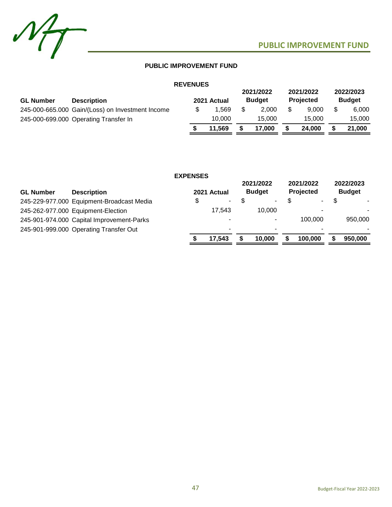

## **PUBLIC IMPROVEMENT FUND**

## **REVENUES**

| <b>GL Number</b> | <b>Description</b>                               | <b>NEVENUES</b> | 2021 Actual | 2021/2022<br><b>Budget</b> | 2021/2022<br><b>Projected</b> | 2022/2023<br><b>Budget</b> |
|------------------|--------------------------------------------------|-----------------|-------------|----------------------------|-------------------------------|----------------------------|
|                  | 245-000-665.000 Gain/(Loss) on Investment Income |                 | 1.569       | 2.000                      | 9.000                         | 6.000                      |
|                  | 245-000-699.000 Operating Transfer In            |                 | 10.000      | 15.000                     | 15.000                        | 15,000                     |
|                  |                                                  |                 | 11,569      | 17.000                     | 24.000                        | 21.000                     |

|                  |                                           | <b>EXPENSES</b> |                  |                            |                        |                            |
|------------------|-------------------------------------------|-----------------|------------------|----------------------------|------------------------|----------------------------|
| <b>GL Number</b> | <b>Description</b>                        |                 | 2021 Actual      | 2021/2022<br><b>Budget</b> | 2021/2022<br>Projected | 2022/2023<br><b>Budget</b> |
|                  | 245-229-977.000 Equipment-Broadcast Media | \$              | $\sim$ 100 $\mu$ | $\blacksquare$             | ۰.                     | ۰.                         |
|                  | 245-262-977.000 Equipment-Election        |                 | 17.543           | 10.000                     | ۰                      |                            |
|                  | 245-901-974.000 Capital Improvement-Parks |                 | -                | $\overline{\phantom{0}}$   | 100.000                | 950,000                    |
|                  | 245-901-999.000 Operating Transfer Out    |                 | -                | $\overline{\phantom{0}}$   |                        |                            |
|                  |                                           |                 | 17,543           | 10.000                     | 100.000                | 950,000                    |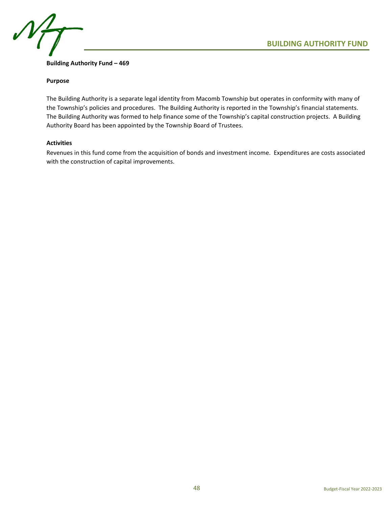

## **Building Authority Fund – 469**

## **Purpose**

The Building Authority is a separate legal identity from Macomb Township but operates in conformity with many of the Township's policies and procedures. The Building Authority is reported in the Township's financial statements. The Building Authority was formed to help finance some of the Township's capital construction projects. A Building Authority Board has been appointed by the Township Board of Trustees.

## **Activities**

Revenues in this fund come from the acquisition of bonds and investment income. Expenditures are costs associated with the construction of capital improvements.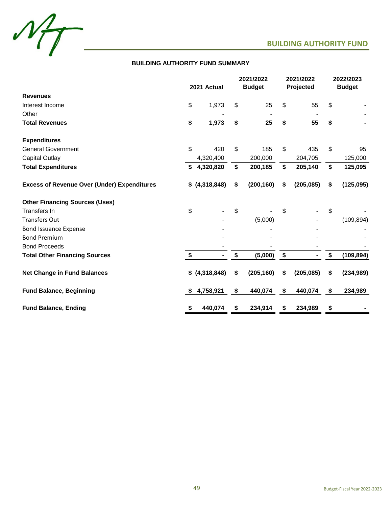



## **BUILDING AUTHORITY FUND SUMMARY**

|                                                    | 2021 Actual |                 |    | 2021/2022<br><b>Budget</b> | 2021/2022<br>Projected | 2022/2023<br><b>Budget</b> |            |
|----------------------------------------------------|-------------|-----------------|----|----------------------------|------------------------|----------------------------|------------|
| <b>Revenues</b>                                    |             |                 |    |                            |                        |                            |            |
| Interest Income                                    | \$          | 1,973           | \$ | 25                         | \$<br>55               | \$                         |            |
| Other                                              |             |                 |    |                            |                        |                            |            |
| <b>Total Revenues</b>                              | \$          | 1,973           | \$ | 25                         | \$<br>55               | \$                         |            |
| <b>Expenditures</b>                                |             |                 |    |                            |                        |                            |            |
| <b>General Government</b>                          | \$          | 420             | \$ | 185                        | \$<br>435              | \$                         | 95         |
| <b>Capital Outlay</b>                              |             | 4,320,400       |    | 200,000                    | 204,705                |                            | 125,000    |
| <b>Total Expenditures</b>                          | \$          | 4,320,820       | \$ | 200,185                    | \$<br>205,140          | \$                         | 125,095    |
| <b>Excess of Revenue Over (Under) Expenditures</b> |             | $$$ (4,318,848) | \$ | (200, 160)                 | \$<br>(205, 085)       | \$                         | (125,095)  |
| <b>Other Financing Sources (Uses)</b>              |             |                 |    |                            |                        |                            |            |
| <b>Transfers In</b>                                | \$          |                 | \$ |                            | \$                     | \$                         |            |
| <b>Transfers Out</b>                               |             |                 |    | (5,000)                    |                        |                            | (109, 894) |
| <b>Bond Issuance Expense</b>                       |             |                 |    |                            |                        |                            |            |
| <b>Bond Premium</b>                                |             |                 |    |                            |                        |                            |            |
| <b>Bond Proceeds</b>                               |             |                 |    |                            |                        |                            |            |
| <b>Total Other Financing Sources</b>               | \$          |                 | \$ | (5,000)                    | \$                     | \$                         | (109, 894) |
| <b>Net Change in Fund Balances</b>                 |             | $$$ (4,318,848) | \$ | (205, 160)                 | \$<br>(205, 085)       | \$                         | (234, 989) |
| <b>Fund Balance, Beginning</b>                     | \$          | 4,758,921       | \$ | 440,074                    | \$<br>440,074          | \$                         | 234,989    |
| <b>Fund Balance, Ending</b>                        | \$          | 440,074         | \$ | 234,914                    | \$<br>234,989          | \$                         |            |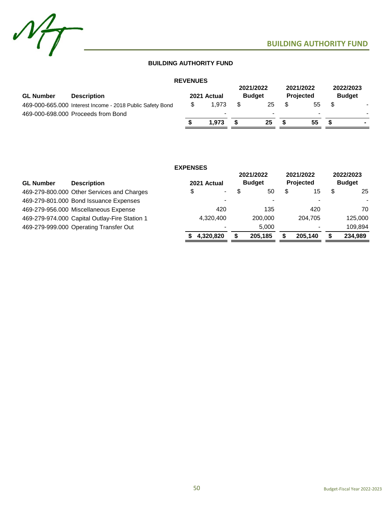

## **BUILDING AUTHORITY FUND**

| <b>GL Number</b><br><b>Description</b>                    |  | 2021 Actual | 2021/2022<br><b>Budget</b> |    | 2021/2022 | <b>Projected</b> | 2022/2023<br><b>Budget</b> |                |
|-----------------------------------------------------------|--|-------------|----------------------------|----|-----------|------------------|----------------------------|----------------|
| 469-000-665.000 Interest Income - 2018 Public Safety Bond |  | 1.973       |                            | 25 |           | 55               |                            |                |
| 469-000-698.000 Proceeds from Bond                        |  |             |                            |    |           | $\,$             |                            |                |
|                                                           |  | 1.973       |                            | 25 |           | 55               |                            | $\blacksquare$ |

|                  |                                               | <b>EXPENSES</b> |             |                            |    |                               |    |                            |
|------------------|-----------------------------------------------|-----------------|-------------|----------------------------|----|-------------------------------|----|----------------------------|
| <b>GL Number</b> | <b>Description</b>                            |                 | 2021 Actual | 2021/2022<br><b>Budget</b> |    | 2021/2022<br><b>Projected</b> |    | 2022/2023<br><b>Budget</b> |
|                  | 469-279-800.000 Other Services and Charges    | \$              | $\sim$      | \$<br>50                   | \$ | 15                            | \$ | 25                         |
|                  | 469-279-801.000 Bond Issuance Expenses        |                 |             |                            |    |                               |    |                            |
|                  | 469-279-956.000 Miscellaneous Expense         |                 | 420         | 135                        |    | 420                           |    | 70                         |
|                  | 469-279-974.000 Capital Outlay-Fire Station 1 |                 | 4,320,400   | 200,000                    |    | 204.705                       |    | 125,000                    |
|                  | 469-279-999.000 Operating Transfer Out        |                 |             | 5.000                      |    |                               |    | 109,894                    |
|                  |                                               |                 | 4.320.820   | \$<br>205.185              | S  | 205.140                       | S  | 234,989                    |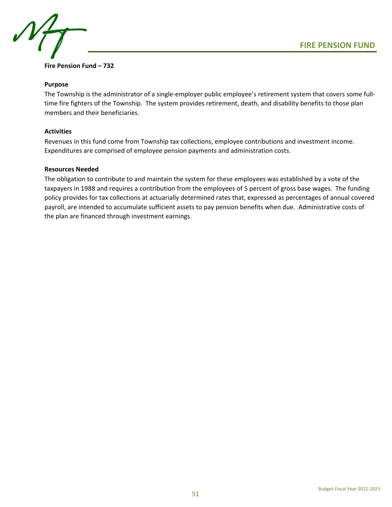

## **Fire Pension Fund – 732**

## **Purpose**

The Township is the administrator of a single-employer public employee's retirement system that covers some fulltime fire fighters of the Township. The system provides retirement, death, and disability benefits to those plan members and their beneficiaries.

## **Activities**

Revenues in this fund come from Township tax collections, employee contributions and investment income. Expenditures are comprised of employee pension payments and administration costs.

## **Resources Needed**

The obligation to contribute to and maintain the system for these employees was established by a vote of the taxpayers in 1988 and requires a contribution from the employees of 5 percent of gross base wages. The funding policy provides for tax collections at actuarially determined rates that, expressed as percentages of annual covered payroll, are intended to accumulate sufficient assets to pay pension benefits when due. Administrative costs of the plan are financed through investment earnings.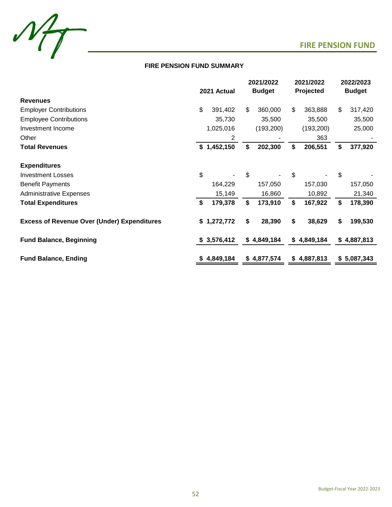



## **FIRE PENSION FUND SUMMARY**

|                                                    | 2021 Actual |             | 2021/2022<br><b>Budget</b> |             | 2021/2022<br>Projected |             | 2022/2023<br><b>Budget</b> |             |
|----------------------------------------------------|-------------|-------------|----------------------------|-------------|------------------------|-------------|----------------------------|-------------|
|                                                    |             |             |                            |             |                        |             |                            |             |
| <b>Revenues</b>                                    |             |             |                            |             |                        |             |                            |             |
| <b>Employer Contributions</b>                      | \$          | 391,402     | \$                         | 360,000     | \$                     | 363,888     | \$                         | 317,420     |
| <b>Employee Contributions</b>                      |             | 35,730      |                            | 35,500      |                        | 35,500      |                            | 35,500      |
| Investment Income                                  |             | 1,025,016   |                            | (193, 200)  |                        | (193, 200)  |                            | 25,000      |
| Other                                              |             | 2           |                            |             |                        | 363         |                            |             |
| <b>Total Revenues</b>                              |             | \$1,452,150 | \$                         | 202,300     | S                      | 206,551     | \$                         | 377,920     |
| <b>Expenditures</b>                                |             |             |                            |             |                        |             |                            |             |
| <b>Investment Losses</b>                           | \$          |             | \$                         |             | \$                     |             | \$                         |             |
| <b>Benefit Payments</b>                            |             | 164,229     |                            | 157,050     |                        | 157,030     |                            | 157,050     |
| <b>Administrative Expenses</b>                     |             | 15,149      |                            | 16,860      |                        | 10,892      |                            | 21,340      |
| <b>Total Expenditures</b>                          | \$          | 179,378     | \$                         | 173,910     | \$                     | 167,922     | \$                         | 178,390     |
| <b>Excess of Revenue Over (Under) Expenditures</b> |             | \$1,272,772 | \$                         | 28,390      | \$                     | 38,629      | \$                         | 199,530     |
| <b>Fund Balance, Beginning</b>                     |             | \$3,576,412 |                            | \$4,849,184 |                        | \$4,849,184 |                            | \$4,887,813 |
| <b>Fund Balance, Ending</b>                        | S           | 4,849,184   |                            | \$4,877,574 | \$                     | 4,887,813   |                            | \$5,087,343 |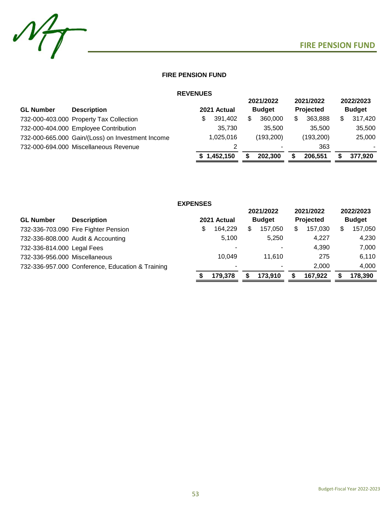

## **FIRE PENSION FUND**

| <b>REVENUES</b>  |                                                  |    |             |     |                            |   |                        |   |                            |
|------------------|--------------------------------------------------|----|-------------|-----|----------------------------|---|------------------------|---|----------------------------|
| <b>GL Number</b> | <b>Description</b>                               |    | 2021 Actual |     | 2021/2022<br><b>Budget</b> |   | 2021/2022<br>Projected |   | 2022/2023<br><b>Budget</b> |
|                  | 732-000-403.000 Property Tax Collection          | \$ | 391,402     | \$. | 360,000                    | S | 363,888                | S | 317,420                    |
|                  | 732-000-404.000 Employee Contribution            |    | 35,730      |     | 35,500                     |   | 35.500                 |   | 35,500                     |
|                  | 732-000-665.000 Gain/(Loss) on Investment Income |    | 1,025,016   |     | (193, 200)                 |   | (193, 200)             |   | 25,000                     |
|                  | 732-000-694.000 Miscellaneous Revenue            |    | 2           |     |                            |   | 363                    |   | ۰                          |
|                  |                                                  |    | \$1,452,150 |     | 202.300                    |   | 206,551                |   | 377,920                    |

|                               |                                                  | <b>EXPENSES</b> |             |     |               |               |               |
|-------------------------------|--------------------------------------------------|-----------------|-------------|-----|---------------|---------------|---------------|
|                               |                                                  |                 |             |     | 2021/2022     | 2021/2022     | 2022/2023     |
| <b>GL Number</b>              | <b>Description</b>                               |                 | 2021 Actual |     | <b>Budget</b> | Projected     | <b>Budget</b> |
|                               | 732-336-703.090 Fire Fighter Pension             | \$              | 164.229     | \$. | 157,050       | \$<br>157,030 | 157,050       |
|                               | 732-336-808.000 Audit & Accounting               |                 | 5,100       |     | 5,250         | 4,227         | 4,230         |
| 732-336-814.000 Legal Fees    |                                                  |                 | -           |     |               | 4,390         | 7,000         |
| 732-336-956.000 Miscellaneous |                                                  |                 | 10.049      |     | 11.610        | 275           | 6,110         |
|                               | 732-336-957.000 Conference, Education & Training |                 |             |     |               | 2,000         | 4.000         |
|                               |                                                  |                 | 179.378     |     | 173.910       | 167,922       | 178,390       |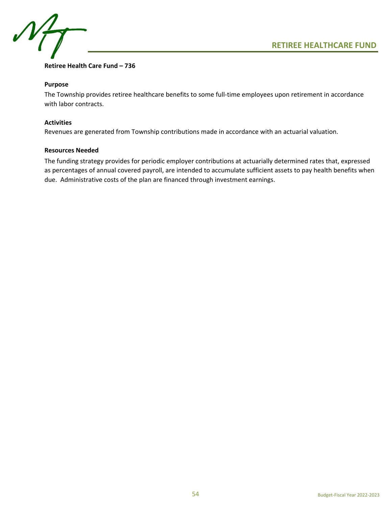



## **Retiree Health Care Fund – 736**

## **Purpose**

The Township provides retiree healthcare benefits to some full-time employees upon retirement in accordance with labor contracts.

## **Activities**

Revenues are generated from Township contributions made in accordance with an actuarial valuation.

## **Resources Needed**

The funding strategy provides for periodic employer contributions at actuarially determined rates that, expressed as percentages of annual covered payroll, are intended to accumulate sufficient assets to pay health benefits when due. Administrative costs of the plan are financed through investment earnings.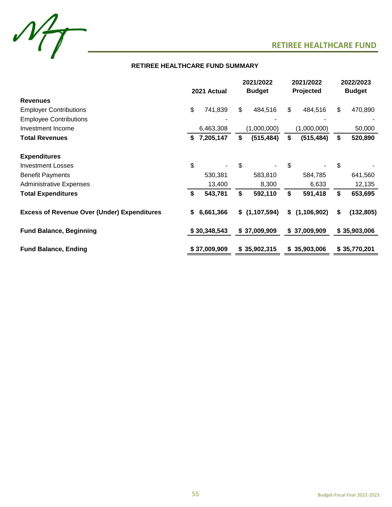

## **RETIREE HEALTHCARE FUND SUMMARY**

|                                                    | 2021 Actual |              | 2021/2022<br><b>Budget</b> |               | 2021/2022<br>Projected |               | 2022/2023<br><b>Budget</b> |              |
|----------------------------------------------------|-------------|--------------|----------------------------|---------------|------------------------|---------------|----------------------------|--------------|
| <b>Revenues</b>                                    |             |              |                            |               |                        |               |                            |              |
| <b>Employer Contributions</b>                      | \$          | 741,839      | \$                         | 484,516       | \$                     | 484,516       | \$                         | 470,890      |
| <b>Employee Contributions</b>                      |             |              |                            |               |                        |               |                            |              |
| Investment Income                                  |             | 6,463,308    |                            | (1,000,000)   |                        | (1,000,000)   |                            | 50,000       |
| <b>Total Revenues</b>                              | \$          | 7,205,147    | \$                         | (515, 484)    | \$                     | (515, 484)    | \$                         | 520,890      |
| <b>Expenditures</b>                                |             |              |                            |               |                        |               |                            |              |
| <b>Investment Losses</b>                           | \$          |              | \$                         |               | \$                     |               | \$                         |              |
| <b>Benefit Payments</b>                            |             | 530,381      |                            | 583,810       |                        | 584,785       |                            | 641,560      |
| <b>Administrative Expenses</b>                     |             | 13,400       |                            | 8,300         |                        | 6,633         |                            | 12,135       |
| <b>Total Expenditures</b>                          | \$          | 543,781      | \$                         | 592,110       | \$                     | 591,418       | \$                         | 653,695      |
| <b>Excess of Revenue Over (Under) Expenditures</b> | S.          | 6,661,366    |                            | \$(1,107,594) | \$                     | (1, 106, 902) | \$                         | (132, 805)   |
| <b>Fund Balance, Beginning</b>                     |             | \$30,348,543 |                            | \$37,009,909  |                        | \$37,009,909  |                            | \$35,903,006 |
| <b>Fund Balance, Ending</b>                        |             | \$37,009,909 |                            | \$35,902,315  |                        | \$35,903,006  |                            | \$35,770,201 |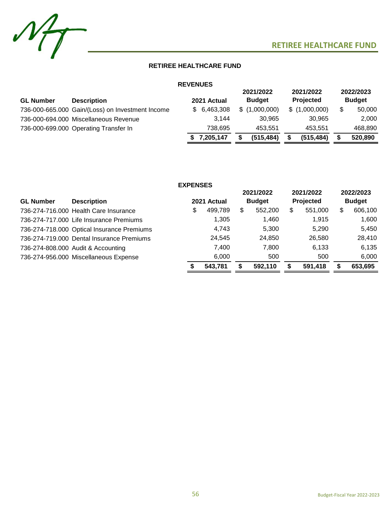



## **RETIREE HEALTHCARE FUND**

## **REVENUES**

| <b>Description</b> |                                                                                                                                    |         |                                         |            |                                             |            |                                                | 2022/2023<br><b>Budget</b> |
|--------------------|------------------------------------------------------------------------------------------------------------------------------------|---------|-----------------------------------------|------------|---------------------------------------------|------------|------------------------------------------------|----------------------------|
|                    |                                                                                                                                    |         |                                         |            |                                             |            |                                                | 50,000                     |
|                    |                                                                                                                                    | 3.144   |                                         | 30.965     |                                             | 30.965     |                                                | 2.000                      |
|                    |                                                                                                                                    | 738.695 |                                         | 453.551    |                                             | 453.551    |                                                | 468.890                    |
|                    |                                                                                                                                    |         |                                         | (515, 484) |                                             | (515, 484) |                                                | 520,890                    |
|                    | 736-000-665.000 Gain/(Loss) on Investment Income<br>736-000-694.000 Miscellaneous Revenue<br>736-000-699.000 Operating Transfer In |         | 2021 Actual<br>\$6,463,308<br>7,205,147 |            | 2021/2022<br><b>Budget</b><br>\$(1,000,000) |            | 2021/2022<br><b>Projected</b><br>\$(1,000,000) |                            |

|                  |                                            | <b>EXPENSES</b> |             |    |                            |    |                               |   |                            |
|------------------|--------------------------------------------|-----------------|-------------|----|----------------------------|----|-------------------------------|---|----------------------------|
| <b>GL Number</b> | <b>Description</b>                         |                 | 2021 Actual |    | 2021/2022<br><b>Budget</b> |    | 2021/2022<br><b>Projected</b> |   | 2022/2023<br><b>Budget</b> |
|                  | 736-274-716.000 Health Care Insurance      | \$              | 499,789     | \$ | 552,200                    | \$ | 551,000                       | S | 606,100                    |
|                  | 736-274-717.000 Life Insurance Premiums    |                 | 1,305       |    | 1,460                      |    | 1.915                         |   | 1,600                      |
|                  | 736-274-718.000 Optical Insurance Premiums |                 | 4,743       |    | 5.300                      |    | 5.290                         |   | 5.450                      |
|                  | 736-274-719,000 Dental Insurance Premiums  |                 | 24,545      |    | 24,850                     |    | 26,580                        |   | 28,410                     |
|                  | 736-274-808.000 Audit & Accounting         |                 | 7,400       |    | 7,800                      |    | 6.133                         |   | 6,135                      |
|                  | 736-274-956.000 Miscellaneous Expense      |                 | 6,000       |    | 500                        |    | 500                           |   | 6,000                      |
|                  |                                            |                 | 543,781     | S  | 592,110                    | S  | 591,418                       | S | 653,695                    |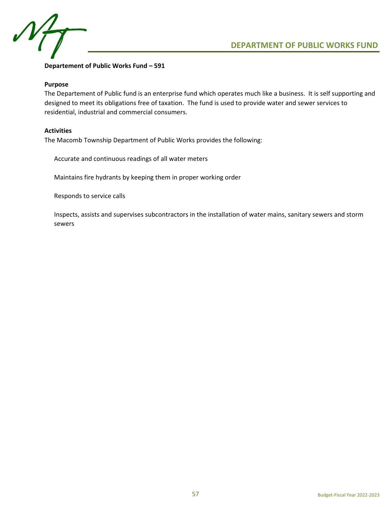

## **Departement of Public Works Fund – 591**

## **Purpose**

The Departement of Public fund is an enterprise fund which operates much like a business. It is self supporting and designed to meet its obligations free of taxation. The fund is used to provide water and sewer services to residential, industrial and commercial consumers.

## **Activities**

The Macomb Township Department of Public Works provides the following:

Accurate and continuous readings of all water meters

Maintains fire hydrants by keeping them in proper working order

Responds to service calls

Inspects, assists and supervises subcontractors in the installation of water mains, sanitary sewers and storm sewers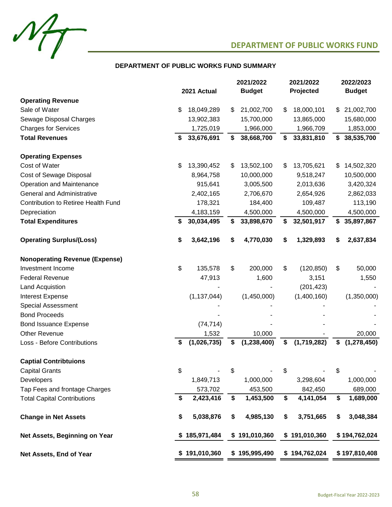

## **DEPARTMENT OF PUBLIC WORKS FUND SUMMARY**

|                                       | 2021 Actual |               | 2021/2022<br><b>Budget</b> |    | 2021/2022<br>Projected | 2022/2023<br><b>Budget</b> |               |  |
|---------------------------------------|-------------|---------------|----------------------------|----|------------------------|----------------------------|---------------|--|
| <b>Operating Revenue</b>              |             |               |                            |    |                        |                            |               |  |
| Sale of Water                         | \$          | 18,049,289    | \$<br>21,002,700           | S  | 18,000,101             | \$                         | 21,002,700    |  |
| Sewage Disposal Charges               |             | 13,902,383    | 15,700,000                 |    | 13,865,000             |                            | 15,680,000    |  |
| <b>Charges for Services</b>           |             | 1,725,019     | 1,966,000                  |    | 1,966,709              |                            | 1,853,000     |  |
| <b>Total Revenues</b>                 | S           | 33,676,691    | \$<br>38,668,700           | S  | 33,831,810             | \$                         | 38,535,700    |  |
| <b>Operating Expenses</b>             |             |               |                            |    |                        |                            |               |  |
| Cost of Water                         | \$          | 13,390,452    | \$<br>13,502,100           | S  | 13,705,621             | \$                         | 14,502,320    |  |
| Cost of Sewage Disposal               |             | 8,964,758     | 10,000,000                 |    | 9,518,247              |                            | 10,500,000    |  |
| Operation and Maintenance             |             | 915,641       | 3,005,500                  |    | 2,013,636              |                            | 3,420,324     |  |
| <b>General and Administrative</b>     |             | 2,402,165     | 2,706,670                  |    | 2,654,926              |                            | 2,862,033     |  |
| Contribution to Retiree Health Fund   |             | 178,321       | 184,400                    |    | 109,487                |                            | 113,190       |  |
| Depreciation                          |             | 4,183,159     | 4,500,000                  |    | 4,500,000              |                            | 4,500,000     |  |
| <b>Total Expenditures</b>             | S           | 30,034,495    | \$<br>33,898,670           | S  | 32,501,917             | \$                         | 35,897,867    |  |
| <b>Operating Surplus/(Loss)</b>       | \$          | 3,642,196     | \$<br>4,770,030            | S  | 1,329,893              | S                          | 2,637,834     |  |
| <b>Nonoperating Revenue (Expense)</b> |             |               |                            |    |                        |                            |               |  |
| Investment Income                     | \$          | 135,578       | \$<br>200,000              | \$ | (120, 850)             | \$                         | 50,000        |  |
| <b>Federal Revenue</b>                |             | 47,913        | 1,600                      |    | 3,151                  |                            | 1,550         |  |
| Land Acquistion                       |             |               |                            |    | (201, 423)             |                            |               |  |
| <b>Interest Expense</b>               |             | (1, 137, 044) | (1,450,000)                |    | (1,400,160)            |                            | (1,350,000)   |  |
| <b>Special Assessment</b>             |             |               |                            |    |                        |                            |               |  |
| <b>Bond Proceeds</b>                  |             |               |                            |    |                        |                            |               |  |
| <b>Bond Issuance Expense</b>          |             | (74, 714)     |                            |    |                        |                            |               |  |
| <b>Other Revenue</b>                  |             | 1,532         | 10,000                     |    |                        |                            | 20,000        |  |
| Loss - Before Contributions           | \$          | (1,026,735)   | \$<br>(1, 238, 400)        | \$ | (1,719,282)            | \$                         | (1, 278, 450) |  |
| <b>Captial Contribtuions</b>          |             |               |                            |    |                        |                            |               |  |
| <b>Capital Grants</b>                 | \$          |               | \$                         | \$ |                        | \$                         |               |  |
| Developers                            |             | 1,849,713     | 1,000,000                  |    | 3,298,604              |                            | 1,000,000     |  |
| Tap Fees and frontage Charges         |             | 573,702       | 453,500                    |    | 842,450                |                            | 689,000       |  |
| <b>Total Capital Contributions</b>    | \$          | 2,423,416     | \$<br>1,453,500            | \$ | 4,141,054              | \$                         | 1,689,000     |  |
| <b>Change in Net Assets</b>           | \$          | 5,038,876     | \$<br>4,985,130            | \$ | 3,751,665              | \$                         | 3,048,384     |  |
| Net Assets, Beginning on Year         |             | 185,971,484   | \$191,010,360              |    | \$191,010,360          |                            | \$194,762,024 |  |
| Net Assets, End of Year               |             | \$191,010,360 | \$195,995,490              |    | \$194,762,024          |                            | \$197,810,408 |  |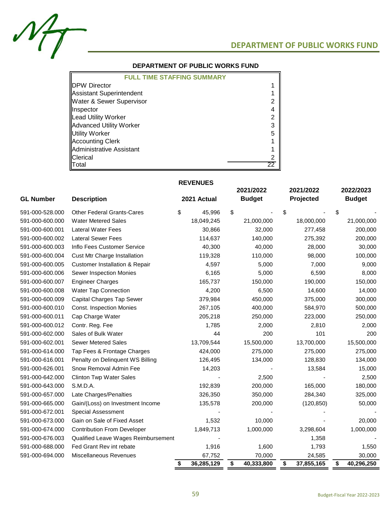$M_{\mathcal{T}}$ 

## **DEPARTMENT OF PUBLIC WORKS FUND**

## **DEPARTMENT OF PUBLIC WORKS FUND**

| <b>FULL TIME STAFFING SUMMARY</b>   |   |
|-------------------------------------|---|
| <b>IDPW Director</b>                |   |
| Assistant Superintendent            |   |
| <b>Water &amp; Sewer Supervisor</b> |   |
| <b>Illnspector</b>                  |   |
| Lead Utility Worker                 |   |
| <b>Advanced Utility Worker</b>      |   |
| Utility Worker                      | 5 |
| <b>Accounting Clerk</b>             |   |
| Administrative Assistant            |   |
| <b>IClerical</b>                    |   |
| <b>IT</b> otal                      |   |

## **REVENUES**

| <b>GL Number</b> | 2021 Actual<br><b>Description</b>         |                  | 2021/2022<br><b>Budget</b> | 2021/2022<br>Projected | 2022/2023<br><b>Budget</b> |
|------------------|-------------------------------------------|------------------|----------------------------|------------------------|----------------------------|
| 591-000-528.000  | <b>Other Federal Grants-Cares</b>         | \$<br>45,996     | \$                         | \$                     | \$                         |
| 591-000-600.000  | <b>Water Metered Sales</b>                | 18,049,245       | 21,000,000                 | 18,000,000             | 21,000,000                 |
| 591-000-600.001  | <b>Lateral Water Fees</b>                 | 30,866           | 32,000                     | 277,458                | 200,000                    |
| 591-000-600.002  | <b>Lateral Sewer Fees</b>                 | 114,637          | 140,000                    | 275,392                | 200,000                    |
| 591-000-600.003  | Inflo Fees Customer Service               | 40,300           | 40,000                     | 28,000                 | 30,000                     |
| 591-000-600.004  | Cust Mtr Charge Installation              | 119,328          | 110,000                    | 98,000                 | 100,000                    |
| 591-000-600.005  | <b>Customer Installation &amp; Repair</b> | 4,597            | 5,000                      | 7,000                  | 9,000                      |
| 591-000-600.006  | Sewer Inspection Monies                   | 6,165            | 5,000                      | 6,590                  | 8,000                      |
| 591-000-600.007  | <b>Engineer Charges</b>                   | 165,737          | 150,000                    | 190,000                | 150,000                    |
| 591-000-600.008  | Water Tap Connection                      | 4,200            | 6,500                      | 14,600                 | 14,000                     |
| 591-000-600.009  | Capital Charges Tap Sewer                 | 379,984          | 450,000                    | 375,000                | 300,000                    |
| 591-000-600.010  | <b>Const. Inspection Monies</b>           | 267,105          | 400,000                    | 584,970                | 500,000                    |
| 591-000-600.011  | Cap Charge Water                          | 205,218          | 250,000                    | 223,000                | 250,000                    |
| 591-000-600.012  | Contr. Reg. Fee                           | 1,785            | 2,000                      | 2,810                  | 2,000                      |
| 591-000-602.000  | Sales of Bulk Water                       | 44               | 200                        | 101                    | 200                        |
| 591-000-602.001  | <b>Sewer Metered Sales</b>                | 13,709,544       | 15,500,000                 | 13,700,000             | 15,500,000                 |
| 591-000-614.000  | Tap Fees & Frontage Charges               | 424,000          | 275,000                    | 275,000                | 275,000                    |
| 591-000-616.001  | Penalty on Delinquent WS Billing          | 126,495          | 134,000                    | 128,830                | 134,000                    |
| 591-000-626.001  | Snow Removal Admin Fee                    | 14,203           |                            | 13,584                 | 15,000                     |
| 591-000-642.000  | <b>Clinton Twp Water Sales</b>            |                  | 2,500                      |                        | 2,500                      |
| 591-000-643.000  | S.M.D.A.                                  | 192,839          | 200,000                    | 165,000                | 180,000                    |
| 591-000-657.000  | Late Charges/Penalties                    | 326,350          | 350,000                    | 284,340                | 325,000                    |
| 591-000-665.000  | Gain/(Loss) on Investment Income          | 135,578          | 200,000                    | (120, 850)             | 50,000                     |
| 591-000-672.001  | <b>Special Assessment</b>                 |                  |                            |                        |                            |
| 591-000-673.000  | Gain on Sale of Fixed Asset               | 1,532            | 10,000                     |                        | 20,000                     |
| 591-000-674.000  | <b>Contribution From Developer</b>        | 1,849,713        | 1,000,000                  | 3,298,604              | 1,000,000                  |
| 591-000-676.003  | Qualified Leave Wages Reimbursement       |                  |                            | 1,358                  |                            |
| 591-000-688.000  | Fed Grant Rev int rebate                  | 1,916            | 1,600                      | 1,793                  | 1,550                      |
| 591-000-694.000  | <b>Miscellaneous Revenues</b>             | 67,752           | 70,000                     | 24,585                 | 30,000                     |
|                  |                                           | 36,285,129<br>\$ | 40,333,800<br>\$           | 37,855,165<br>\$       | 40,296,250<br>\$           |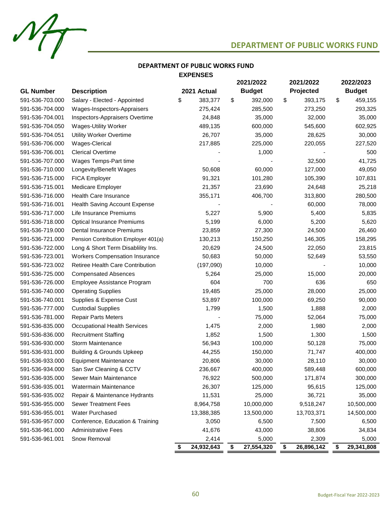$M_{\overline{I}}$ 

## **DEPARTMENT OF PUBLIC WORKS FUND**

## **DEPARTMENT OF PUBLIC WORKS FUND EXPENSES**

|                  |                                         |                  | 2021/2022 |               | 2021/2022 |            | 2022/2023 |               |
|------------------|-----------------------------------------|------------------|-----------|---------------|-----------|------------|-----------|---------------|
| <b>GL Number</b> | <b>Description</b>                      | 2021 Actual      |           | <b>Budget</b> |           | Projected  |           | <b>Budget</b> |
| 591-536-703.000  | Salary - Elected - Appointed            | \$<br>383,377    | \$        | 392,000       | \$        | 393,175    | \$        | 459,155       |
| 591-536-704.000  | Wages-Inspectors-Appraisers             | 275,424          |           | 285,500       |           | 273,250    |           | 293,325       |
| 591-536-704.001  | Inspectors-Appraisers Overtime          | 24,848           |           | 35,000        |           | 32,000     |           | 35,000        |
| 591-536-704.050  | <b>Wages-Utility Worker</b>             | 489,135          |           | 600,000       |           | 545,600    |           | 602,925       |
| 591-536-704.051  | Utility Worker Overtime                 | 26,707           |           | 35,000        |           | 28,625     |           | 30,000        |
| 591-536-706.000  | Wages-Clerical                          | 217,885          |           | 225,000       |           | 220,055    |           | 227,520       |
| 591-536-706.001  | <b>Clerical Overtime</b>                |                  |           | 1,000         |           |            |           | 500           |
| 591-536-707.000  | Wages Temps-Part time                   |                  |           |               |           | 32,500     |           | 41,725        |
| 591-536-710.000  | Longevity/Benefit Wages                 | 50,608           |           | 60,000        |           | 127,000    |           | 49,050        |
| 591-536-715.000  | <b>FICA Employer</b>                    | 91,321           |           | 101,280       |           | 105,390    |           | 107,831       |
| 591-536-715.001  | Medicare Employer                       | 21,357           |           | 23,690        |           | 24,648     |           | 25,218        |
| 591-536-716.000  | <b>Health Care Insurance</b>            | 355,171          |           | 406,700       |           | 313,800    |           | 280,500       |
| 591-536-716.001  | Health Saving Account Expense           |                  |           |               |           | 60,000     |           | 78,000        |
| 591-536-717.000  | Life Insurance Premiums                 | 5,227            |           | 5,900         |           | 5,400      |           | 5,835         |
| 591-536-718.000  | <b>Optical Insurance Premiums</b>       | 5,199            |           | 6,000         |           | 5,200      |           | 5,620         |
| 591-536-719.000  | Dental Insurance Premiums               | 23,859           |           | 27,300        |           | 24,500     |           | 26,460        |
| 591-536-721.000  | Pension Contribution Employer 401(a)    | 130,213          |           | 150,250       |           | 146,305    |           | 158,295       |
| 591-536-722.000  | Long & Short Term Disablility Ins.      | 20,629           |           | 24,500        |           | 22,050     |           | 23,815        |
| 591-536-723.001  | <b>Workers Compensation Insurance</b>   | 50,683           |           | 50,000        |           | 52,649     |           | 53,550        |
| 591-536-723.002  | <b>Retiree Health Care Contribution</b> | (197,090)        |           | 10,000        |           |            |           | 10,000        |
| 591-536-725.000  | <b>Compensated Absences</b>             | 5,264            |           | 25,000        |           | 15,000     |           | 20,000        |
| 591-536-726.000  | Employee Assistance Program             | 604              |           | 700           |           | 636        |           | 650           |
| 591-536-740.000  | <b>Operating Supplies</b>               | 19,485           |           | 25,000        |           | 28,000     |           | 25,000        |
| 591-536-740.001  | Supplies & Expense Cust                 | 53,897           |           | 100,000       |           | 69,250     |           | 90,000        |
| 591-536-777.000  | <b>Custodial Supplies</b>               | 1,799            |           | 1,500         |           | 1,888      |           | 2,000         |
| 591-536-781.000  | <b>Repair Parts Meters</b>              |                  |           | 75,000        |           | 52,064     |           | 75,000        |
| 591-536-835.000  | <b>Occupational Health Services</b>     | 1,475            |           | 2,000         |           | 1,980      |           | 2,000         |
| 591-536-836.000  | <b>Recruitment Staffing</b>             | 1,852            |           | 1,500         |           | 1,300      |           | 1,500         |
| 591-536-930.000  | Storm Maintenance                       | 56,943           |           | 100,000       |           | 50,128     |           | 75,000        |
| 591-536-931.000  | <b>Building &amp; Grounds Upkeep</b>    | 44,255           |           | 150,000       |           | 71,747     |           | 400,000       |
| 591-536-933.000  | <b>Equipment Maintenance</b>            | 20,806           |           | 30,000        |           | 28,110     |           | 30,000        |
| 591-536-934.000  | San Swr Cleaning & CCTV                 | 236,667          |           | 400,000       |           | 589,448    |           | 600,000       |
| 591-536-935.000  | Sewer Main Maintenance                  | 76,922           |           | 500,000       |           | 171,874    |           | 300,000       |
| 591-536-935.001  | Watermain Maintenance                   | 26,307           |           | 125,000       |           | 95,615     |           | 125,000       |
| 591-536-935.002  | Repair & Maintenance Hydrants           | 11,531           |           | 25,000        |           | 36,721     |           | 35,000        |
| 591-536-955.000  | <b>Sewer Treatment Fees</b>             | 8,964,758        |           | 10,000,000    |           | 9,518,247  |           | 10,500,000    |
| 591-536-955.001  | Water Purchased                         | 13,388,385       |           | 13,500,000    |           | 13,703,371 |           | 14,500,000    |
| 591-536-957.000  | Conference, Education & Training        | 3,050            |           | 6,500         |           | 7,500      |           | 6,500         |
| 591-536-961.000  | <b>Administrative Fees</b>              | 41,676           |           | 43,000        |           | 38,806     |           | 34,834        |
| 591-536-961.001  | Snow Removal                            | 2,414            |           | 5,000         |           | 2,309      |           | 5,000         |
|                  |                                         | \$<br>24,932,643 | \$        | 27,554,320    | \$        | 26,896,142 | \$        | 29,341,808    |